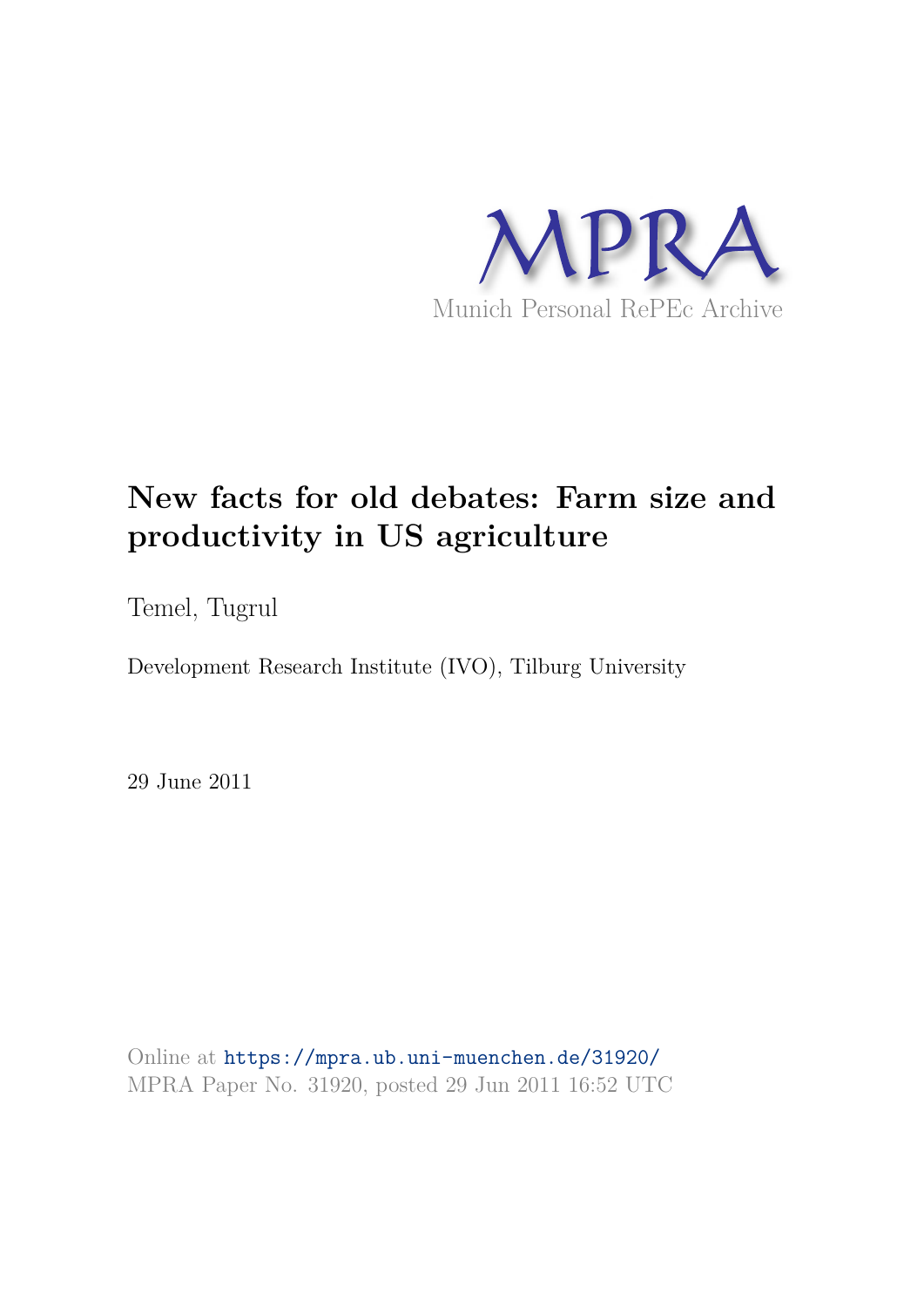

# **New facts for old debates: Farm size and productivity in US agriculture**

Temel, Tugrul

Development Research Institute (IVO), Tilburg University

29 June 2011

Online at https://mpra.ub.uni-muenchen.de/31920/ MPRA Paper No. 31920, posted 29 Jun 2011 16:52 UTC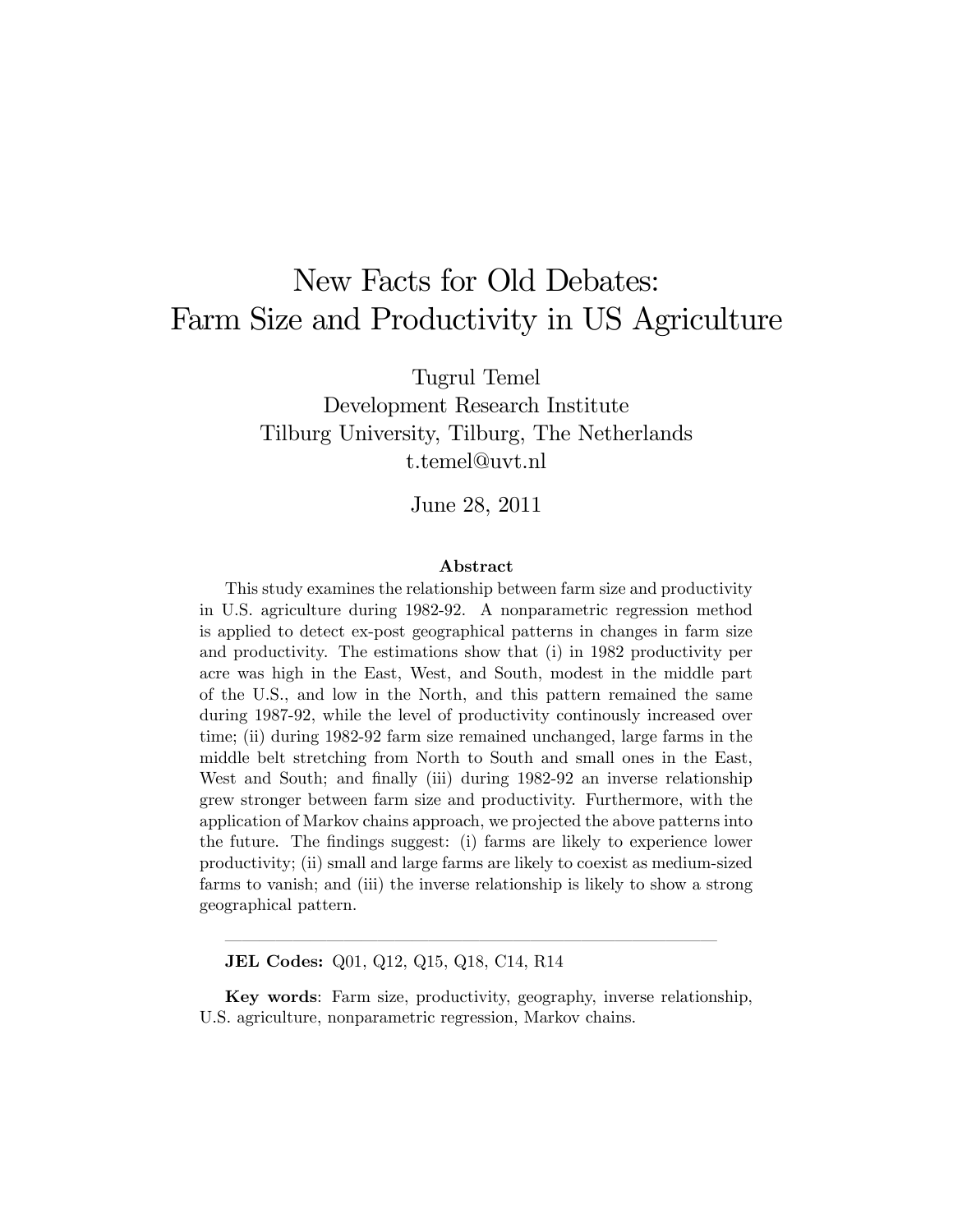# New Facts for Old Debates: Farm Size and Productivity in US Agriculture

Tugrul Temel

Development Research Institute Tilburg University, Tilburg, The Netherlands t.temel@uvt.nl

June 28, 2011

#### Abstract

This study examines the relationship between farm size and productivity in U.S. agriculture during 1982-92. A nonparametric regression method is applied to detect ex-post geographical patterns in changes in farm size and productivity. The estimations show that (i) in 1982 productivity per acre was high in the East, West, and South, modest in the middle part of the U.S., and low in the North, and this pattern remained the same during 1987-92, while the level of productivity continously increased over time; (ii) during 1982-92 farm size remained unchanged, large farms in the middle belt stretching from North to South and small ones in the East, West and South; and finally (iii) during 1982-92 an inverse relationship grew stronger between farm size and productivity. Furthermore, with the application of Markov chains approach, we projected the above patterns into the future. The Öndings suggest: (i) farms are likely to experience lower productivity; (ii) small and large farms are likely to coexist as medium-sized farms to vanish; and (iii) the inverse relationship is likely to show a strong geographical pattern.

JEL Codes: Q01, Q12, Q15, Q18, C14, R14

Key words: Farm size, productivity, geography, inverse relationship, U.S. agriculture, nonparametric regression, Markov chains.

óóóóóóóóóóóóóóóóóóóóóóóóóóóóó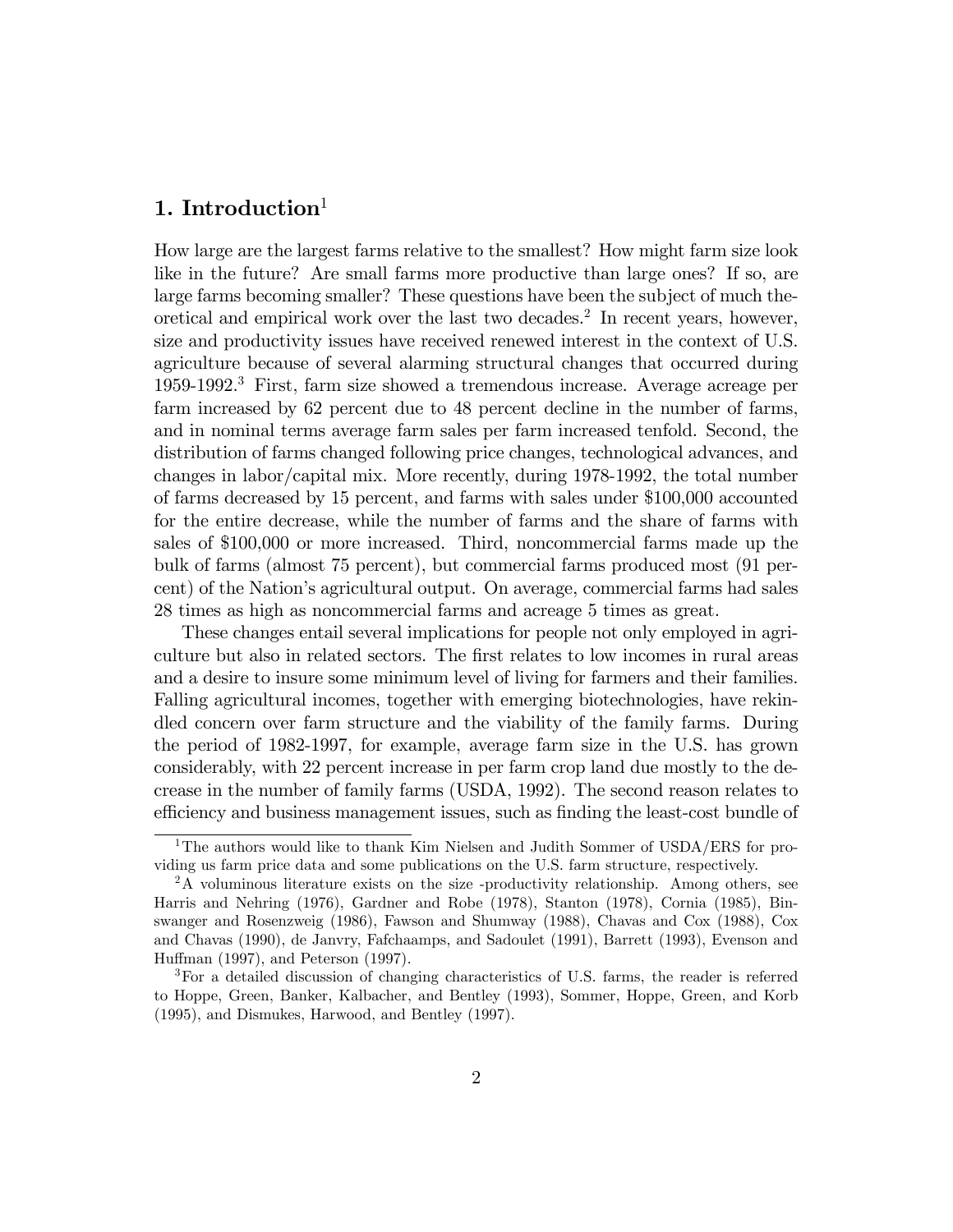# 1. Introduction $1$

How large are the largest farms relative to the smallest? How might farm size look like in the future? Are small farms more productive than large ones? If so, are large farms becoming smaller? These questions have been the subject of much theoretical and empirical work over the last two decades.<sup>2</sup> In recent years, however, size and productivity issues have received renewed interest in the context of U.S. agriculture because of several alarming structural changes that occurred during 1959-1992.<sup>3</sup> First, farm size showed a tremendous increase. Average acreage per farm increased by 62 percent due to 48 percent decline in the number of farms, and in nominal terms average farm sales per farm increased tenfold. Second, the distribution of farms changed following price changes, technological advances, and changes in labor/capital mix. More recently, during 1978-1992, the total number of farms decreased by 15 percent, and farms with sales under \$100,000 accounted for the entire decrease, while the number of farms and the share of farms with sales of \$100,000 or more increased. Third, noncommercial farms made up the bulk of farms (almost 75 percent), but commercial farms produced most (91 percent) of the Nationís agricultural output. On average, commercial farms had sales 28 times as high as noncommercial farms and acreage 5 times as great.

These changes entail several implications for people not only employed in agriculture but also in related sectors. The first relates to low incomes in rural areas and a desire to insure some minimum level of living for farmers and their families. Falling agricultural incomes, together with emerging biotechnologies, have rekindled concern over farm structure and the viability of the family farms. During the period of 1982-1997, for example, average farm size in the U.S. has grown considerably, with 22 percent increase in per farm crop land due mostly to the decrease in the number of family farms (USDA, 1992). The second reason relates to efficiency and business management issues, such as finding the least-cost bundle of

<sup>&</sup>lt;sup>1</sup>The authors would like to thank Kim Nielsen and Judith Sommer of USDA/ERS for providing us farm price data and some publications on the U.S. farm structure, respectively.

<sup>2</sup>A voluminous literature exists on the size -productivity relationship. Among others, see Harris and Nehring (1976), Gardner and Robe (1978), Stanton (1978), Cornia (1985), Binswanger and Rosenzweig (1986), Fawson and Shumway (1988), Chavas and Cox (1988), Cox and Chavas (1990), de Janvry, Fafchaamps, and Sadoulet (1991), Barrett (1993), Evenson and Huffman  $(1997)$ , and Peterson  $(1997)$ .

<sup>3</sup>For a detailed discussion of changing characteristics of U.S. farms, the reader is referred to Hoppe, Green, Banker, Kalbacher, and Bentley (1993), Sommer, Hoppe, Green, and Korb (1995), and Dismukes, Harwood, and Bentley (1997).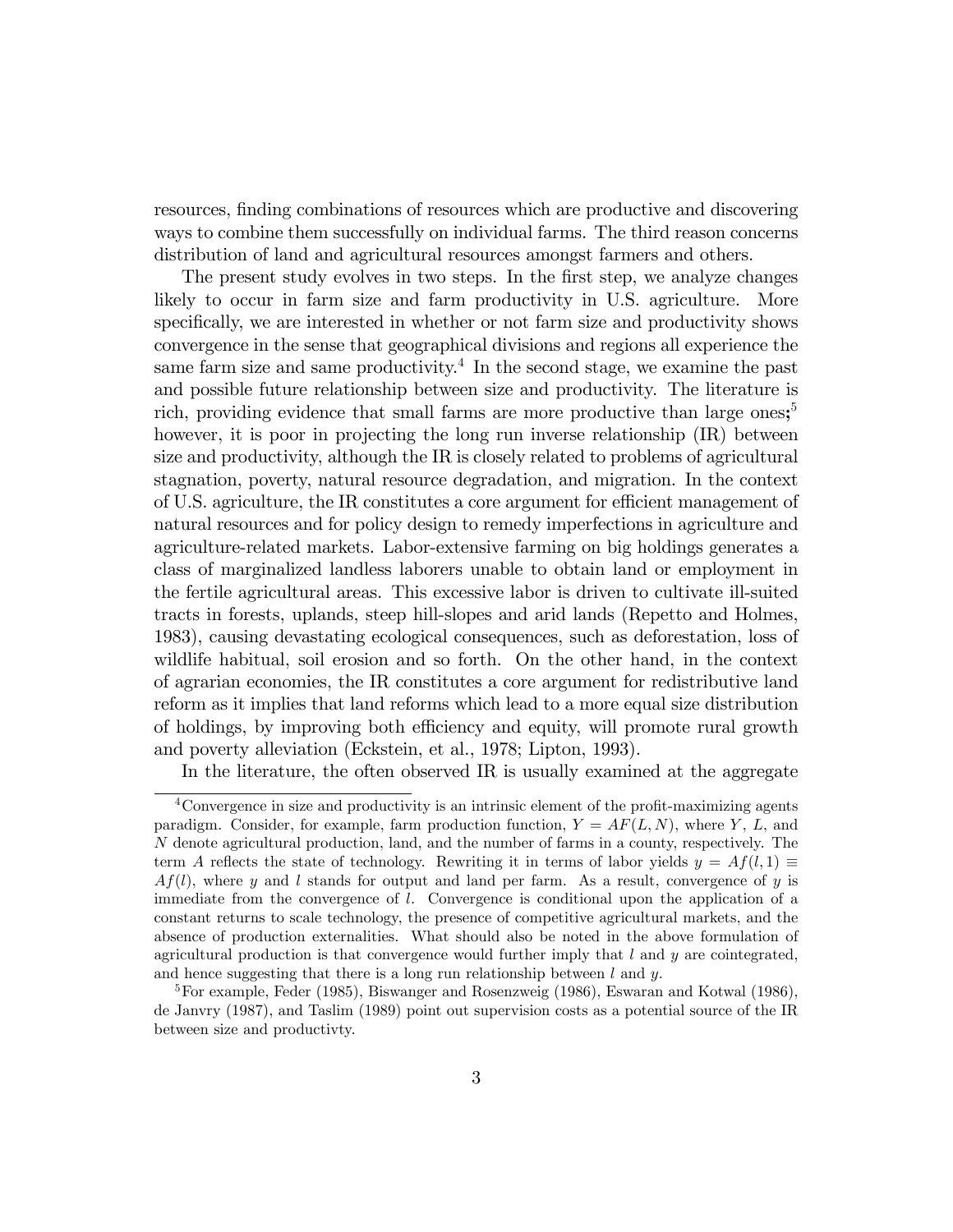resources, Önding combinations of resources which are productive and discovering ways to combine them successfully on individual farms. The third reason concerns distribution of land and agricultural resources amongst farmers and others.

The present study evolves in two steps. In the first step, we analyze changes likely to occur in farm size and farm productivity in U.S. agriculture. More specifically, we are interested in whether or not farm size and productivity shows convergence in the sense that geographical divisions and regions all experience the same farm size and same productivity.<sup>4</sup> In the second stage, we examine the past and possible future relationship between size and productivity. The literature is rich, providing evidence that small farms are more productive than large ones;<sup>5</sup> however, it is poor in projecting the long run inverse relationship (IR) between size and productivity, although the IR is closely related to problems of agricultural stagnation, poverty, natural resource degradation, and migration. In the context of U.S. agriculture, the IR constitutes a core argument for efficient management of natural resources and for policy design to remedy imperfections in agriculture and agriculture-related markets. Labor-extensive farming on big holdings generates a class of marginalized landless laborers unable to obtain land or employment in the fertile agricultural areas. This excessive labor is driven to cultivate ill-suited tracts in forests, uplands, steep hill-slopes and arid lands (Repetto and Holmes, 1983), causing devastating ecological consequences, such as deforestation, loss of wildlife habitual, soil erosion and so forth. On the other hand, in the context of agrarian economies, the IR constitutes a core argument for redistributive land reform as it implies that land reforms which lead to a more equal size distribution of holdings, by improving both e¢ciency and equity, will promote rural growth and poverty alleviation (Eckstein, et al., 1978; Lipton, 1993).

In the literature, the often observed IR is usually examined at the aggregate

 $4$ Convergence in size and productivity is an intrinsic element of the profit-maximizing agents paradigm. Consider, for example, farm production function,  $Y = AF(L, N)$ , where Y, L, and N denote agricultural production, land, and the number of farms in a county, respectively. The term A reflects the state of technology. Rewriting it in terms of labor yields  $y = Af(l, 1) \equiv$  $Af(l)$ , where y and l stands for output and land per farm. As a result, convergence of y is immediate from the convergence of l. Convergence is conditional upon the application of a constant returns to scale technology, the presence of competitive agricultural markets, and the absence of production externalities. What should also be noted in the above formulation of agricultural production is that convergence would further imply that  $l$  and  $y$  are cointegrated, and hence suggesting that there is a long run relationship between  $l$  and  $y$ .

<sup>5</sup>For example, Feder (1985), Biswanger and Rosenzweig (1986), Eswaran and Kotwal (1986), de Janvry (1987), and Taslim (1989) point out supervision costs as a potential source of the IR between size and productivty.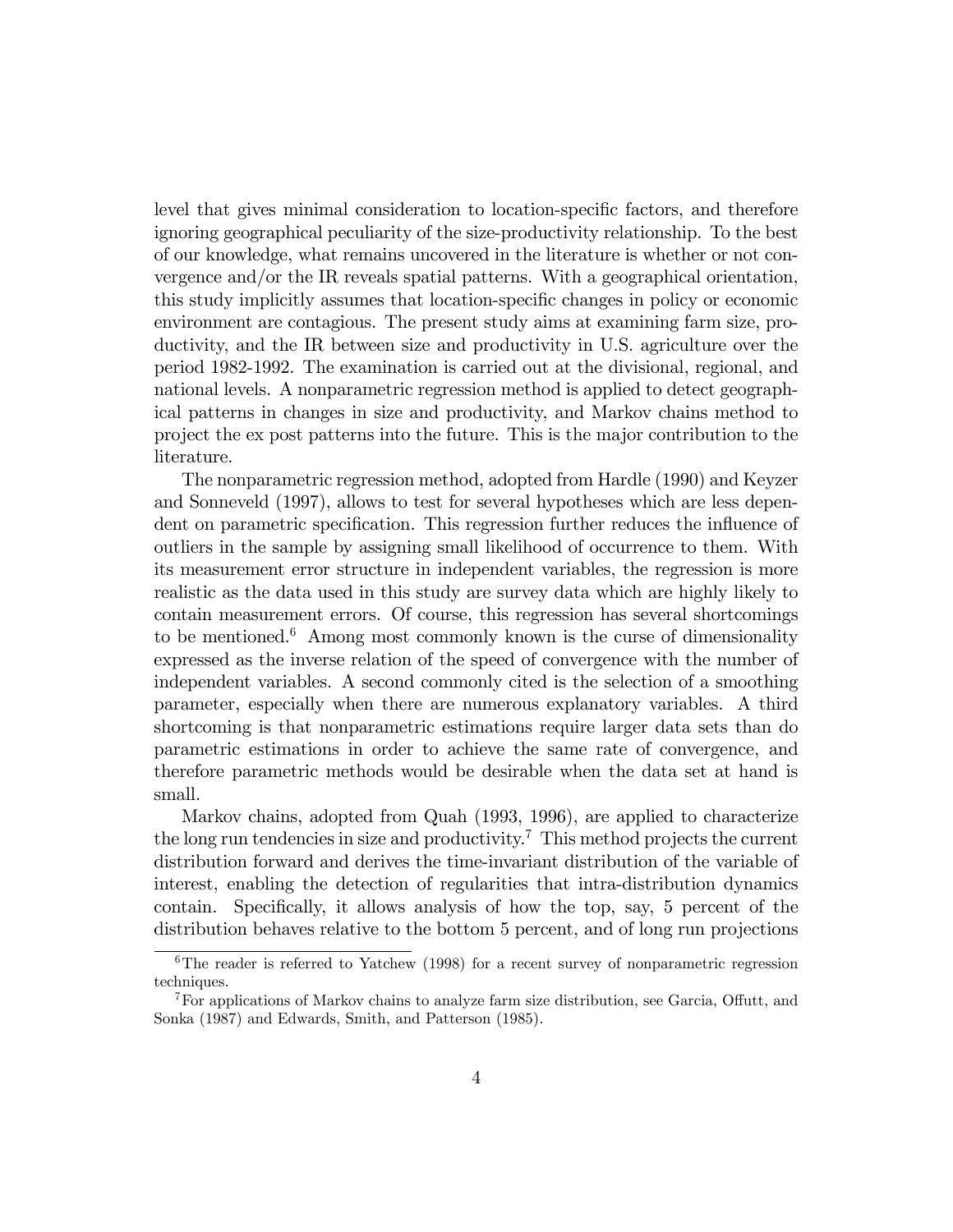level that gives minimal consideration to location-specific factors, and therefore ignoring geographical peculiarity of the size-productivity relationship. To the best of our knowledge, what remains uncovered in the literature is whether or not convergence and/or the IR reveals spatial patterns. With a geographical orientation, this study implicitly assumes that location-specific changes in policy or economic environment are contagious. The present study aims at examining farm size, productivity, and the IR between size and productivity in U.S. agriculture over the period 1982-1992. The examination is carried out at the divisional, regional, and national levels. A nonparametric regression method is applied to detect geographical patterns in changes in size and productivity, and Markov chains method to project the ex post patterns into the future. This is the major contribution to the literature.

The nonparametric regression method, adopted from Hardle (1990) and Keyzer and Sonneveld (1997), allows to test for several hypotheses which are less dependent on parametric specification. This regression further reduces the influence of outliers in the sample by assigning small likelihood of occurrence to them. With its measurement error structure in independent variables, the regression is more realistic as the data used in this study are survey data which are highly likely to contain measurement errors. Of course, this regression has several shortcomings to be mentioned. $6$  Among most commonly known is the curse of dimensionality expressed as the inverse relation of the speed of convergence with the number of independent variables. A second commonly cited is the selection of a smoothing parameter, especially when there are numerous explanatory variables. A third shortcoming is that nonparametric estimations require larger data sets than do parametric estimations in order to achieve the same rate of convergence, and therefore parametric methods would be desirable when the data set at hand is small.

Markov chains, adopted from Quah (1993, 1996), are applied to characterize the long run tendencies in size and productivity.<sup>7</sup> This method projects the current distribution forward and derives the time-invariant distribution of the variable of interest, enabling the detection of regularities that intra-distribution dynamics contain. Specifically, it allows analysis of how the top, say, 5 percent of the distribution behaves relative to the bottom 5 percent, and of long run projections

 $6$ The reader is referred to Yatchew (1998) for a recent survey of nonparametric regression techniques.

 $7$ For applications of Markov chains to analyze farm size distribution, see Garcia, Offutt, and Sonka (1987) and Edwards, Smith, and Patterson (1985).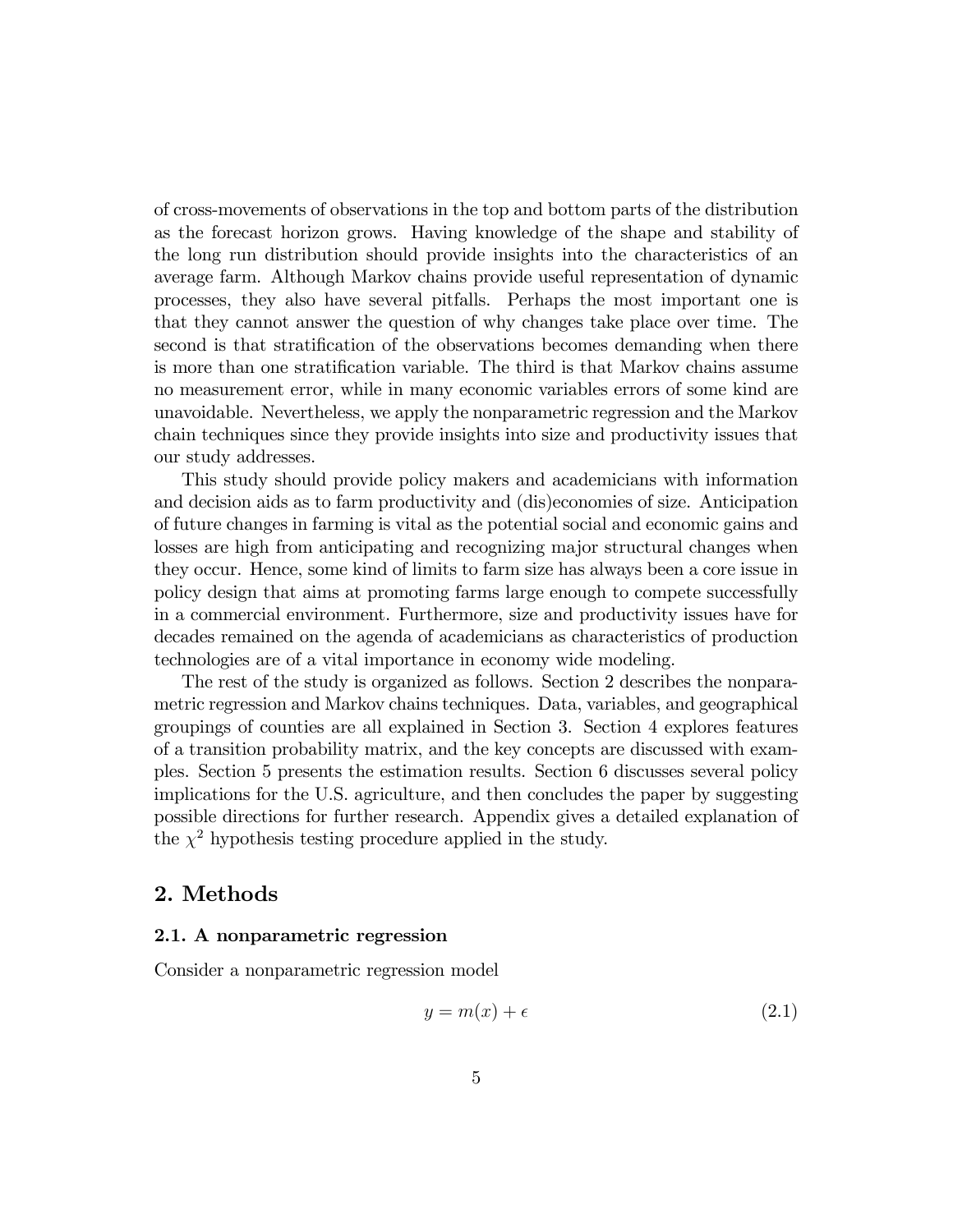of cross-movements of observations in the top and bottom parts of the distribution as the forecast horizon grows. Having knowledge of the shape and stability of the long run distribution should provide insights into the characteristics of an average farm. Although Markov chains provide useful representation of dynamic processes, they also have several pitfalls. Perhaps the most important one is that they cannot answer the question of why changes take place over time. The second is that stratification of the observations becomes demanding when there is more than one stratification variable. The third is that Markov chains assume no measurement error, while in many economic variables errors of some kind are unavoidable. Nevertheless, we apply the nonparametric regression and the Markov chain techniques since they provide insights into size and productivity issues that our study addresses.

This study should provide policy makers and academicians with information and decision aids as to farm productivity and (dis)economies of size. Anticipation of future changes in farming is vital as the potential social and economic gains and losses are high from anticipating and recognizing major structural changes when they occur. Hence, some kind of limits to farm size has always been a core issue in policy design that aims at promoting farms large enough to compete successfully in a commercial environment. Furthermore, size and productivity issues have for decades remained on the agenda of academicians as characteristics of production technologies are of a vital importance in economy wide modeling.

The rest of the study is organized as follows. Section 2 describes the nonparametric regression and Markov chains techniques. Data, variables, and geographical groupings of counties are all explained in Section 3. Section 4 explores features of a transition probability matrix, and the key concepts are discussed with examples. Section 5 presents the estimation results. Section 6 discusses several policy implications for the U.S. agriculture, and then concludes the paper by suggesting possible directions for further research. Appendix gives a detailed explanation of the  $\chi^2$  hypothesis testing procedure applied in the study.

### 2. Methods

#### 2.1. A nonparametric regression

Consider a nonparametric regression model

$$
y = m(x) + \epsilon \tag{2.1}
$$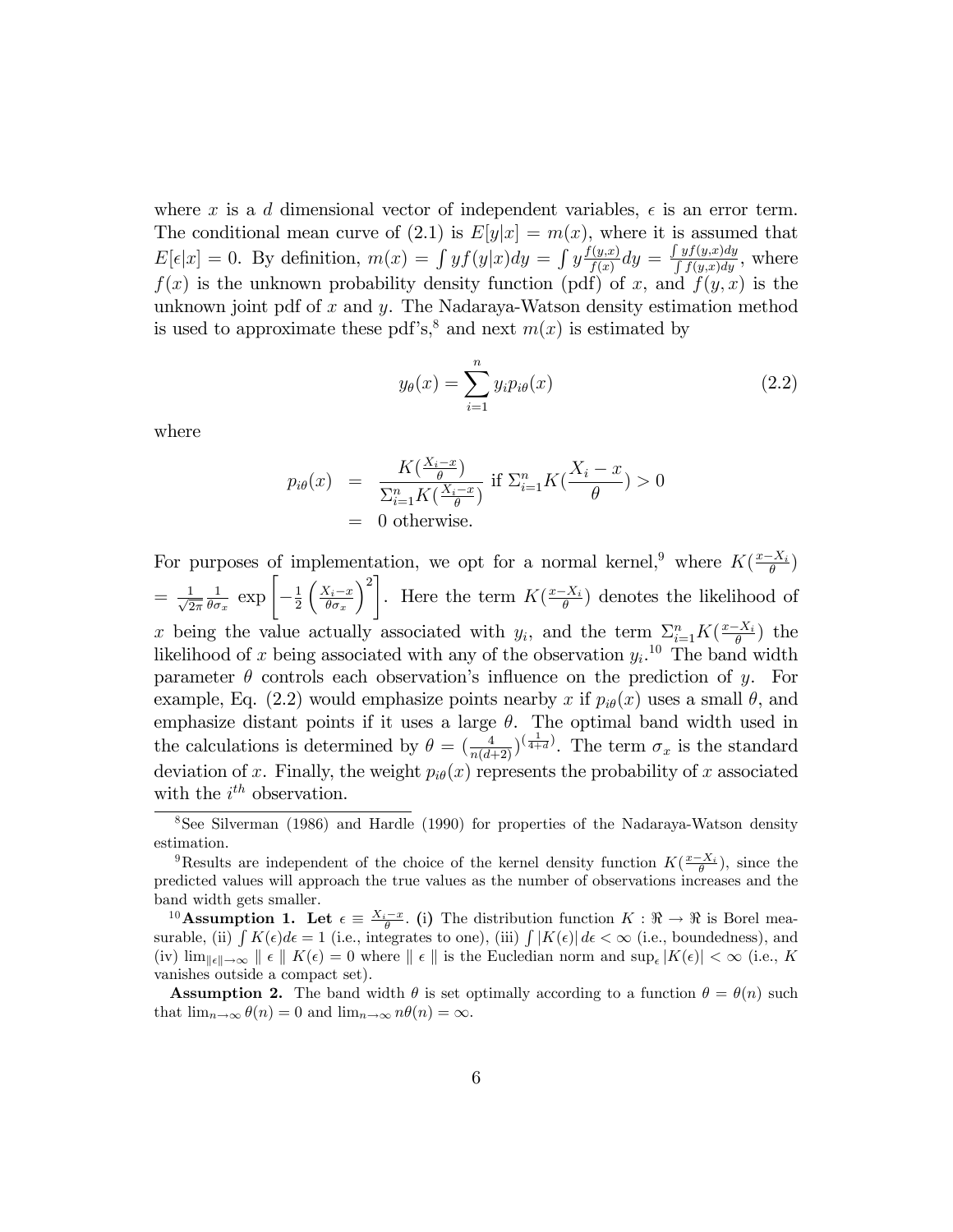where x is a d dimensional vector of independent variables,  $\epsilon$  is an error term. The conditional mean curve of (2.1) is  $E[y|x] = m(x)$ , where it is assumed that  $E[\epsilon|x] = 0$ . By definition,  $m(x) = \int y f(y|x) dy = \int y \frac{f(y,x)}{f(x)}$  $\frac{f(y,x)}{f(x)}dy = \frac{\int yf(y,x)dy}{\int f(y,x)dy}$ , where  $f(x)$  is the unknown probability density function (pdf) of x, and  $f(y, x)$  is the unknown joint pdf of x and y. The Nadaraya-Watson density estimation method is used to approximate these pdf's,<sup>8</sup> and next  $m(x)$  is estimated by

$$
y_{\theta}(x) = \sum_{i=1}^{n} y_i p_{i\theta}(x) \tag{2.2}
$$

where

$$
p_{i\theta}(x) = \frac{K(\frac{X_i - x}{\theta})}{\sum_{i=1}^n K(\frac{X_i - x}{\theta})} \text{ if } \sum_{i=1}^n K(\frac{X_i - x}{\theta}) > 0
$$
  
= 0 otherwise.

For purposes of implementation, we opt for a normal kernel,<sup>9</sup> where  $K(\frac{x-X_i}{\theta})$  $= \frac{1}{\sqrt{2}}$  $2\pi$ 1  $\frac{1}{\theta \sigma_x} \exp \left[-\frac{1}{2}\right]$ 2  $\left(\frac{X_i-x}{\theta\sigma_x}\right)$  $\chi^2$ . Here the term  $K(\frac{x-X_i}{\theta})$  denotes the likelihood of x being the value actually associated with  $y_i$ , and the term  $\sum_{i=1}^n K(\frac{x-X_i}{\theta})$  the likelihood of x being associated with any of the observation  $y_i$ <sup>10</sup>. The band width parameter  $\theta$  controls each observation's influence on the prediction of y. For example, Eq. (2.2) would emphasize points nearby x if  $p_{i\theta}(x)$  uses a small  $\theta$ , and emphasize distant points if it uses a large  $\theta$ . The optimal band width used in the calculations is determined by  $\theta = \left(\frac{4}{n(d+2)}\right)^{\left(\frac{1}{4+d}\right)}$ . The term  $\sigma_x$  is the standard deviation of x. Finally, the weight  $p_{i\theta}(x)$  represents the probability of x associated with the  $i^{th}$  observation.

<sup>8</sup>See Silverman (1986) and Hardle (1990) for properties of the Nadaraya-Watson density estimation.

<sup>&</sup>lt;sup>9</sup>Results are independent of the choice of the kernel density function  $K(\frac{x-X_i}{\theta})$ , since the predicted values will approach the true values as the number of observations increases and the band width gets smaller.

<sup>&</sup>lt;sup>10</sup>**Assumption 1. Let**  $\epsilon \equiv \frac{X_i - x}{\theta}$ . (i) The distribution function  $K : \Re \to \Re$  is Borel measurable, (ii)  $\int K(\epsilon) d\epsilon = 1$  (i.e., integrates to one), (iii)  $\int |K(\epsilon)| d\epsilon < \infty$  (i.e., boundedness), and (iv)  $\lim_{\|\epsilon\| \to \infty} \|\epsilon\| K(\epsilon) = 0$  where  $\|\epsilon\|$  is the Eucledian norm and  $\sup_{\epsilon}|K(\epsilon)| < \infty$  (i.e., K vanishes outside a compact set).

**Assumption 2.** The band width  $\theta$  is set optimally according to a function  $\theta = \theta(n)$  such that  $\lim_{n\to\infty} \theta(n) = 0$  and  $\lim_{n\to\infty} n\theta(n) = \infty$ .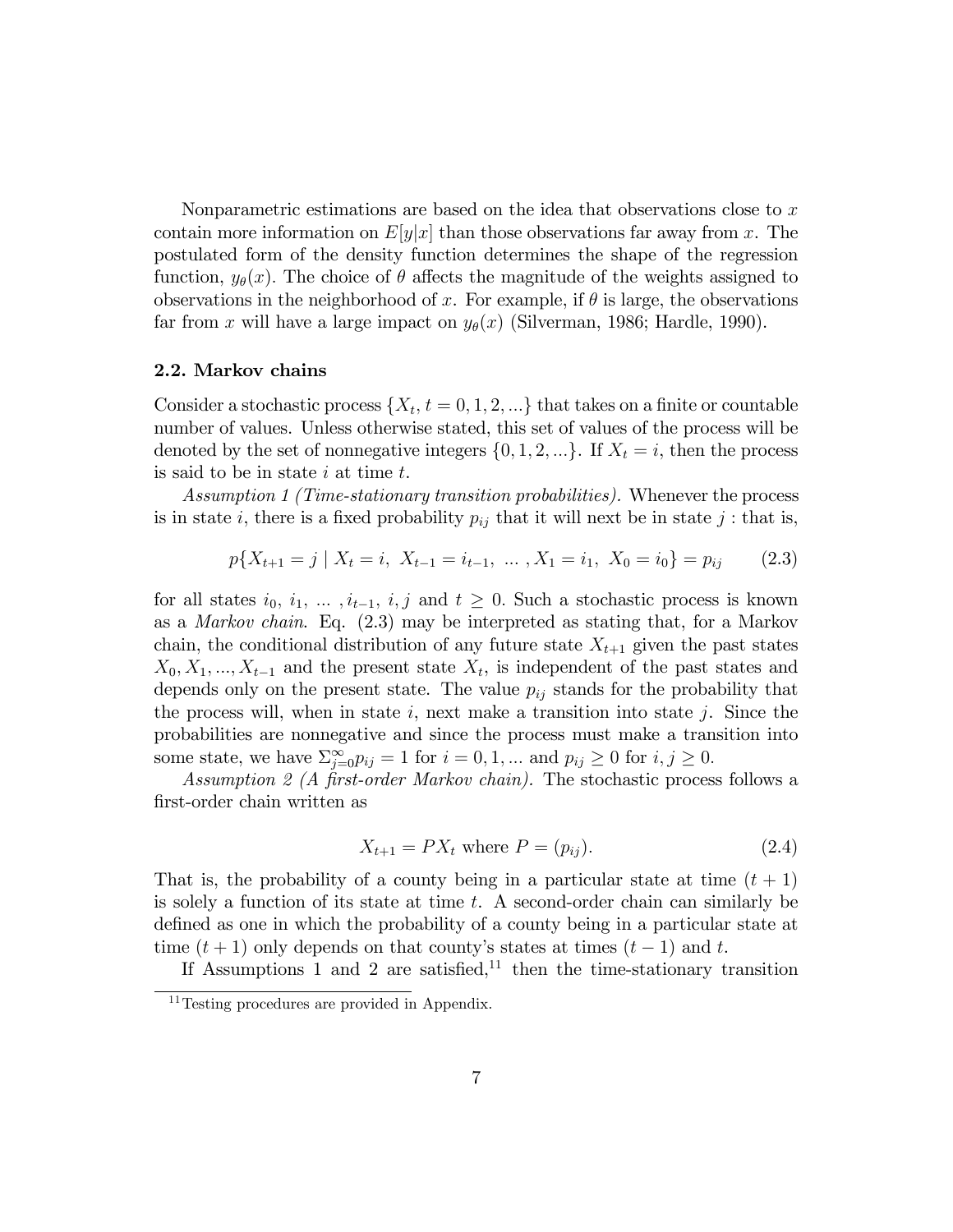Nonparametric estimations are based on the idea that observations close to  $x$ contain more information on  $E[y|x]$  than those observations far away from x. The postulated form of the density function determines the shape of the regression function,  $y_{\theta}(x)$ . The choice of  $\theta$  affects the magnitude of the weights assigned to observations in the neighborhood of x. For example, if  $\theta$  is large, the observations far from x will have a large impact on  $y_{\theta}(x)$  (Silverman, 1986; Hardle, 1990).

#### 2.2. Markov chains

Consider a stochastic process  $\{X_t, t = 0, 1, 2, ...\}$  that takes on a finite or countable number of values. Unless otherwise stated, this set of values of the process will be denoted by the set of nonnegative integers  $\{0, 1, 2, ...\}$ . If  $X_t = i$ , then the process is said to be in state  $i$  at time  $t$ .

Assumption 1 (Time-stationary transition probabilities). Whenever the process is in state i, there is a fixed probability  $p_{ij}$  that it will next be in state j: that is,

$$
p\{X_{t+1} = j \mid X_t = i, \ X_{t-1} = i_{t-1}, \ \dots \ , X_1 = i_1, \ X_0 = i_0\} = p_{ij} \tag{2.3}
$$

for all states  $i_0, i_1, \ldots, i_{t-1}, i, j$  and  $t \geq 0$ . Such a stochastic process is known as a Markov chain. Eq. (2.3) may be interpreted as stating that, for a Markov chain, the conditional distribution of any future state  $X_{t+1}$  given the past states  $X_0, X_1, ..., X_{t-1}$  and the present state  $X_t$ , is independent of the past states and depends only on the present state. The value  $p_{ij}$  stands for the probability that the process will, when in state i, next make a transition into state j. Since the probabilities are nonnegative and since the process must make a transition into some state, we have  $\sum_{j=0}^{\infty} p_{ij} = 1$  for  $i = 0, 1, ...$  and  $p_{ij} \ge 0$  for  $i, j \ge 0$ .

Assumption 2 (A first-order Markov chain). The stochastic process follows a Örst-order chain written as

$$
X_{t+1} = PX_t \text{ where } P = (p_{ij}). \tag{2.4}
$$

That is, the probability of a county being in a particular state at time  $(t + 1)$ is solely a function of its state at time t. A second-order chain can similarly be defined as one in which the probability of a county being in a particular state at time  $(t + 1)$  only depends on that county's states at times  $(t - 1)$  and t.

If Assumptions 1 and 2 are satisfied, $11$  then the time-stationary transition

<sup>&</sup>lt;sup>11</sup>Testing procedures are provided in Appendix.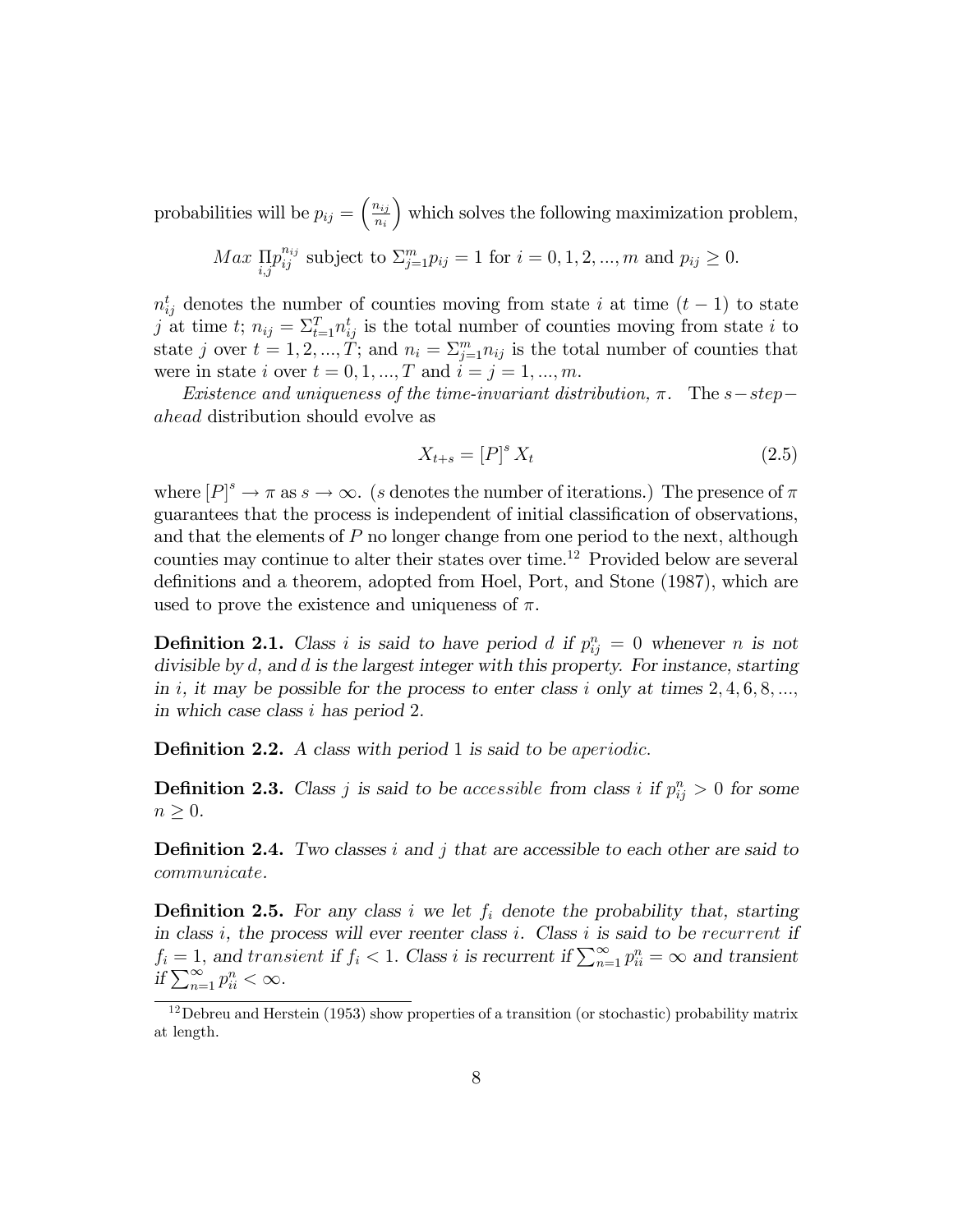probabilities will be  $p_{ij} = \left(\frac{n_{ij}}{n_{ij}}\right)$  $n_i$ which solves the following maximization problem,

$$
Max \prod_{i,j} p_{ij}^{n_{ij}}
$$
 subject to  $\sum_{j=1}^{m} p_{ij} = 1$  for  $i = 0, 1, 2, ..., m$  and  $p_{ij} \ge 0$ .

 $n_{ij}^t$  denotes the number of counties moving from state i at time  $(t-1)$  to state j at time t;  $n_{ij} = \sum_{t=1}^{T} n_{ij}^t$  is the total number of counties moving from state i to state j over  $t = 1, 2, ..., \tilde{T}$ ; and  $n_i = \sum_{j=1}^{m} n_{ij}$  is the total number of counties that were in state *i* over  $t = 0, 1, ..., T$  and  $i = j = 1, ..., m$ .

Existence and uniqueness of the time-invariant distribution,  $\pi$ . The s-stepahead distribution should evolve as

$$
X_{t+s} = [P]^s X_t \tag{2.5}
$$

where  $[P]^s \to \pi$  as  $s \to \infty$ . (s denotes the number of iterations.) The presence of  $\pi$ guarantees that the process is independent of initial classification of observations, and that the elements of P no longer change from one period to the next, although counties may continue to alter their states over time.<sup>12</sup> Provided below are several definitions and a theorem, adopted from Hoel, Port, and Stone (1987), which are used to prove the existence and uniqueness of  $\pi$ .

**Definition 2.1.** Class i is said to have period d if  $p_{ij}^n = 0$  whenever n is not divisible by d, and d is the largest integer with this property. For instance, starting in i, it may be possible for the process to enter class i only at times  $2, 4, 6, 8, \ldots$ ; in which case class i has period 2.

**Definition 2.2.** A class with period 1 is said to be aperiodic.

**Definition 2.3.** Class j is said to be accessible from class i if  $p_{ij}^n > 0$  for some  $n \geq 0$ .

**Definition 2.4.** Two classes i and j that are accessible to each other are said to communicate.

**Definition 2.5.** For any class i we let  $f_i$  denote the probability that, starting in class  $i$ , the process will ever reenter class  $i$ . Class  $i$  is said to be recurrent if  $f_i = 1$ , and transient if  $f_i < 1$ . Class i is recurrent if  $\sum_{n=1}^{\infty} p_{ii}^n = \infty$  and transient if  $\sum_{n=1}^{\infty} p_{ii}^n < \infty$ .

<sup>12</sup>Debreu and Herstein (1953) show properties of a transition (or stochastic) probability matrix at length.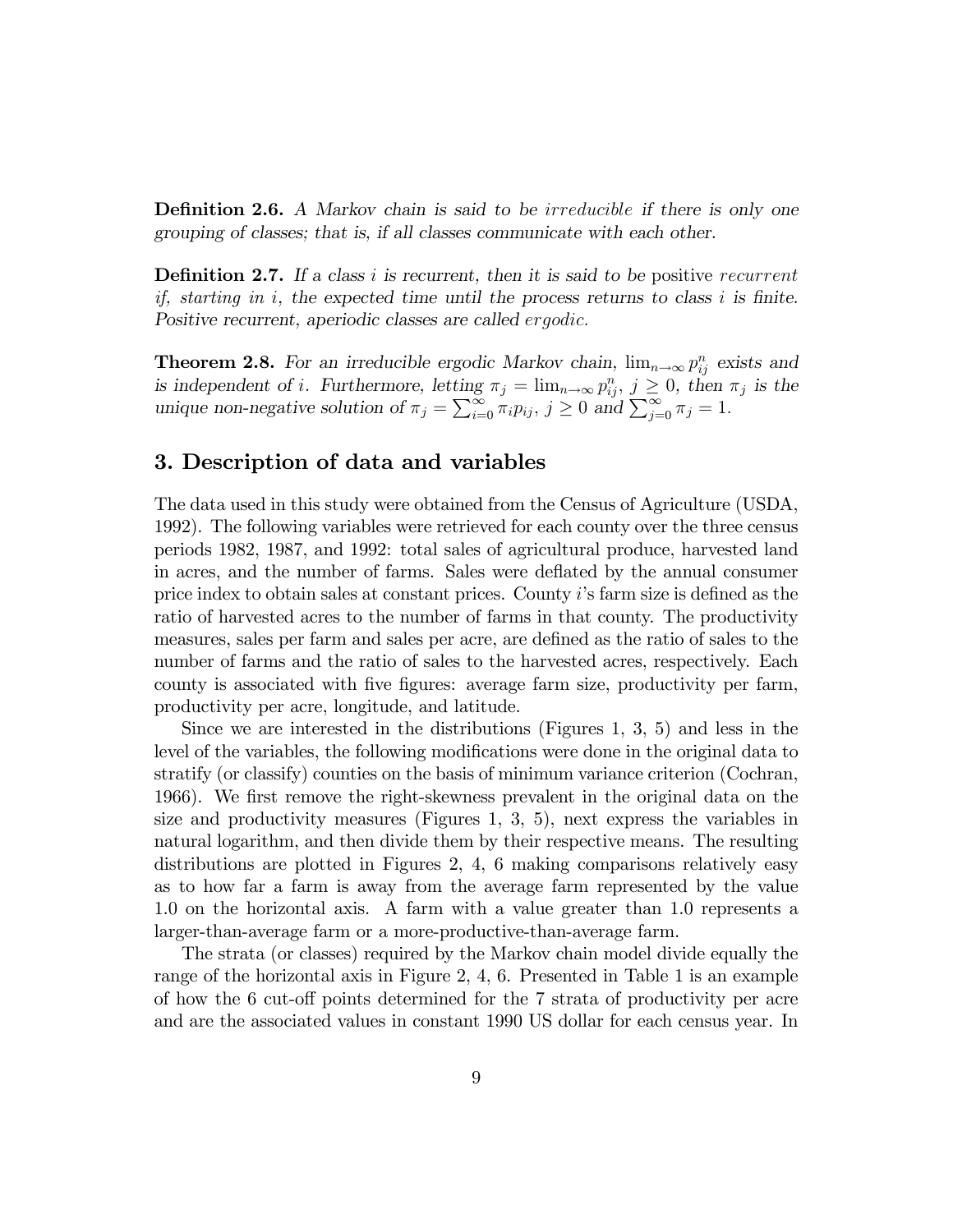**Definition 2.6.** A Markov chain is said to be *irreducible* if there is only one grouping of classes; that is, if all classes communicate with each other.

**Definition 2.7.** If a class i is recurrent, then it is said to be positive recurrent if, starting in i, the expected time until the process returns to class i is finite. Positive recurrent, aperiodic classes are called ergodic.

**Theorem 2.8.** For an irreducible ergodic Markov chain,  $\lim_{n\to\infty} p_{ij}^n$  exists and is independent of *i*. Furthermore, letting  $\pi_j = \lim_{n \to \infty} p_{ij}^n$ ,  $j \geq 0$ , then  $\pi_j$  is the unique non-negative solution of  $\pi_j = \sum_{i=0}^{\infty} \pi_i p_{ij}$ ,  $j \ge 0$  and  $\sum_{j=0}^{\infty} \pi_j = 1$ .

### 3. Description of data and variables

The data used in this study were obtained from the Census of Agriculture (USDA, 1992). The following variables were retrieved for each county over the three census periods 1982, 1987, and 1992: total sales of agricultural produce, harvested land in acres, and the number of farms. Sales were deflated by the annual consumer price index to obtain sales at constant prices. County  $i$ 's farm size is defined as the ratio of harvested acres to the number of farms in that county. The productivity measures, sales per farm and sales per acre, are defined as the ratio of sales to the number of farms and the ratio of sales to the harvested acres, respectively. Each county is associated with Öve Ögures: average farm size, productivity per farm, productivity per acre, longitude, and latitude.

Since we are interested in the distributions (Figures 1, 3, 5) and less in the level of the variables, the following modifications were done in the original data to stratify (or classify) counties on the basis of minimum variance criterion (Cochran, 1966). We first remove the right-skewness prevalent in the original data on the size and productivity measures (Figures 1, 3, 5), next express the variables in natural logarithm, and then divide them by their respective means. The resulting distributions are plotted in Figures 2, 4, 6 making comparisons relatively easy as to how far a farm is away from the average farm represented by the value 1.0 on the horizontal axis. A farm with a value greater than 1.0 represents a larger-than-average farm or a more-productive-than-average farm.

The strata (or classes) required by the Markov chain model divide equally the range of the horizontal axis in Figure 2, 4, 6. Presented in Table 1 is an example of how the  $6 \text{ cut-off points determined for the } 7 \text{ strata of productivity per acre}$ and are the associated values in constant 1990 US dollar for each census year. In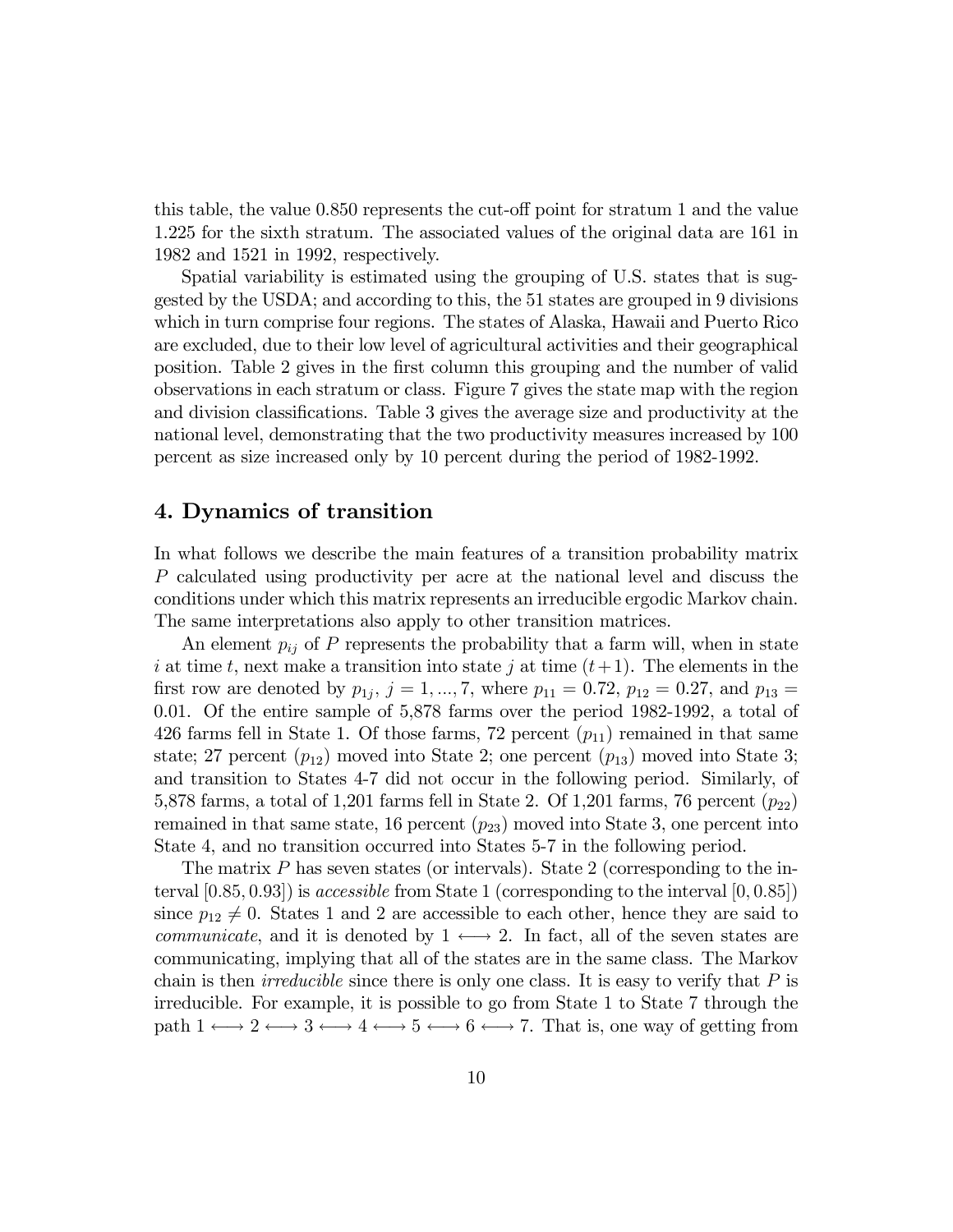this table, the value  $0.850$  represents the cut-off point for stratum 1 and the value 1.225 for the sixth stratum. The associated values of the original data are 161 in 1982 and 1521 in 1992, respectively.

Spatial variability is estimated using the grouping of U.S. states that is suggested by the USDA; and according to this, the 51 states are grouped in 9 divisions which in turn comprise four regions. The states of Alaska, Hawaii and Puerto Rico are excluded, due to their low level of agricultural activities and their geographical position. Table 2 gives in the first column this grouping and the number of valid observations in each stratum or class. Figure 7 gives the state map with the region and division classifications. Table 3 gives the average size and productivity at the national level, demonstrating that the two productivity measures increased by 100 percent as size increased only by 10 percent during the period of 1982-1992.

### 4. Dynamics of transition

In what follows we describe the main features of a transition probability matrix P calculated using productivity per acre at the national level and discuss the conditions under which this matrix represents an irreducible ergodic Markov chain. The same interpretations also apply to other transition matrices.

An element  $p_{ij}$  of P represents the probability that a farm will, when in state i at time t, next make a transition into state j at time  $(t+1)$ . The elements in the first row are denoted by  $p_{1j}, j = 1, ..., 7$ , where  $p_{11} = 0.72, p_{12} = 0.27$ , and  $p_{13} =$ 0.01. Of the entire sample of 5,878 farms over the period 1982-1992, a total of 426 farms fell in State 1. Of those farms, 72 percent  $(p_{11})$  remained in that same state; 27 percent  $(p_{12})$  moved into State 2; one percent  $(p_{13})$  moved into State 3; and transition to States 4-7 did not occur in the following period. Similarly, of 5,878 farms, a total of 1,201 farms fell in State 2. Of 1,201 farms, 76 percent  $(p_{22})$ remained in that same state, 16 percent  $(p_{23})$  moved into State 3, one percent into State 4, and no transition occurred into States 5-7 in the following period.

The matrix P has seven states (or intervals). State 2 (corresponding to the interval  $[0.85, 0.93]$  is *accessible* from State 1 (corresponding to the interval  $[0, 0.85]$ ) since  $p_{12} \neq 0$ . States 1 and 2 are accessible to each other, hence they are said to *communicate*, and it is denoted by  $1 \leftrightarrow 2$ . In fact, all of the seven states are communicating, implying that all of the states are in the same class. The Markov chain is then *irreducible* since there is only one class. It is easy to verify that  $P$  is irreducible. For example, it is possible to go from State 1 to State 7 through the path  $1 \longleftrightarrow 2 \longleftrightarrow 3 \longleftrightarrow 4 \longleftrightarrow 5 \longleftrightarrow 6 \longleftrightarrow 7$ . That is, one way of getting from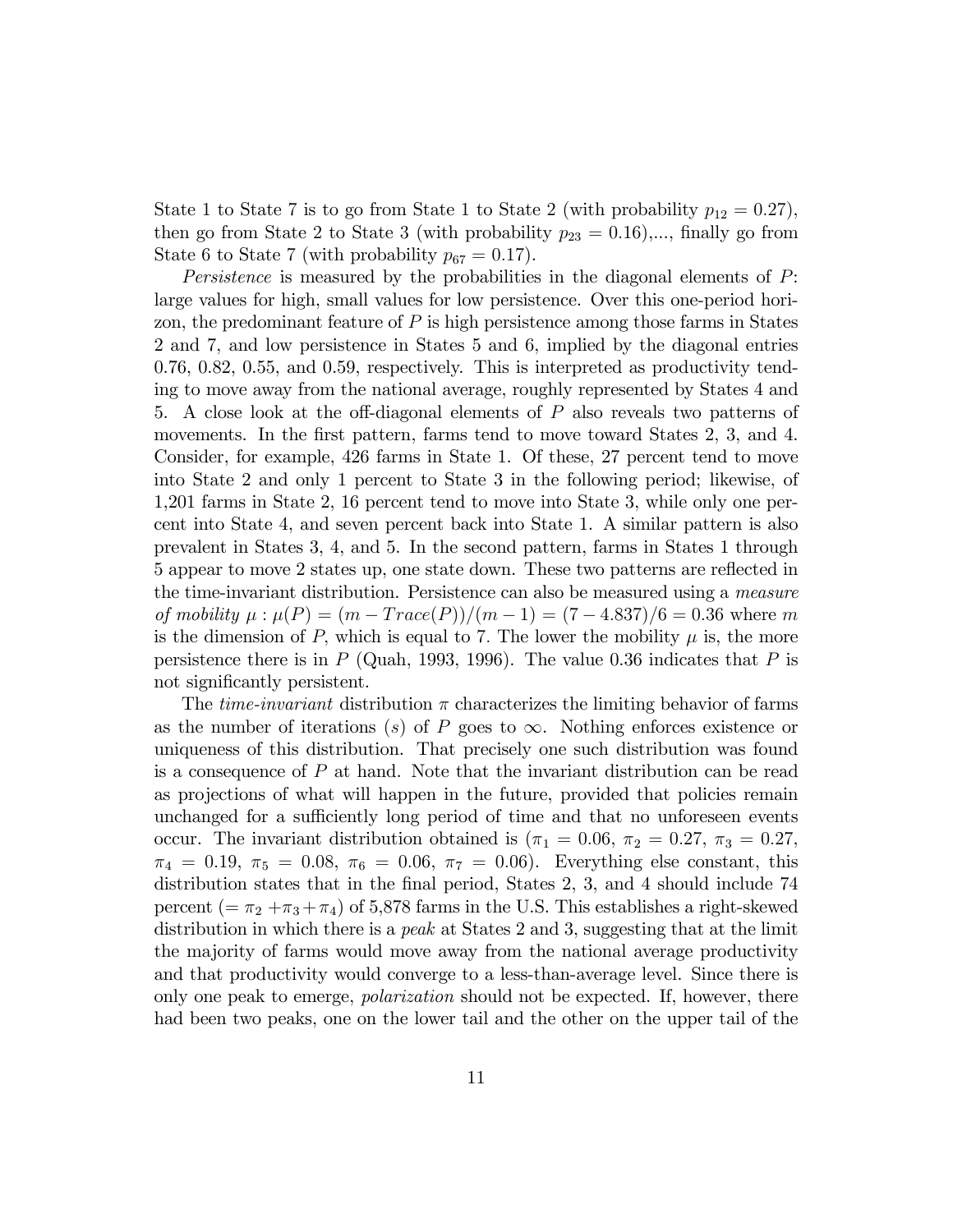State 1 to State 7 is to go from State 1 to State 2 (with probability  $p_{12} = 0.27$ ), then go from State 2 to State 3 (with probability  $p_{23} = 0.16$ ),..., finally go from State 6 to State 7 (with probability  $p_{67} = 0.17$ ).

Persistence is measured by the probabilities in the diagonal elements of P: large values for high, small values for low persistence. Over this one-period horizon, the predominant feature of  $P$  is high persistence among those farms in States 2 and 7, and low persistence in States 5 and 6, implied by the diagonal entries 0.76, 0.82, 0.55, and 0.59, respectively. This is interpreted as productivity tending to move away from the national average, roughly represented by States 4 and 5. A close look at the off-diagonal elements of  $P$  also reveals two patterns of movements. In the first pattern, farms tend to move toward States 2, 3, and 4. Consider, for example, 426 farms in State 1. Of these, 27 percent tend to move into State 2 and only 1 percent to State 3 in the following period; likewise, of 1,201 farms in State 2, 16 percent tend to move into State 3, while only one percent into State 4, and seven percent back into State 1. A similar pattern is also prevalent in States 3, 4, and 5. In the second pattern, farms in States 1 through 5 appear to move 2 states up, one state down. These two patterns are reáected in the time-invariant distribution. Persistence can also be measured using a measure of mobility  $\mu : \mu(P) = (m - Trace(P))/(m - 1) = (7 - 4.837)/6 = 0.36$  where m is the dimension of P, which is equal to 7. The lower the mobility  $\mu$  is, the more persistence there is in  $P$  (Quah, 1993, 1996). The value 0.36 indicates that  $P$  is not significantly persistent.

The *time-invariant* distribution  $\pi$  characterizes the limiting behavior of farms as the number of iterations (s) of P goes to  $\infty$ . Nothing enforces existence or uniqueness of this distribution. That precisely one such distribution was found is a consequence of  $P$  at hand. Note that the invariant distribution can be read as projections of what will happen in the future, provided that policies remain unchanged for a sufficiently long period of time and that no unforeseen events occur. The invariant distribution obtained is  $(\pi_1 = 0.06, \pi_2 = 0.27, \pi_3 = 0.27,$  $\pi_4 = 0.19, \pi_5 = 0.08, \pi_6 = 0.06, \pi_7 = 0.06$ . Everything else constant, this distribution states that in the final period, States 2, 3, and 4 should include 74 percent (=  $\pi_2 + \pi_3 + \pi_4$ ) of 5,878 farms in the U.S. This establishes a right-skewed distribution in which there is a *peak* at States 2 and 3, suggesting that at the limit the majority of farms would move away from the national average productivity and that productivity would converge to a less-than-average level. Since there is only one peak to emerge, *polarization* should not be expected. If, however, there had been two peaks, one on the lower tail and the other on the upper tail of the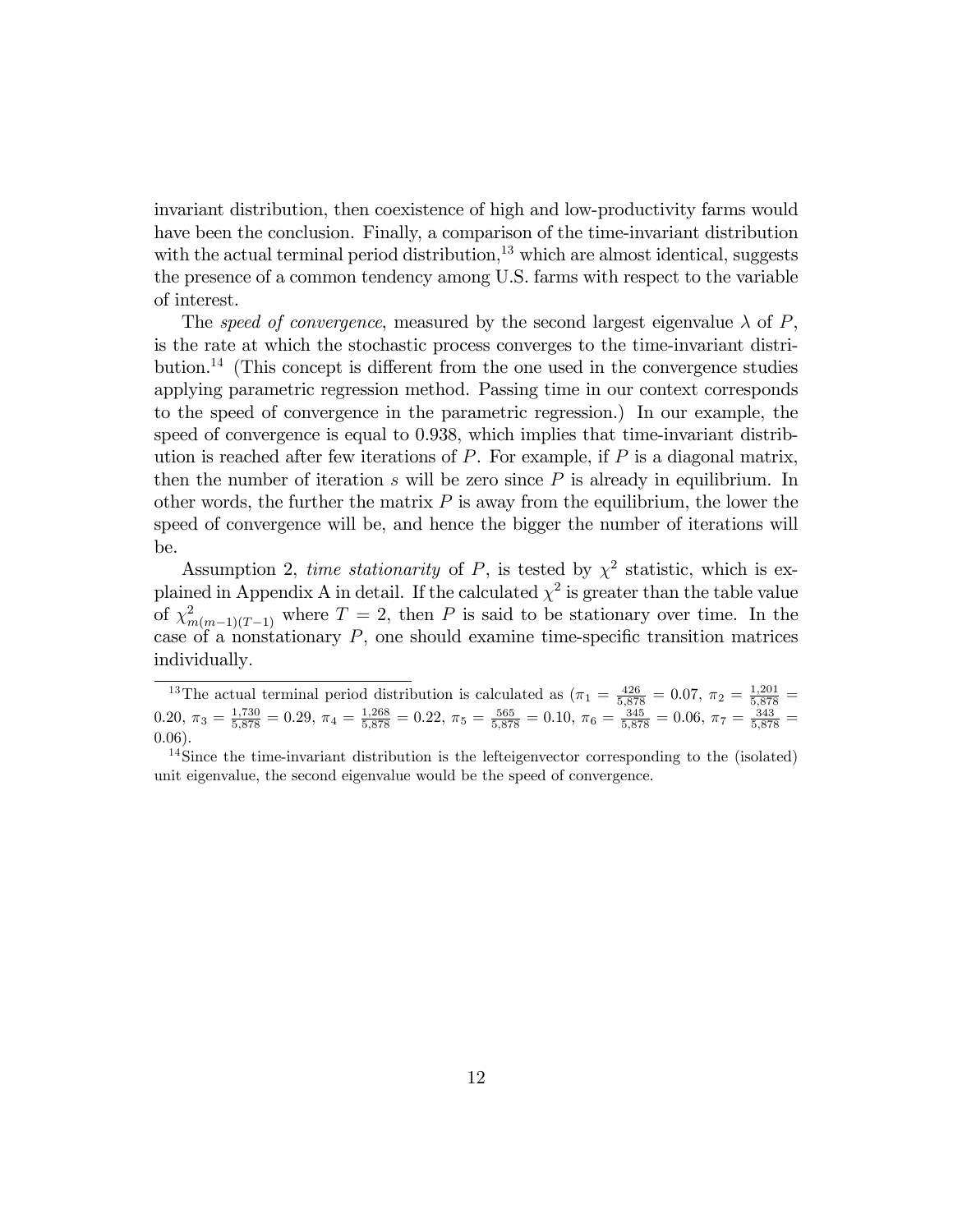invariant distribution, then coexistence of high and low-productivity farms would have been the conclusion. Finally, a comparison of the time-invariant distribution with the actual terminal period distribution, $13$  which are almost identical, suggests the presence of a common tendency among U.S. farms with respect to the variable of interest.

The speed of convergence, measured by the second largest eigenvalue  $\lambda$  of P, is the rate at which the stochastic process converges to the time-invariant distribution.<sup>14</sup> (This concept is different from the one used in the convergence studies applying parametric regression method. Passing time in our context corresponds to the speed of convergence in the parametric regression.) In our example, the speed of convergence is equal to 0.938, which implies that time-invariant distribution is reached after few iterations of  $P$ . For example, if  $P$  is a diagonal matrix, then the number of iteration  $s$  will be zero since  $P$  is already in equilibrium. In other words, the further the matrix  $P$  is away from the equilibrium, the lower the speed of convergence will be, and hence the bigger the number of iterations will be.

Assumption 2, time stationarity of P, is tested by  $\chi^2$  statistic, which is explained in Appendix A in detail. If the calculated  $\chi^2$  is greater than the table value of  $\chi^2_{m(m-1)(T-1)}$  where  $T=2$ , then P is said to be stationary over time. In the case of a nonstationary  $P$ , one should examine time-specific transition matrices individually:

<sup>&</sup>lt;sup>13</sup>The actual terminal period distribution is calculated as  $(\pi_1 = \frac{426}{5,878} = 0.07, \pi_2 = \frac{1,201}{5,878}$ 0.20,  $\pi_3 = \frac{1,730}{5,878} = 0.29$ ,  $\pi_4 = \frac{1,268}{5,878} = 0.22$ ,  $\pi_5 = \frac{565}{5,878} = 0.10$ ,  $\pi_6 = \frac{345}{5,878} = 0.06$ ,  $\pi_7 = \frac{343}{5,878} =$ 0:06).

<sup>&</sup>lt;sup>14</sup>Since the time-invariant distribution is the lefteigenvector corresponding to the (isolated) unit eigenvalue, the second eigenvalue would be the speed of convergence.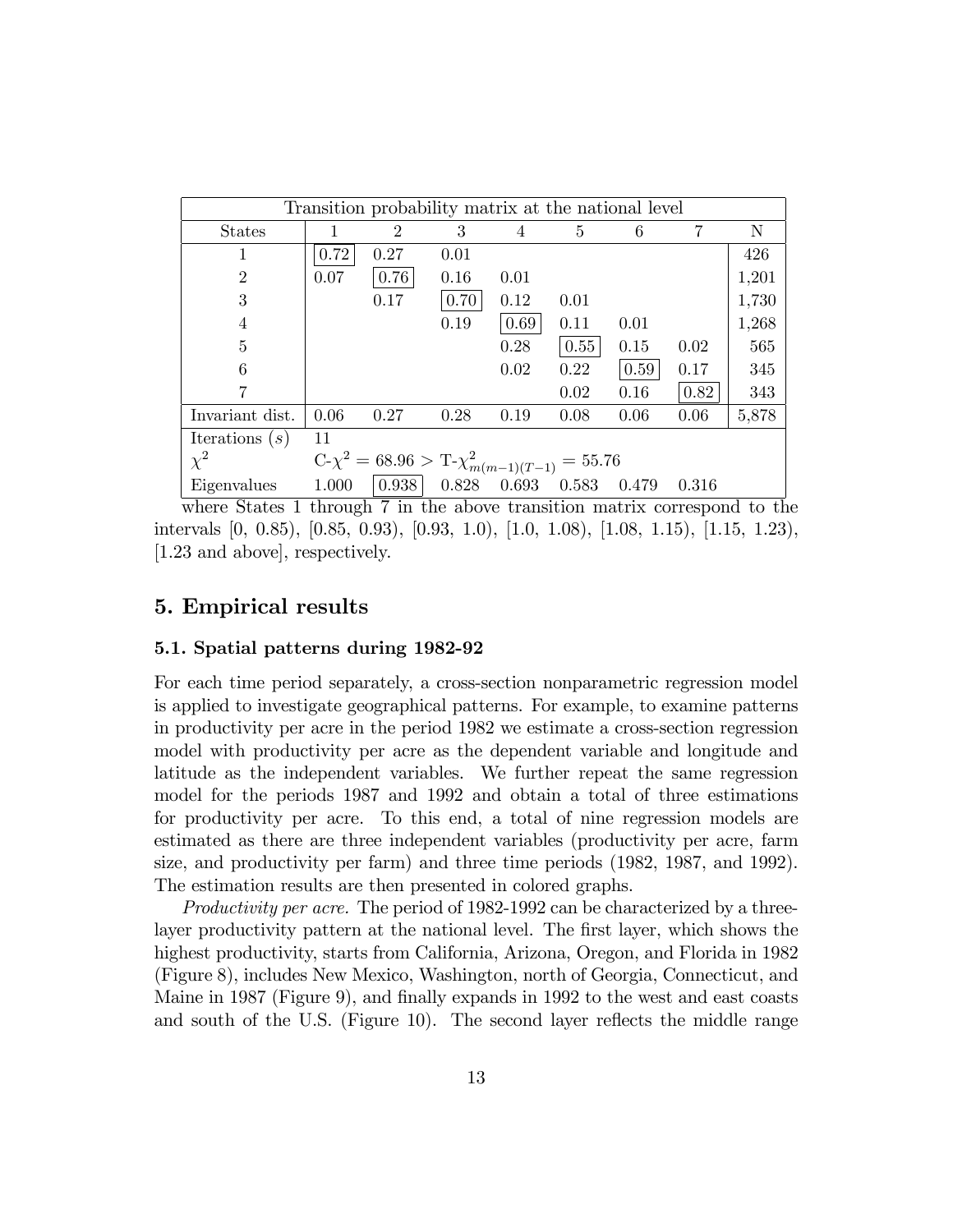|                  |       | Transition probability matrix at the national level |       |       |       |       |       |       |
|------------------|-------|-----------------------------------------------------|-------|-------|-------|-------|-------|-------|
| <b>States</b>    |       | $\overline{2}$                                      | 3     | 4     | 5     | 6     |       | N     |
|                  | 0.72  | 0.27                                                | 0.01  |       |       |       |       | 426   |
| $\overline{2}$   | 0.07  | 0.76                                                | 0.16  | 0.01  |       |       |       | 1,201 |
| 3                |       | 0.17                                                | 0.70  | 0.12  | 0.01  |       |       | 1,730 |
| 4                |       |                                                     | 0.19  | 0.69  | 0.11  | 0.01  |       | 1,268 |
| 5                |       |                                                     |       | 0.28  | 0.55  | 0.15  | 0.02  | 565   |
| 6                |       |                                                     |       | 0.02  | 0.22  | 0.59  | 0.17  | 345   |
|                  |       |                                                     |       |       | 0.02  | 0.16  | 0.82  | 343   |
| Invariant dist.  | 0.06  | 0.27                                                | 0.28  | 0.19  | 0.08  | 0.06  | 0.06  | 5,878 |
| Iterations $(s)$ | 11    |                                                     |       |       |       |       |       |       |
| $\chi^2$         |       | $C-\chi^2 = 68.96 > T-\chi^2_{m(m-1)(T-1)} = 55.76$ |       |       |       |       |       |       |
| Eigenvalues      | 1.000 | 0.938                                               | 0.828 | 0.693 | 0.583 | 0.479 | 0.316 |       |

where States 1 through 7 in the above transition matrix correspond to the intervals [0, 0.85), [0.85, 0.93), [0.93, 1.0), [1.0, 1.08), [1.08, 1.15), [1.15, 1.23), [1.23 and above], respectively.

### 5. Empirical results

#### 5.1. Spatial patterns during 1982-92

For each time period separately, a cross-section nonparametric regression model is applied to investigate geographical patterns. For example, to examine patterns in productivity per acre in the period 1982 we estimate a cross-section regression model with productivity per acre as the dependent variable and longitude and latitude as the independent variables. We further repeat the same regression model for the periods 1987 and 1992 and obtain a total of three estimations for productivity per acre. To this end, a total of nine regression models are estimated as there are three independent variables (productivity per acre, farm size, and productivity per farm) and three time periods (1982, 1987, and 1992). The estimation results are then presented in colored graphs.

Productivity per acre. The period of 1982-1992 can be characterized by a threelayer productivity pattern at the national level. The first layer, which shows the highest productivity, starts from California, Arizona, Oregon, and Florida in 1982 (Figure 8), includes New Mexico, Washington, north of Georgia, Connecticut, and Maine in 1987 (Figure 9), and finally expands in 1992 to the west and east coasts and south of the U.S. (Figure 10). The second layer reflects the middle range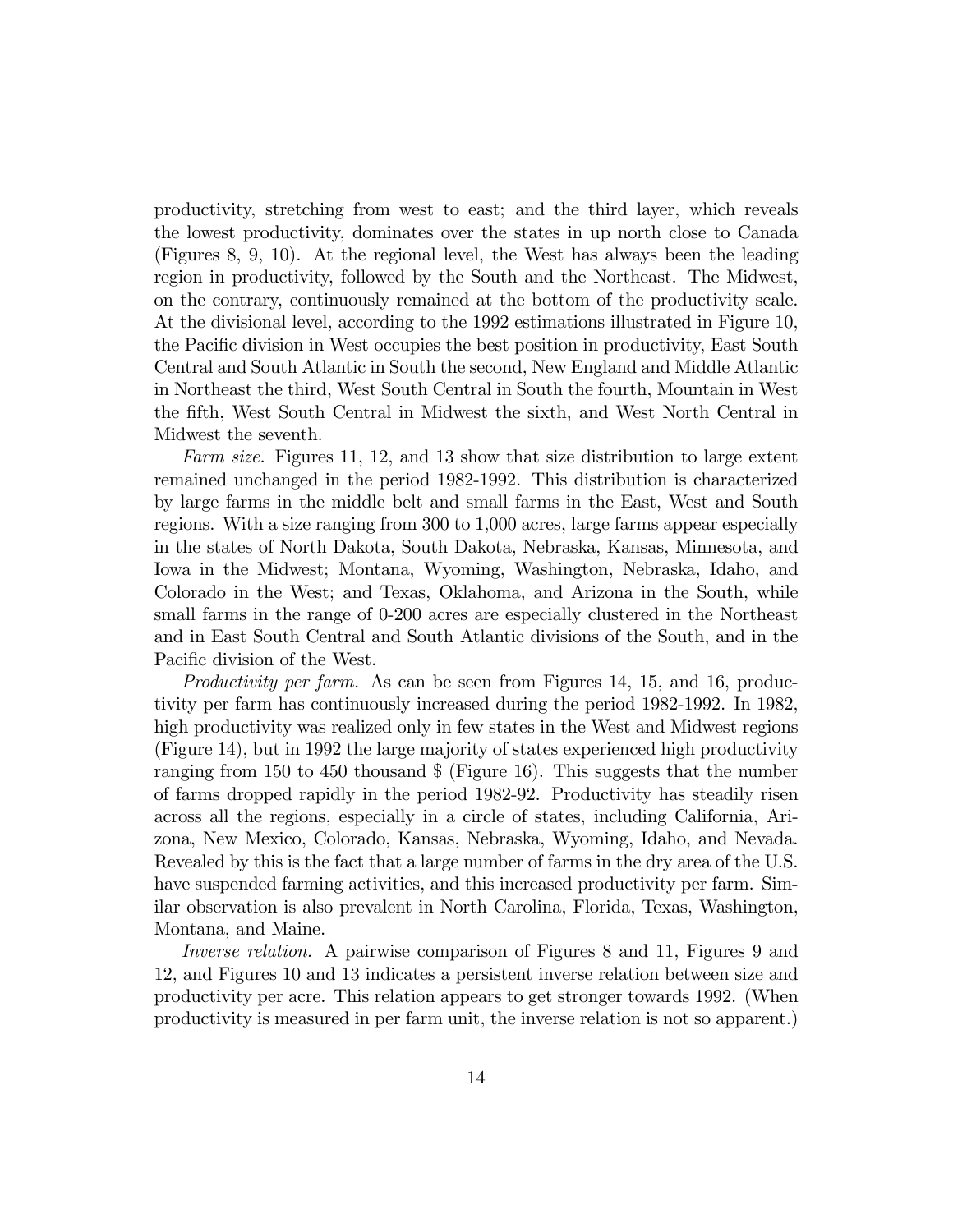productivity, stretching from west to east; and the third layer, which reveals the lowest productivity, dominates over the states in up north close to Canada (Figures 8, 9, 10). At the regional level, the West has always been the leading region in productivity, followed by the South and the Northeast. The Midwest, on the contrary, continuously remained at the bottom of the productivity scale. At the divisional level, according to the 1992 estimations illustrated in Figure 10, the Pacific division in West occupies the best position in productivity, East South Central and South Atlantic in South the second, New England and Middle Atlantic in Northeast the third, West South Central in South the fourth, Mountain in West the Öfth, West South Central in Midwest the sixth, and West North Central in Midwest the seventh.

Farm size. Figures 11, 12, and 13 show that size distribution to large extent remained unchanged in the period 1982-1992. This distribution is characterized by large farms in the middle belt and small farms in the East, West and South regions. With a size ranging from 300 to 1,000 acres, large farms appear especially in the states of North Dakota, South Dakota, Nebraska, Kansas, Minnesota, and Iowa in the Midwest; Montana, Wyoming, Washington, Nebraska, Idaho, and Colorado in the West; and Texas, Oklahoma, and Arizona in the South, while small farms in the range of 0-200 acres are especially clustered in the Northeast and in East South Central and South Atlantic divisions of the South, and in the Pacific division of the West.

Productivity per farm. As can be seen from Figures 14, 15, and 16, productivity per farm has continuously increased during the period 1982-1992. In 1982, high productivity was realized only in few states in the West and Midwest regions (Figure 14), but in 1992 the large majority of states experienced high productivity ranging from 150 to 450 thousand \$ (Figure 16). This suggests that the number of farms dropped rapidly in the period 1982-92. Productivity has steadily risen across all the regions, especially in a circle of states, including California, Arizona, New Mexico, Colorado, Kansas, Nebraska, Wyoming, Idaho, and Nevada. Revealed by this is the fact that a large number of farms in the dry area of the U.S. have suspended farming activities, and this increased productivity per farm. Similar observation is also prevalent in North Carolina, Florida, Texas, Washington, Montana, and Maine.

Inverse relation. A pairwise comparison of Figures 8 and 11, Figures 9 and 12, and Figures 10 and 13 indicates a persistent inverse relation between size and productivity per acre. This relation appears to get stronger towards 1992. (When productivity is measured in per farm unit, the inverse relation is not so apparent.)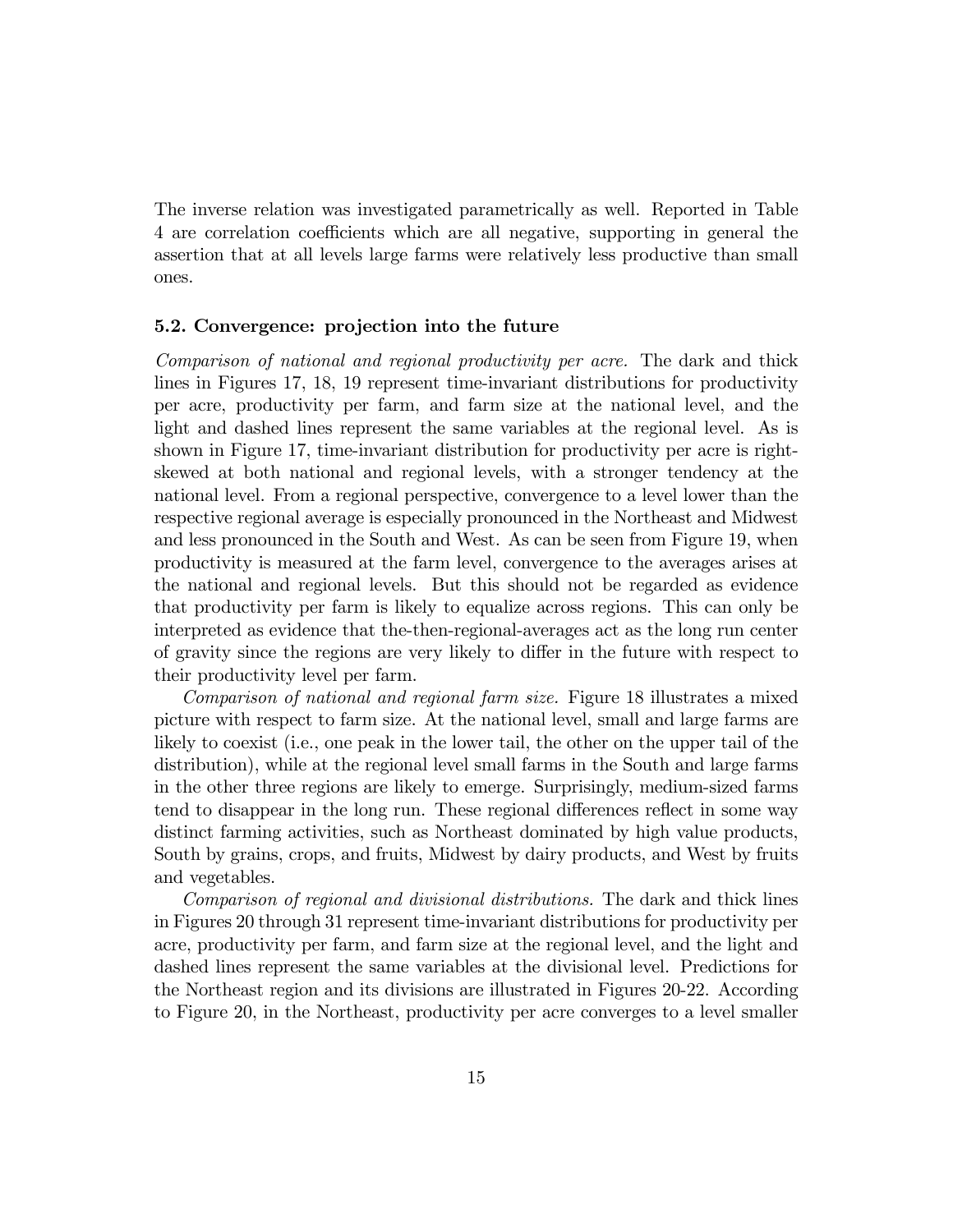The inverse relation was investigated parametrically as well. Reported in Table 4 are correlation coefficients which are all negative, supporting in general the assertion that at all levels large farms were relatively less productive than small ones.

#### 5.2. Convergence: projection into the future

Comparison of national and regional productivity per acre. The dark and thick lines in Figures 17, 18, 19 represent time-invariant distributions for productivity per acre, productivity per farm, and farm size at the national level, and the light and dashed lines represent the same variables at the regional level. As is shown in Figure 17, time-invariant distribution for productivity per acre is rightskewed at both national and regional levels, with a stronger tendency at the national level. From a regional perspective, convergence to a level lower than the respective regional average is especially pronounced in the Northeast and Midwest and less pronounced in the South and West. As can be seen from Figure 19, when productivity is measured at the farm level, convergence to the averages arises at the national and regional levels. But this should not be regarded as evidence that productivity per farm is likely to equalize across regions. This can only be interpreted as evidence that the-then-regional-averages act as the long run center of gravity since the regions are very likely to differ in the future with respect to their productivity level per farm.

Comparison of national and regional farm size. Figure 18 illustrates a mixed picture with respect to farm size. At the national level, small and large farms are likely to coexist (i.e., one peak in the lower tail, the other on the upper tail of the distribution), while at the regional level small farms in the South and large farms in the other three regions are likely to emerge. Surprisingly, medium-sized farms tend to disappear in the long run. These regional differences reflect in some way distinct farming activities, such as Northeast dominated by high value products, South by grains, crops, and fruits, Midwest by dairy products, and West by fruits and vegetables.

Comparison of regional and divisional distributions. The dark and thick lines in Figures 20 through 31 represent time-invariant distributions for productivity per acre, productivity per farm, and farm size at the regional level, and the light and dashed lines represent the same variables at the divisional level. Predictions for the Northeast region and its divisions are illustrated in Figures 20-22. According to Figure 20, in the Northeast, productivity per acre converges to a level smaller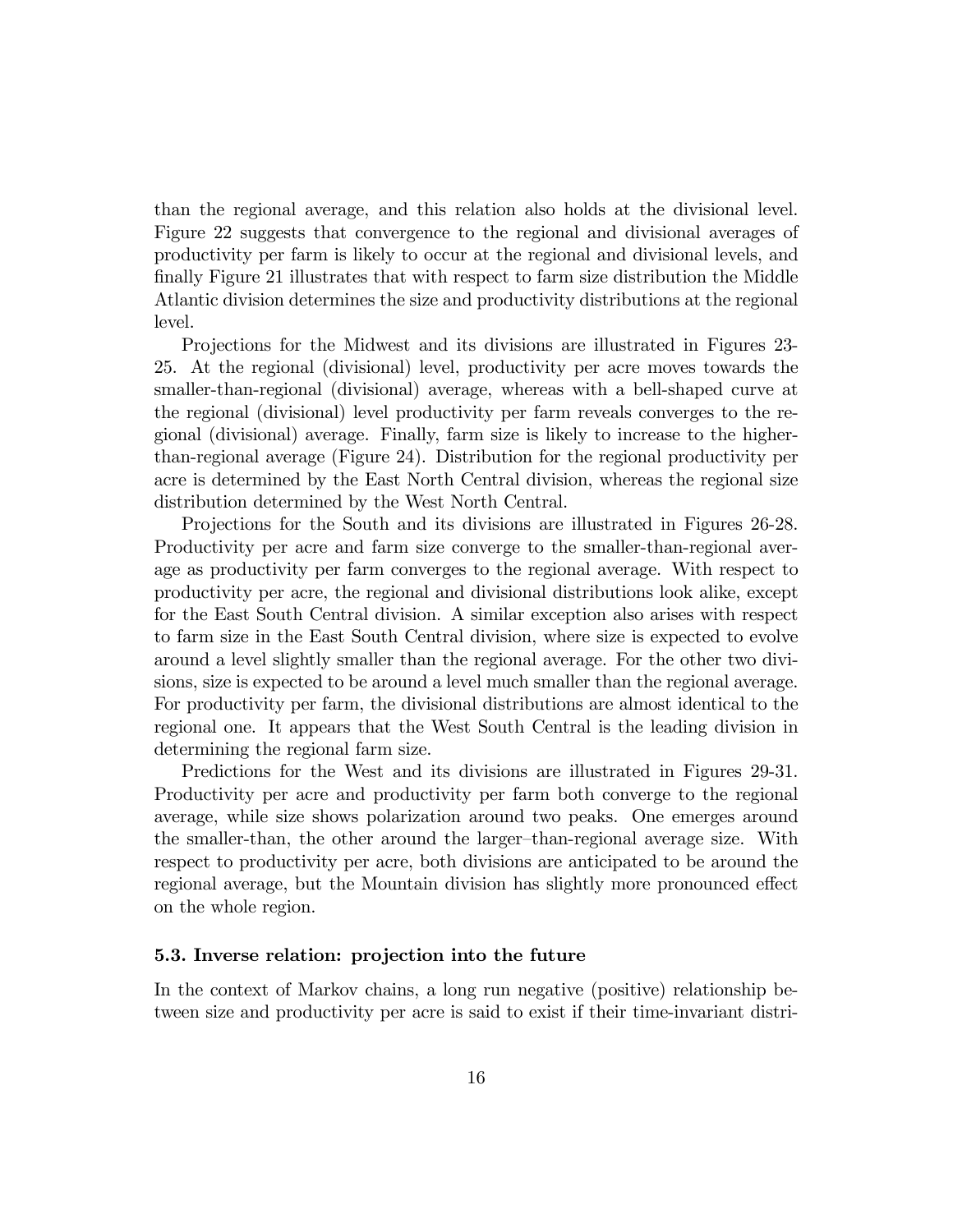than the regional average, and this relation also holds at the divisional level. Figure 22 suggests that convergence to the regional and divisional averages of productivity per farm is likely to occur at the regional and divisional levels, and Önally Figure 21 illustrates that with respect to farm size distribution the Middle Atlantic division determines the size and productivity distributions at the regional level.

Projections for the Midwest and its divisions are illustrated in Figures 23- 25. At the regional (divisional) level, productivity per acre moves towards the smaller-than-regional (divisional) average, whereas with a bell-shaped curve at the regional (divisional) level productivity per farm reveals converges to the regional (divisional) average. Finally, farm size is likely to increase to the higherthan-regional average (Figure 24). Distribution for the regional productivity per acre is determined by the East North Central division, whereas the regional size distribution determined by the West North Central.

Projections for the South and its divisions are illustrated in Figures 26-28. Productivity per acre and farm size converge to the smaller-than-regional average as productivity per farm converges to the regional average. With respect to productivity per acre, the regional and divisional distributions look alike, except for the East South Central division. A similar exception also arises with respect to farm size in the East South Central division, where size is expected to evolve around a level slightly smaller than the regional average. For the other two divisions, size is expected to be around a level much smaller than the regional average. For productivity per farm, the divisional distributions are almost identical to the regional one. It appears that the West South Central is the leading division in determining the regional farm size.

Predictions for the West and its divisions are illustrated in Figures 29-31. Productivity per acre and productivity per farm both converge to the regional average, while size shows polarization around two peaks. One emerges around the smaller-than, the other around the larger-than-regional average size. With respect to productivity per acre, both divisions are anticipated to be around the regional average, but the Mountain division has slightly more pronounced effect on the whole region.

#### 5.3. Inverse relation: projection into the future

In the context of Markov chains, a long run negative (positive) relationship between size and productivity per acre is said to exist if their time-invariant distri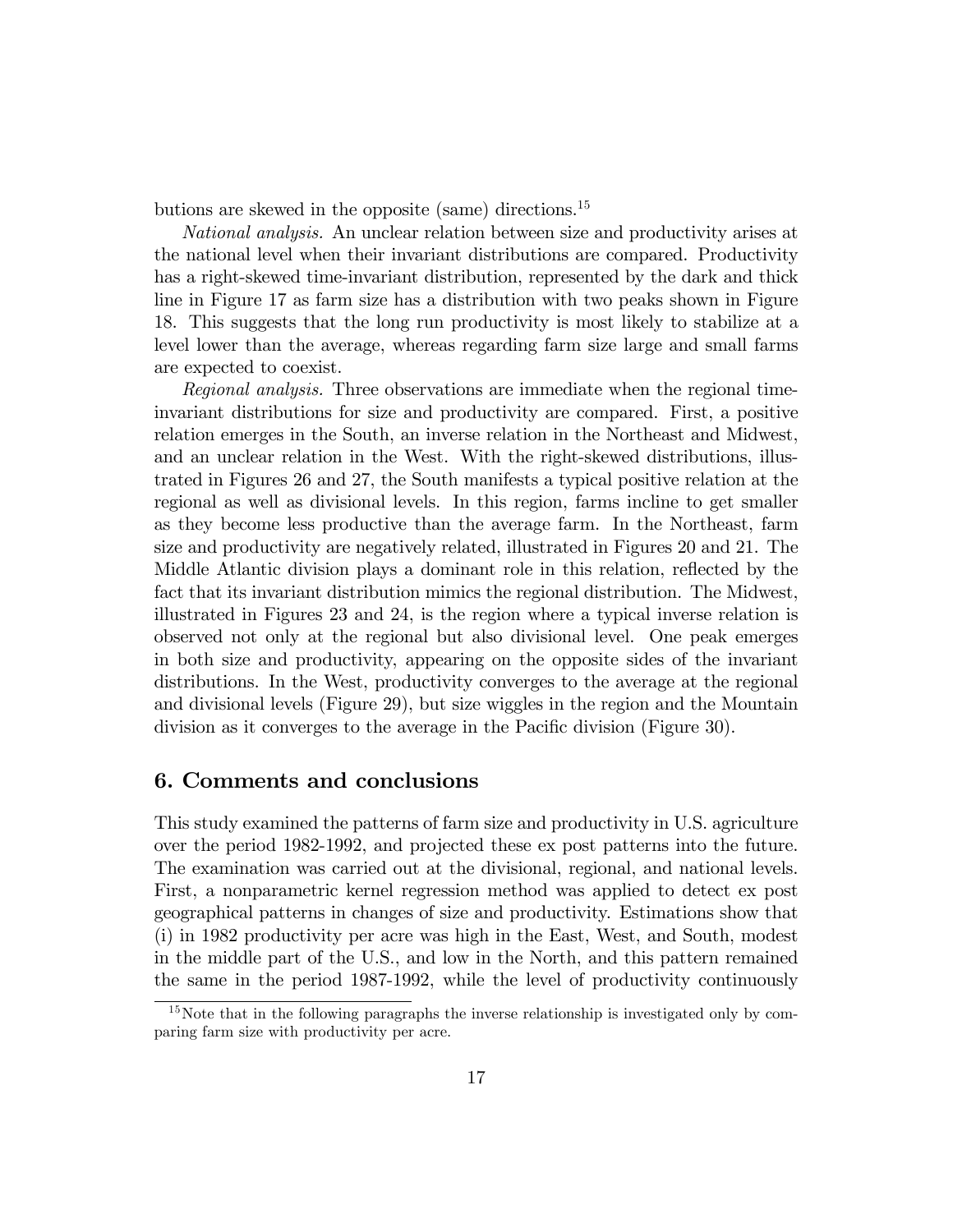butions are skewed in the opposite (same) directions.<sup>15</sup>

National analysis. An unclear relation between size and productivity arises at the national level when their invariant distributions are compared. Productivity has a right-skewed time-invariant distribution, represented by the dark and thick line in Figure 17 as farm size has a distribution with two peaks shown in Figure 18. This suggests that the long run productivity is most likely to stabilize at a level lower than the average, whereas regarding farm size large and small farms are expected to coexist.

Regional analysis. Three observations are immediate when the regional timeinvariant distributions for size and productivity are compared. First, a positive relation emerges in the South, an inverse relation in the Northeast and Midwest, and an unclear relation in the West. With the right-skewed distributions, illustrated in Figures 26 and 27, the South manifests a typical positive relation at the regional as well as divisional levels. In this region, farms incline to get smaller as they become less productive than the average farm. In the Northeast, farm size and productivity are negatively related, illustrated in Figures 20 and 21. The Middle Atlantic division plays a dominant role in this relation, reflected by the fact that its invariant distribution mimics the regional distribution. The Midwest, illustrated in Figures 23 and 24, is the region where a typical inverse relation is observed not only at the regional but also divisional level. One peak emerges in both size and productivity, appearing on the opposite sides of the invariant distributions. In the West, productivity converges to the average at the regional and divisional levels (Figure 29), but size wiggles in the region and the Mountain division as it converges to the average in the Pacific division (Figure 30).

### 6. Comments and conclusions

This study examined the patterns of farm size and productivity in U.S. agriculture over the period 1982-1992, and projected these ex post patterns into the future. The examination was carried out at the divisional, regional, and national levels. First, a nonparametric kernel regression method was applied to detect ex post geographical patterns in changes of size and productivity. Estimations show that (i) in 1982 productivity per acre was high in the East, West, and South, modest in the middle part of the U.S., and low in the North, and this pattern remained the same in the period 1987-1992, while the level of productivity continuously

<sup>&</sup>lt;sup>15</sup>Note that in the following paragraphs the inverse relationship is investigated only by comparing farm size with productivity per acre.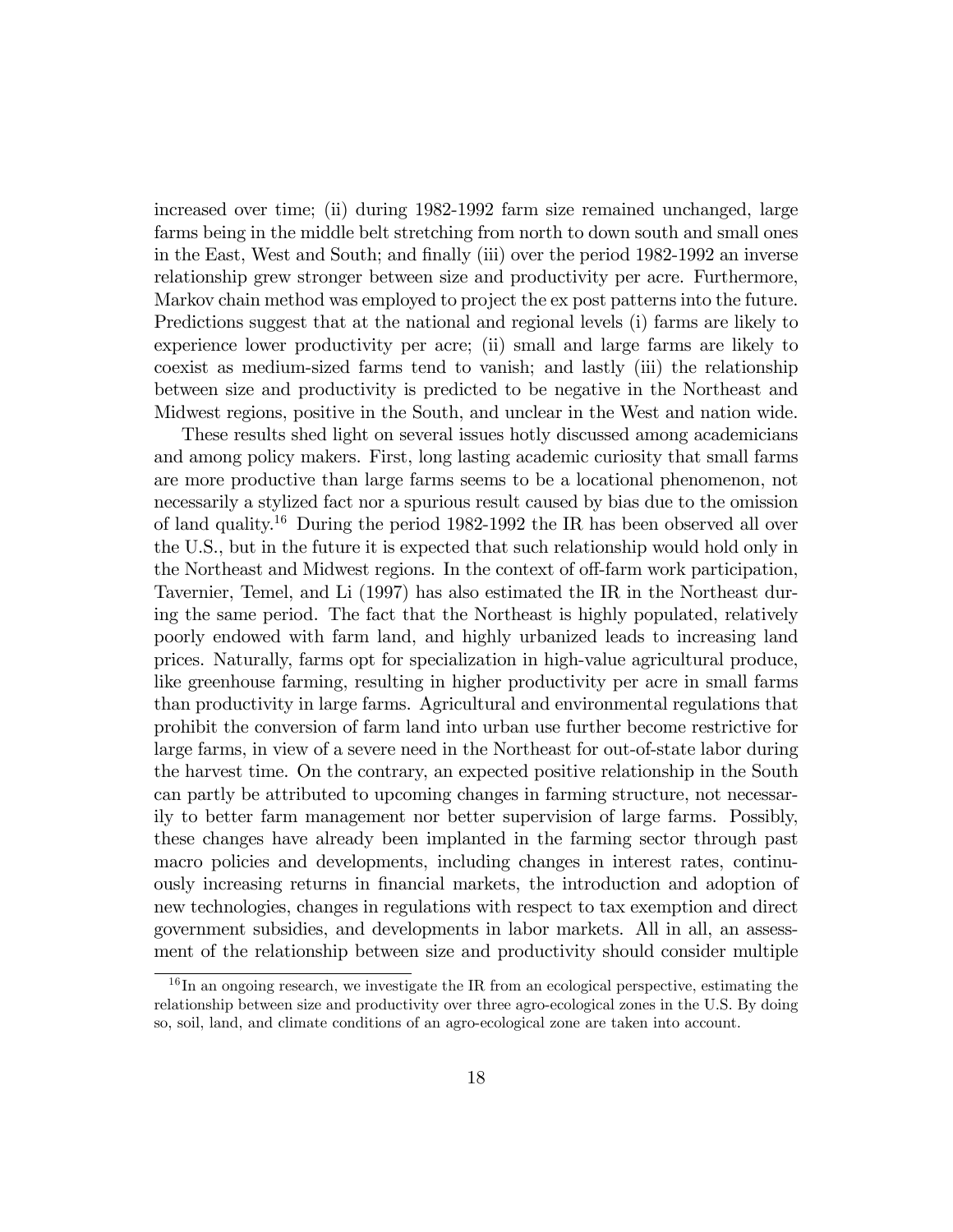increased over time; (ii) during 1982-1992 farm size remained unchanged, large farms being in the middle belt stretching from north to down south and small ones in the East, West and South; and finally (iii) over the period 1982-1992 an inverse relationship grew stronger between size and productivity per acre. Furthermore, Markov chain method was employed to project the ex post patterns into the future. Predictions suggest that at the national and regional levels (i) farms are likely to experience lower productivity per acre; (ii) small and large farms are likely to coexist as medium-sized farms tend to vanish; and lastly (iii) the relationship between size and productivity is predicted to be negative in the Northeast and Midwest regions, positive in the South, and unclear in the West and nation wide.

These results shed light on several issues hotly discussed among academicians and among policy makers. First, long lasting academic curiosity that small farms are more productive than large farms seems to be a locational phenomenon, not necessarily a stylized fact nor a spurious result caused by bias due to the omission of land quality.<sup>16</sup> During the period 1982-1992 the IR has been observed all over the U.S., but in the future it is expected that such relationship would hold only in the Northeast and Midwest regions. In the context of off-farm work participation, Tavernier, Temel, and Li (1997) has also estimated the IR in the Northeast during the same period. The fact that the Northeast is highly populated, relatively poorly endowed with farm land, and highly urbanized leads to increasing land prices. Naturally, farms opt for specialization in high-value agricultural produce, like greenhouse farming, resulting in higher productivity per acre in small farms than productivity in large farms. Agricultural and environmental regulations that prohibit the conversion of farm land into urban use further become restrictive for large farms, in view of a severe need in the Northeast for out-of-state labor during the harvest time. On the contrary, an expected positive relationship in the South can partly be attributed to upcoming changes in farming structure, not necessarily to better farm management nor better supervision of large farms. Possibly, these changes have already been implanted in the farming sector through past macro policies and developments, including changes in interest rates, continuously increasing returns in Önancial markets, the introduction and adoption of new technologies, changes in regulations with respect to tax exemption and direct government subsidies, and developments in labor markets. All in all, an assessment of the relationship between size and productivity should consider multiple

 $16$  In an ongoing research, we investigate the IR from an ecological perspective, estimating the relationship between size and productivity over three agro-ecological zones in the U.S. By doing so, soil, land, and climate conditions of an agro-ecological zone are taken into account.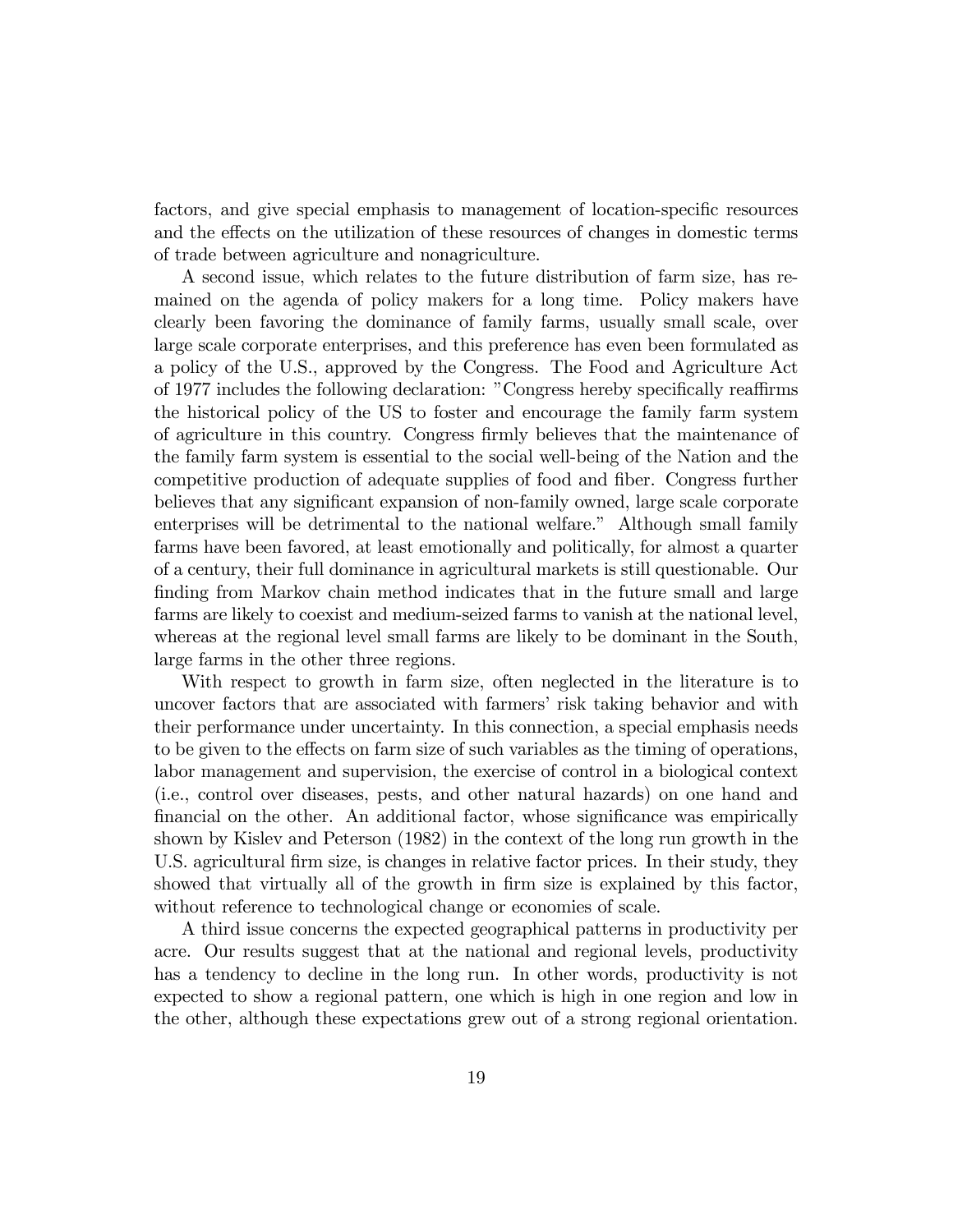factors, and give special emphasis to management of location-specific resources and the effects on the utilization of these resources of changes in domestic terms of trade between agriculture and nonagriculture.

A second issue, which relates to the future distribution of farm size, has remained on the agenda of policy makers for a long time. Policy makers have clearly been favoring the dominance of family farms, usually small scale, over large scale corporate enterprises, and this preference has even been formulated as a policy of the U.S., approved by the Congress. The Food and Agriculture Act of 1977 includes the following declaration: "Congress hereby specifically reaffirms the historical policy of the US to foster and encourage the family farm system of agriculture in this country. Congress Örmly believes that the maintenance of the family farm system is essential to the social well-being of the Nation and the competitive production of adequate supplies of food and Öber. Congress further believes that any significant expansion of non-family owned, large scale corporate enterprises will be detrimental to the national welfare." Although small family farms have been favored, at least emotionally and politically, for almost a quarter of a century, their full dominance in agricultural markets is still questionable. Our finding from Markov chain method indicates that in the future small and large farms are likely to coexist and medium-seized farms to vanish at the national level, whereas at the regional level small farms are likely to be dominant in the South, large farms in the other three regions.

With respect to growth in farm size, often neglected in the literature is to uncover factors that are associated with farmers' risk taking behavior and with their performance under uncertainty. In this connection, a special emphasis needs to be given to the effects on farm size of such variables as the timing of operations, labor management and supervision, the exercise of control in a biological context (i.e., control over diseases, pests, and other natural hazards) on one hand and financial on the other. An additional factor, whose significance was empirically shown by Kislev and Peterson (1982) in the context of the long run growth in the U.S. agricultural firm size, is changes in relative factor prices. In their study, they showed that virtually all of the growth in firm size is explained by this factor, without reference to technological change or economies of scale.

A third issue concerns the expected geographical patterns in productivity per acre. Our results suggest that at the national and regional levels, productivity has a tendency to decline in the long run. In other words, productivity is not expected to show a regional pattern, one which is high in one region and low in the other, although these expectations grew out of a strong regional orientation.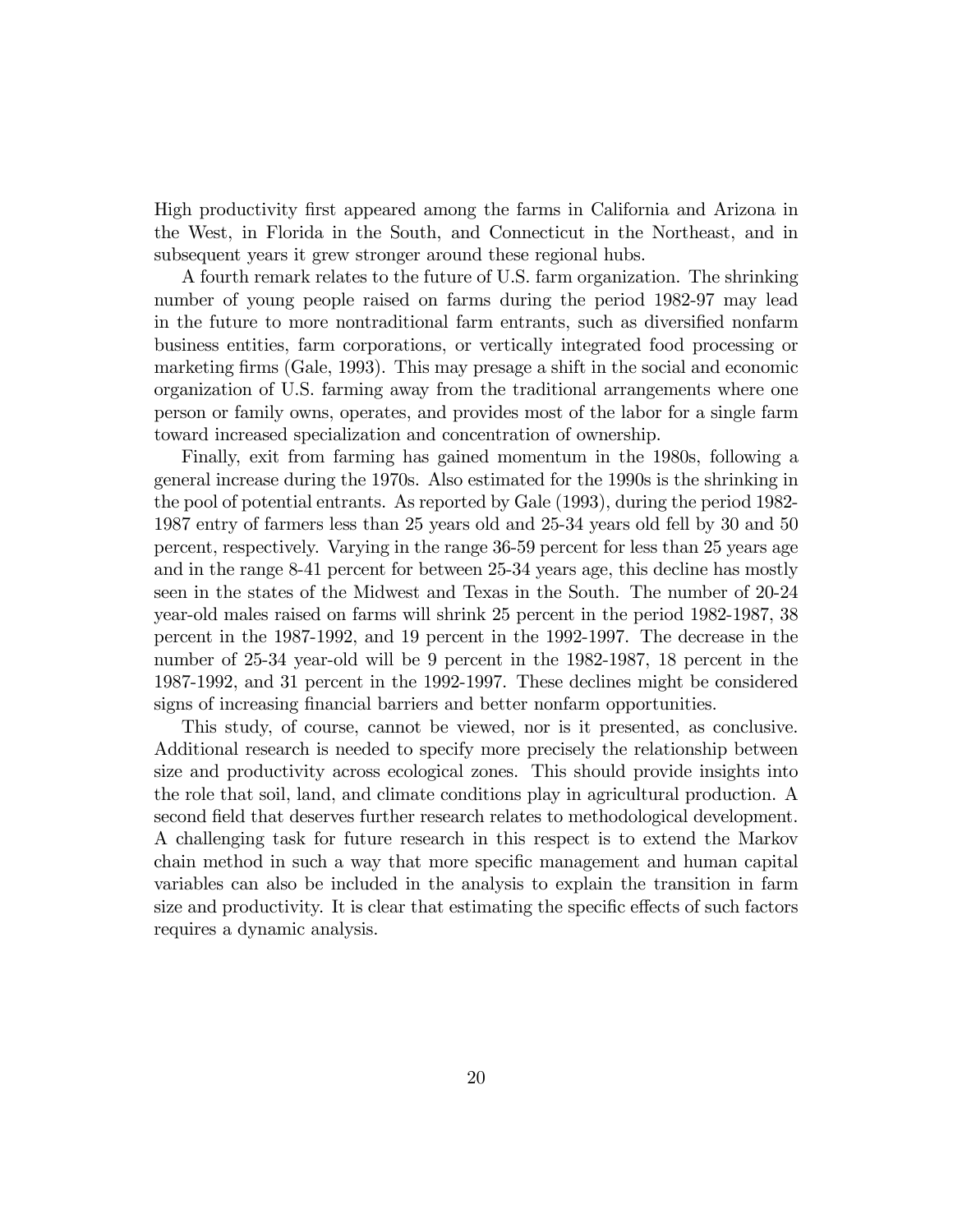High productivity Örst appeared among the farms in California and Arizona in the West, in Florida in the South, and Connecticut in the Northeast, and in subsequent years it grew stronger around these regional hubs.

A fourth remark relates to the future of U.S. farm organization. The shrinking number of young people raised on farms during the period 1982-97 may lead in the future to more nontraditional farm entrants, such as diversified nonfarm business entities, farm corporations, or vertically integrated food processing or marketing firms (Gale, 1993). This may presage a shift in the social and economic organization of U.S. farming away from the traditional arrangements where one person or family owns, operates, and provides most of the labor for a single farm toward increased specialization and concentration of ownership.

Finally, exit from farming has gained momentum in the 1980s, following a general increase during the 1970s. Also estimated for the 1990s is the shrinking in the pool of potential entrants. As reported by Gale (1993), during the period 1982- 1987 entry of farmers less than 25 years old and 25-34 years old fell by 30 and 50 percent, respectively. Varying in the range 36-59 percent for less than 25 years age and in the range 8-41 percent for between 25-34 years age, this decline has mostly seen in the states of the Midwest and Texas in the South. The number of 20-24 year-old males raised on farms will shrink 25 percent in the period 1982-1987, 38 percent in the 1987-1992, and 19 percent in the 1992-1997. The decrease in the number of 25-34 year-old will be 9 percent in the 1982-1987, 18 percent in the 1987-1992, and 31 percent in the 1992-1997. These declines might be considered signs of increasing financial barriers and better nonfarm opportunities.

This study, of course, cannot be viewed, nor is it presented, as conclusive. Additional research is needed to specify more precisely the relationship between size and productivity across ecological zones. This should provide insights into the role that soil, land, and climate conditions play in agricultural production. A second field that deserves further research relates to methodological development. A challenging task for future research in this respect is to extend the Markov chain method in such a way that more specific management and human capital variables can also be included in the analysis to explain the transition in farm size and productivity. It is clear that estimating the specific effects of such factors requires a dynamic analysis.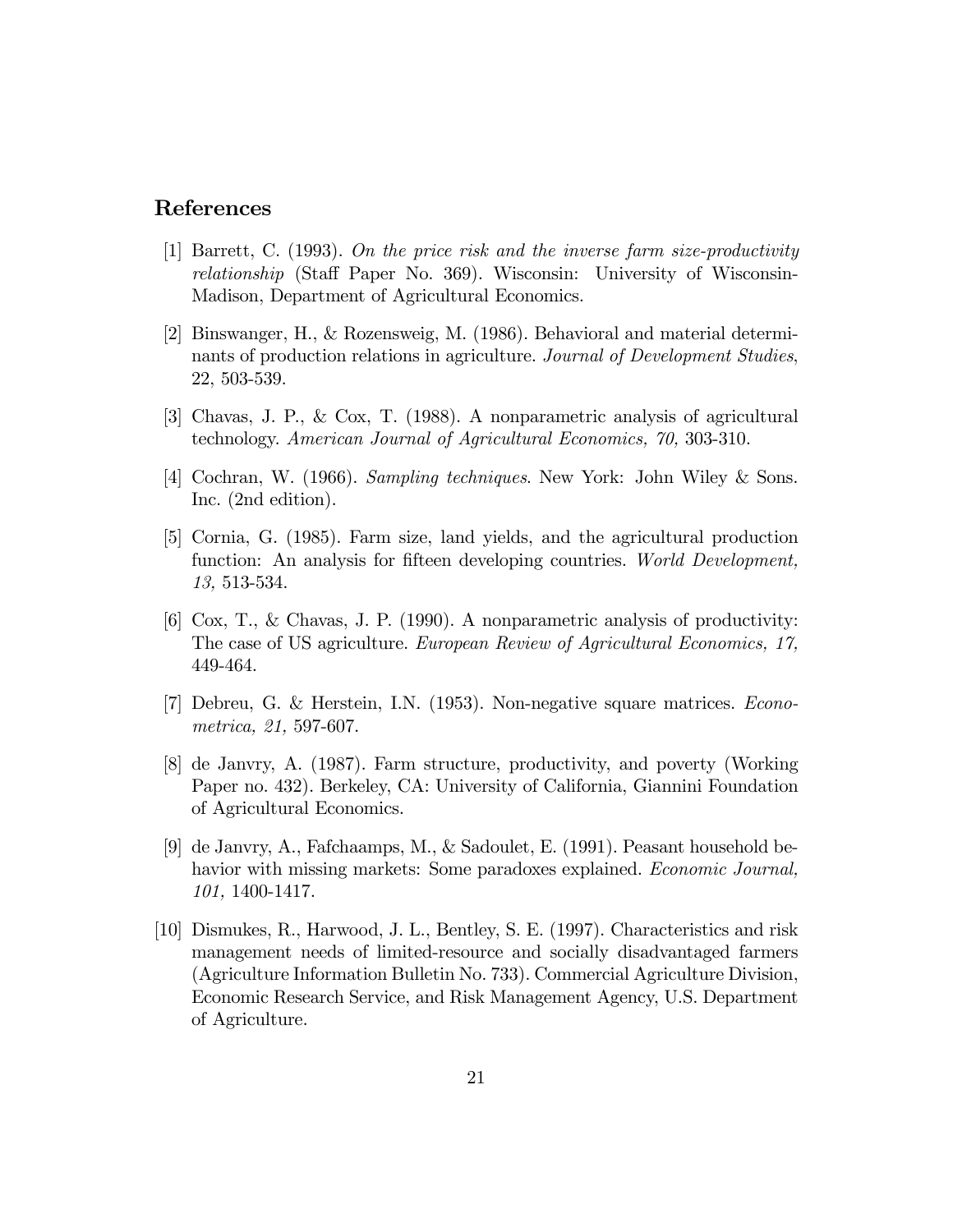### References

- [1] Barrett, C. (1993). On the price risk and the inverse farm size-productivity relationship (Staff Paper No. 369). Wisconsin: University of Wisconsin-Madison, Department of Agricultural Economics.
- [2] Binswanger, H., & Rozensweig, M. (1986). Behavioral and material determinants of production relations in agriculture. Journal of Development Studies, 22, 503-539.
- [3] Chavas, J. P., & Cox, T. (1988). A nonparametric analysis of agricultural technology. American Journal of Agricultural Economics, 70, 303-310.
- [4] Cochran, W. (1966). Sampling techniques. New York: John Wiley & Sons. Inc. (2nd edition).
- [5] Cornia, G. (1985). Farm size, land yields, and the agricultural production function: An analysis for fifteen developing countries. World Development, 13, 513-534.
- [6] Cox, T., & Chavas, J. P. (1990). A nonparametric analysis of productivity: The case of US agriculture. European Review of Agricultural Economics, 17, 449-464.
- [7] Debreu, G. & Herstein, I.N. (1953). Non-negative square matrices. Econometrica, 21, 597-607.
- [8] de Janvry, A. (1987). Farm structure, productivity, and poverty (Working Paper no. 432). Berkeley, CA: University of California, Giannini Foundation of Agricultural Economics.
- [9] de Janvry, A., Fafchaamps, M., & Sadoulet, E. (1991). Peasant household behavior with missing markets: Some paradoxes explained. *Economic Journal*, 101, 1400-1417.
- [10] Dismukes, R., Harwood, J. L., Bentley, S. E. (1997). Characteristics and risk management needs of limited-resource and socially disadvantaged farmers (Agriculture Information Bulletin No. 733). Commercial Agriculture Division, Economic Research Service, and Risk Management Agency, U.S. Department of Agriculture.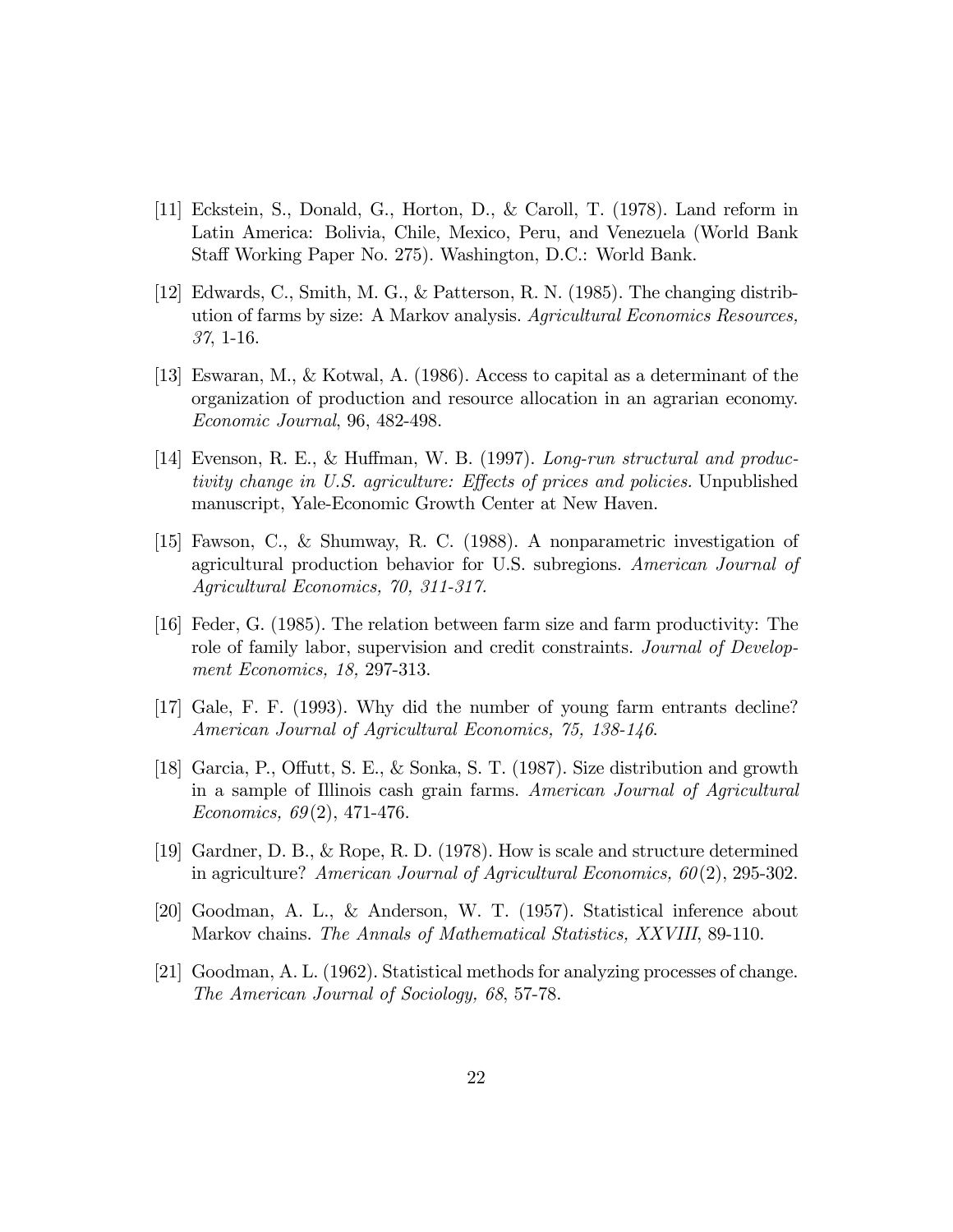- [11] Eckstein, S., Donald, G., Horton, D., & Caroll, T. (1978). Land reform in Latin America: Bolivia, Chile, Mexico, Peru, and Venezuela (World Bank Staff Working Paper No. 275). Washington, D.C.: World Bank.
- [12] Edwards, C., Smith, M. G., & Patterson, R. N. (1985). The changing distribution of farms by size: A Markov analysis. Agricultural Economics Resources, 37, 1-16.
- [13] Eswaran, M., & Kotwal, A. (1986). Access to capital as a determinant of the organization of production and resource allocation in an agrarian economy. Economic Journal, 96, 482-498.
- [14] Evenson, R. E., & Huffman, W. B. (1997). Long-run structural and productivity change in U.S. agriculture: Effects of prices and policies. Unpublished manuscript, Yale-Economic Growth Center at New Haven.
- [15] Fawson, C., & Shumway, R. C. (1988). A nonparametric investigation of agricultural production behavior for U.S. subregions. American Journal of Agricultural Economics, 70, 311-317.
- [16] Feder, G. (1985). The relation between farm size and farm productivity: The role of family labor, supervision and credit constraints. Journal of Development Economics, 18, 297-313.
- [17] Gale, F. F. (1993). Why did the number of young farm entrants decline? American Journal of Agricultural Economics, 75, 138-146.
- [18] Garcia, P., Offutt, S. E., & Sonka, S. T. (1987). Size distribution and growth in a sample of Illinois cash grain farms. American Journal of Agricultural Economics, 69(2), 471-476.
- [19] Gardner, D. B., & Rope, R. D. (1978). How is scale and structure determined in agriculture? American Journal of Agricultural Economics, 60(2), 295-302.
- [20] Goodman, A. L., & Anderson, W. T. (1957). Statistical inference about Markov chains. The Annals of Mathematical Statistics, XXVIII, 89-110.
- [21] Goodman, A. L. (1962). Statistical methods for analyzing processes of change. The American Journal of Sociology, 68, 57-78.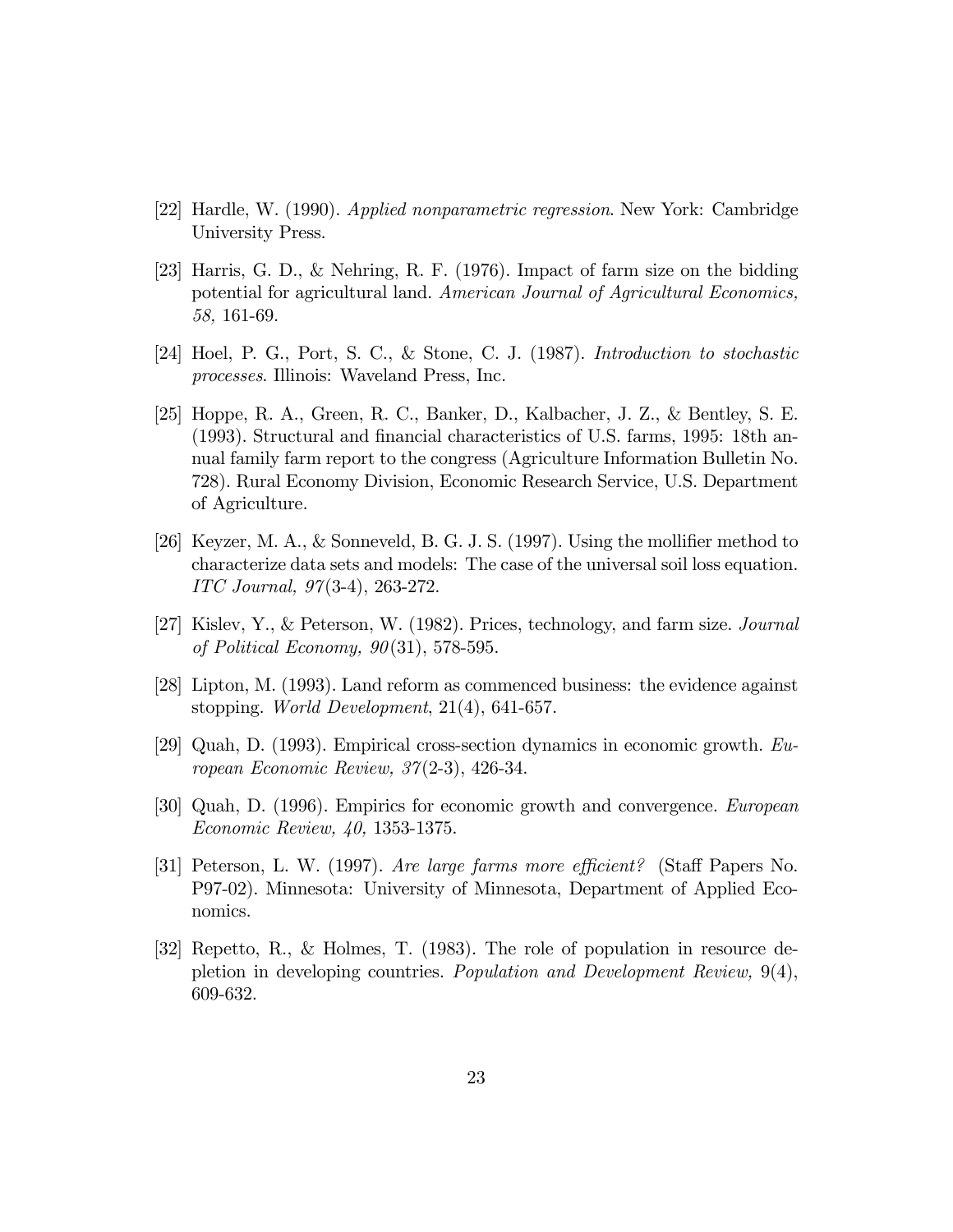- [22] Hardle, W. (1990). Applied nonparametric regression. New York: Cambridge University Press.
- [23] Harris, G. D., & Nehring, R. F. (1976). Impact of farm size on the bidding potential for agricultural land. American Journal of Agricultural Economics, 58, 161-69.
- [24] Hoel, P. G., Port, S. C., & Stone, C. J. (1987). Introduction to stochastic processes. Illinois: Waveland Press, Inc.
- [25] Hoppe, R. A., Green, R. C., Banker, D., Kalbacher, J. Z., & Bentley, S. E. (1993). Structural and Önancial characteristics of U.S. farms, 1995: 18th annual family farm report to the congress (Agriculture Information Bulletin No. 728). Rural Economy Division, Economic Research Service, U.S. Department of Agriculture.
- [26] Keyzer, M. A., & Sonneveld, B. G. J. S.  $(1997)$ . Using the mollifier method to characterize data sets and models: The case of the universal soil loss equation. ITC Journal, 97(3-4), 263-272.
- [27] Kislev, Y., & Peterson, W. (1982). Prices, technology, and farm size. Journal of Political Economy,  $90(31)$ , 578-595.
- [28] Lipton, M. (1993). Land reform as commenced business: the evidence against stopping. World Development, 21(4), 641-657.
- [29] Quah, D. (1993). Empirical cross-section dynamics in economic growth. European Economic Review, 37(2-3), 426-34.
- [30] Quah, D. (1996). Empirics for economic growth and convergence. European Economic Review, 40, 1353-1375.
- [31] Peterson, L. W. (1997). Are large farms more efficient? (Staff Papers No. P97-02). Minnesota: University of Minnesota, Department of Applied Economics.
- [32] Repetto, R., & Holmes, T. (1983). The role of population in resource depletion in developing countries. Population and Development Review, 9(4), 609-632.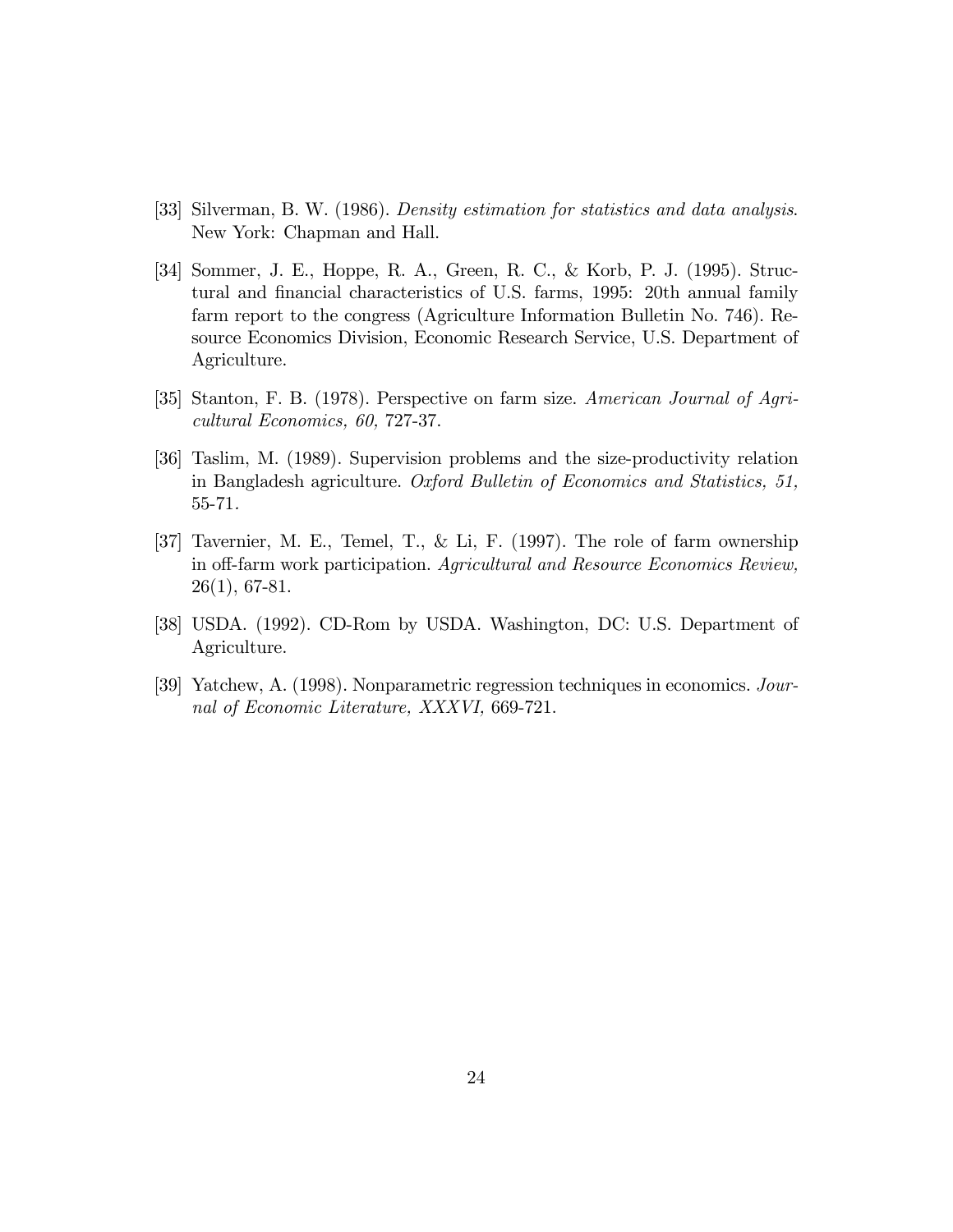- [33] Silverman, B. W. (1986). Density estimation for statistics and data analysis. New York: Chapman and Hall.
- [34] Sommer, J. E., Hoppe, R. A., Green, R. C., & Korb, P. J. (1995). Structural and Önancial characteristics of U.S. farms, 1995: 20th annual family farm report to the congress (Agriculture Information Bulletin No. 746). Resource Economics Division, Economic Research Service, U.S. Department of Agriculture.
- [35] Stanton, F. B. (1978). Perspective on farm size. American Journal of Agricultural Economics, 60, 727-37.
- [36] Taslim, M. (1989). Supervision problems and the size-productivity relation in Bangladesh agriculture. Oxford Bulletin of Economics and Statistics, 51, 55-71.
- [37] Tavernier, M. E., Temel, T., & Li, F. (1997). The role of farm ownership in off-farm work participation. Agricultural and Resource Economics Review, 26(1), 67-81.
- [38] USDA. (1992). CD-Rom by USDA. Washington, DC: U.S. Department of Agriculture.
- [39] Yatchew, A. (1998). Nonparametric regression techniques in economics. Journal of Economic Literature, XXXVI, 669-721.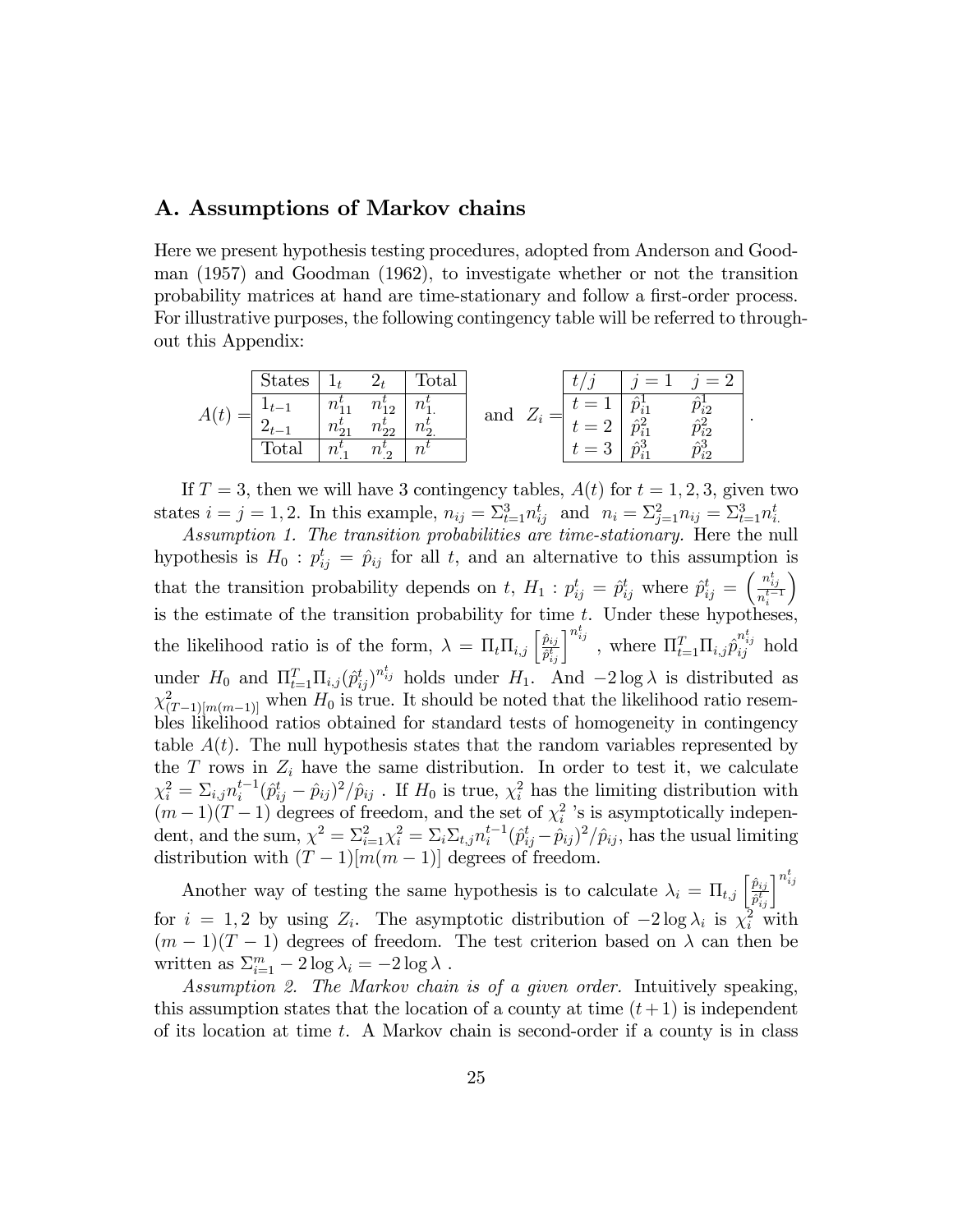#### A. Assumptions of Markov chains

Here we present hypothesis testing procedures, adopted from Anderson and Goodman (1957) and Goodman (1962), to investigate whether or not the transition probability matrices at hand are time-stationary and follow a first-order process. For illustrative purposes, the following contingency table will be referred to throughout this Appendix:

|  | <b>States</b> |                          |                                                | otal                           |     |          |             | $=$          |
|--|---------------|--------------------------|------------------------------------------------|--------------------------------|-----|----------|-------------|--------------|
|  |               | $n_{1}^{\circ}$          | $\sim$<br>$1^{11}$                             | $\mathbf{v}$<br>1 U 1          | and |          |             | ;າ           |
|  |               | $n_{2}^{\prime}$         | $^{\prime}$ <sup><math>\iota_{22}</math></sup> | $n^{v}$<br>1 U O               |     |          | $\triangle$ | $\sim$<br>;າ |
|  | otal          | $\sim$<br>$\iota$<br>. . | $\sim$<br>$1\iota$ o<br>تە .                   | $\boldsymbol{\eta}$<br>$\iota$ |     | $\Omega$ | - ^ 2       | $\wedge$     |

:

If  $T = 3$ , then we will have 3 contingency tables,  $A(t)$  for  $t = 1, 2, 3$ , given two states  $i = j = 1, 2$ . In this example,  $n_{ij} = \sum_{t=1}^{3} n_{ij}^t$  and  $n_i = \sum_{j=1}^{2} n_{ij} = \sum_{t=1}^{3} n_{i}^t$ .

Assumption 1. The transition probabilities are time-stationary. Here the null hypothesis is  $H_0: p_{ij}^t = \hat{p}_{ij}$  for all t, and an alternative to this assumption is that the transition probability depends on t,  $H_1$  :  $p_{ij}^t = \hat{p}_{ij}^t$  where  $\hat{p}_{ij}^t = \left(\frac{n_{ij}^t}{n_t^{t-1}}\right)$  $\overline{n_i^{t-1}}$  $\setminus$ is the estimate of the transition probability for time  $t$ . Under these hypotheses, the likelihood ratio is of the form,  $\lambda = \Pi_t \Pi_{i,j} \left[ \frac{\hat{p}_{ij}}{\hat{p}_{ij}^t} \right]$  $\left(\frac{\hat{p}_{ij}}{\hat{p}^t_{ij}}\right]^{n^t_{ij}}$  , where  $\Pi_{t=1}^T\Pi_{i,j}\hat{p}^{n^t_{ij}}_{ij}$  hold under  $H_0$  and  $\Pi_{t=1}^T \Pi_{i,j} (\hat{p}_{ij}^t)^{n_{ij}^t}$  holds under  $H_1$ . And  $-2 \log \lambda$  is distributed as  $\chi^2_{(T-1)[m(m-1)]}$  when  $H_0$  is true. It should be noted that the likelihood ratio resembles likelihood ratios obtained for standard tests of homogeneity in contingency table  $A(t)$ . The null hypothesis states that the random variables represented by the  $T$  rows in  $Z_i$  have the same distribution. In order to test it, we calculate  $\chi_i^2 = \sum_{i,j} n_i^{t-1} (\hat{p}_{ij}^t - \hat{p}_{ij})^2 / \hat{p}_{ij}$ . If  $H_0$  is true,  $\chi_i^2$  has the limiting distribution with  $(m-1)(T-1)$  degrees of freedom, and the set of  $\chi_i^2$  's is asymptotically independent, and the sum,  $\chi^2 = \sum_{i=1}^2 \chi_i^2 = \sum_i \sum_{t,j} n_i^{t-1} (\hat{p}_{ij}^t - \hat{p}_{ij})^2 / \hat{p}_{ij}$ , has the usual limiting distribution with  $(T-1)[m(m-1)]$  degrees of freedom.

Another way of testing the same hypothesis is to calculate  $\lambda_i = \prod_{t,j} \left[ \frac{\hat{p}_{ij}}{\hat{p}_{ij}^t} \right]$  $\frac{\hat{p}_{ij}}{\hat{p}_{ij}^t} \bigg]^{n_{ij}^t}$ for  $i = 1, 2$  by using  $Z_i$ . The asymptotic distribution of  $-2 \log \lambda_i$  is  $\chi_i^2$  with  $(m-1)(T-1)$  degrees of freedom. The test criterion based on  $\lambda$  can then be written as  $\sum_{i=1}^{m} -2 \log \lambda_i = -2 \log \lambda$ .

Assumption 2. The Markov chain is of a given order. Intuitively speaking, this assumption states that the location of a county at time  $(t+1)$  is independent of its location at time  $t$ . A Markov chain is second-order if a county is in class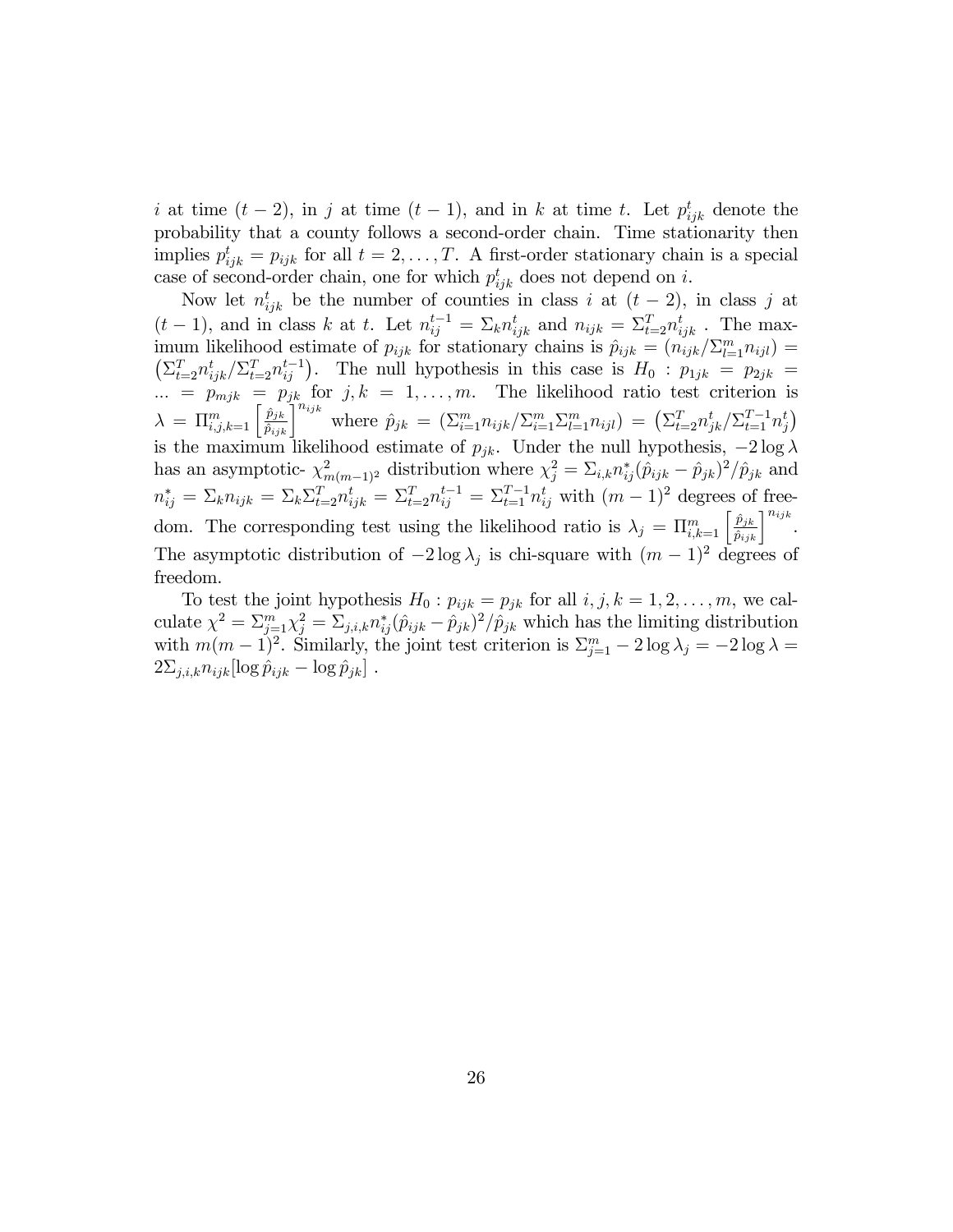i at time  $(t-2)$ , in j at time  $(t-1)$ , and in k at time t. Let  $p_{ijk}^t$  denote the probability that a county follows a second-order chain. Time stationarity then implies  $p_{ijk}^t = p_{ijk}$  for all  $t = 2, \ldots, T$ . A first-order stationary chain is a special case of second-order chain, one for which  $p_{ijk}^t$  does not depend on i.

Now let  $n_{ijk}^t$  be the number of counties in class i at  $(t-2)$ , in class j at  $(t-1)$ , and in class k at t. Let  $n_{ij}^{t-1} = \sum_k n_{ijk}^t$  and  $n_{ijk} = \sum_{t=2}^T n_{ijk}^t$ . The maximum likelihood estimate of  $p_{ijk}$  for stationary chains is  $\hat{p}_{ijk} = (n_{ijk}/\sum_{l=1}^{m}n_{ijl}) =$  $\left(\sum_{t=2}^T n_{ijk}^t / \sum_{t=2}^T n_{ij}^{t-1}\right)$ . The null hypothesis in this case is  $H_0$ :  $p_{1jk} = p_{2jk}$  $\ldots = p_{mjk} = p_{jk}$  for  $j, k = 1, \ldots, m$ . The likelihood ratio test criterion is  $\lambda = \prod_{i,j,k=1}^m \left[ \frac{\hat{p}_{jk}}{\hat{p}_{ijk}} \right]^{n_{ijk}}$  where  $\hat{p}_{jk} = (\sum_{i=1}^m n_{ijk}/\sum_{i=1}^m \sum_{l=1}^m n_{ijl}) = (\sum_{t=2}^T n_{jk}^t/\sum_{t=1}^{T-1} n_{ij}^t)$ is the maximum likelihood estimate of  $p_{jk}$ . Under the null hypothesis,  $-2 \log \lambda$ has an asymptotic-  $\chi^2_{m(m-1)^2}$  distribution where  $\chi^2_j = \Sigma_{i,k} n^*_{ij} (\hat{p}_{ijk} - \hat{p}_{jk})^2 / \hat{p}_{jk}$  and  $n_{ij}^* = \sum_k n_{ijk} = \sum_k \sum_{t=2}^T n_{ijk}^t = \sum_{t=2}^T n_{ij}^{t-1} = \sum_{t=1}^{T-1} n_{ij}^t$  with  $(m-1)^2$  degrees of freedom. The corresponding test using the likelihood ratio is  $\lambda_j = \prod_{i,k=1}^m \left[ \frac{\hat{p}_{jk}}{\hat{p}_{ijk}} \right]^{n_{ijk}}$ . The asymptotic distribution of  $-2 \log \lambda_j$  is chi-square with  $(m-1)^2$  degrees of freedom.

To test the joint hypothesis  $H_0: p_{ijk} = p_{jk}$  for all  $i, j, k = 1, 2, \ldots, m$ , we calculate  $\chi^2 = \sum_{j=1}^m \chi_j^2 = \sum_{j,i,k} n_{ij}^*(\hat{p}_{ijk} - \hat{p}_{jk})^2 / \hat{p}_{jk}$  which has the limiting distribution with  $m(m-1)^2$ . Similarly, the joint test criterion is  $\sum_{j=1}^m -2\log\lambda_j = -2\log\lambda =$  $2\Sigma_{j,i,k}n_{ijk}[\log \hat{p}_{ijk} - \log \hat{p}_{jk}]$ .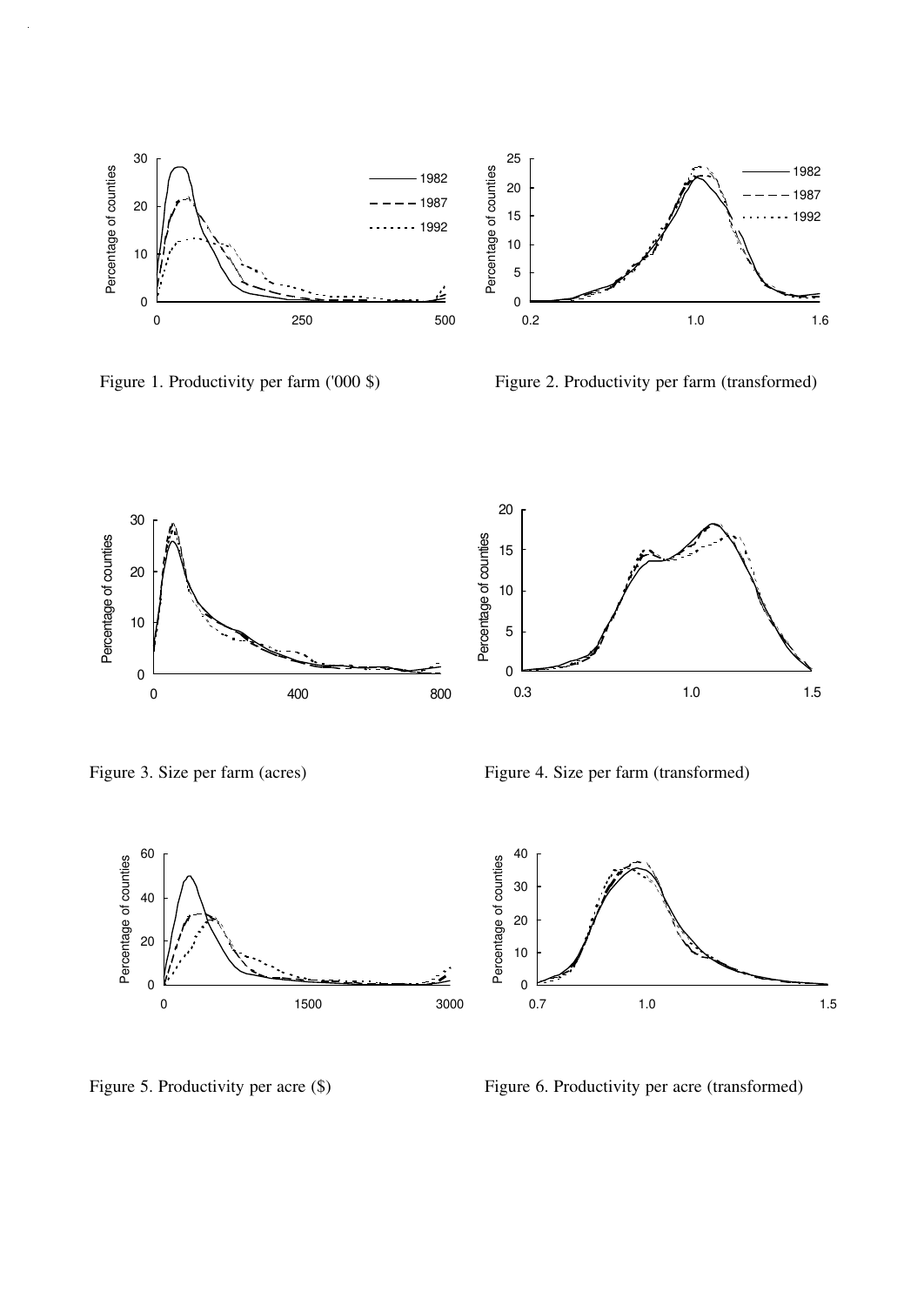



Figure 1. Productivity per farm ('000 \$) Figure 2. Productivity per farm (transformed)





Figure 3. Size per farm (acres) Figure 4. Size per farm (transformed)



 Percentage of counties Percentage of counties  $\overline{0}$ 0.7 1.0 1.5

Figure 5. Productivity per acre (\$) Figure 6. Productivity per acre (transformed)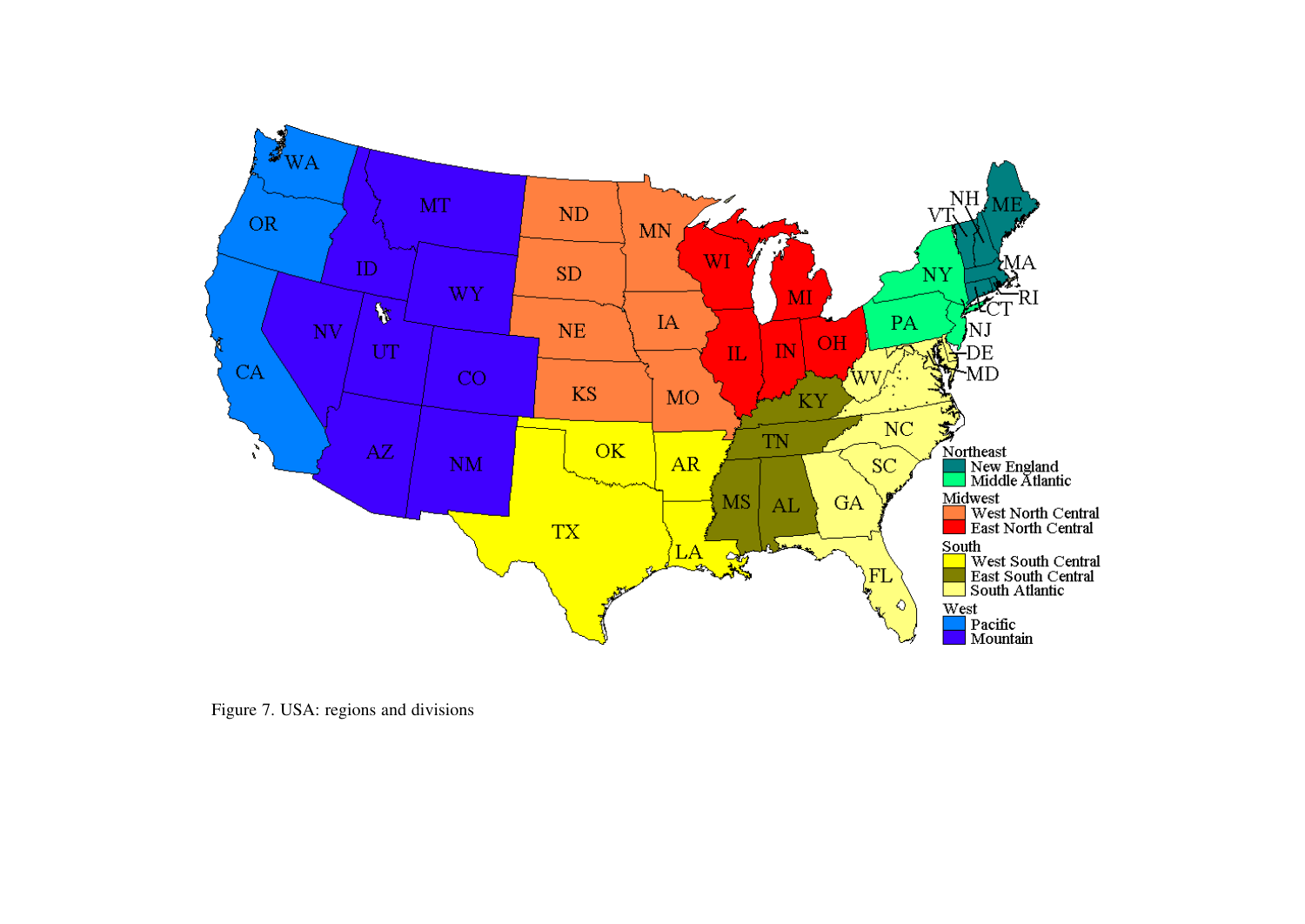

Figure 7. USA: regions and divisions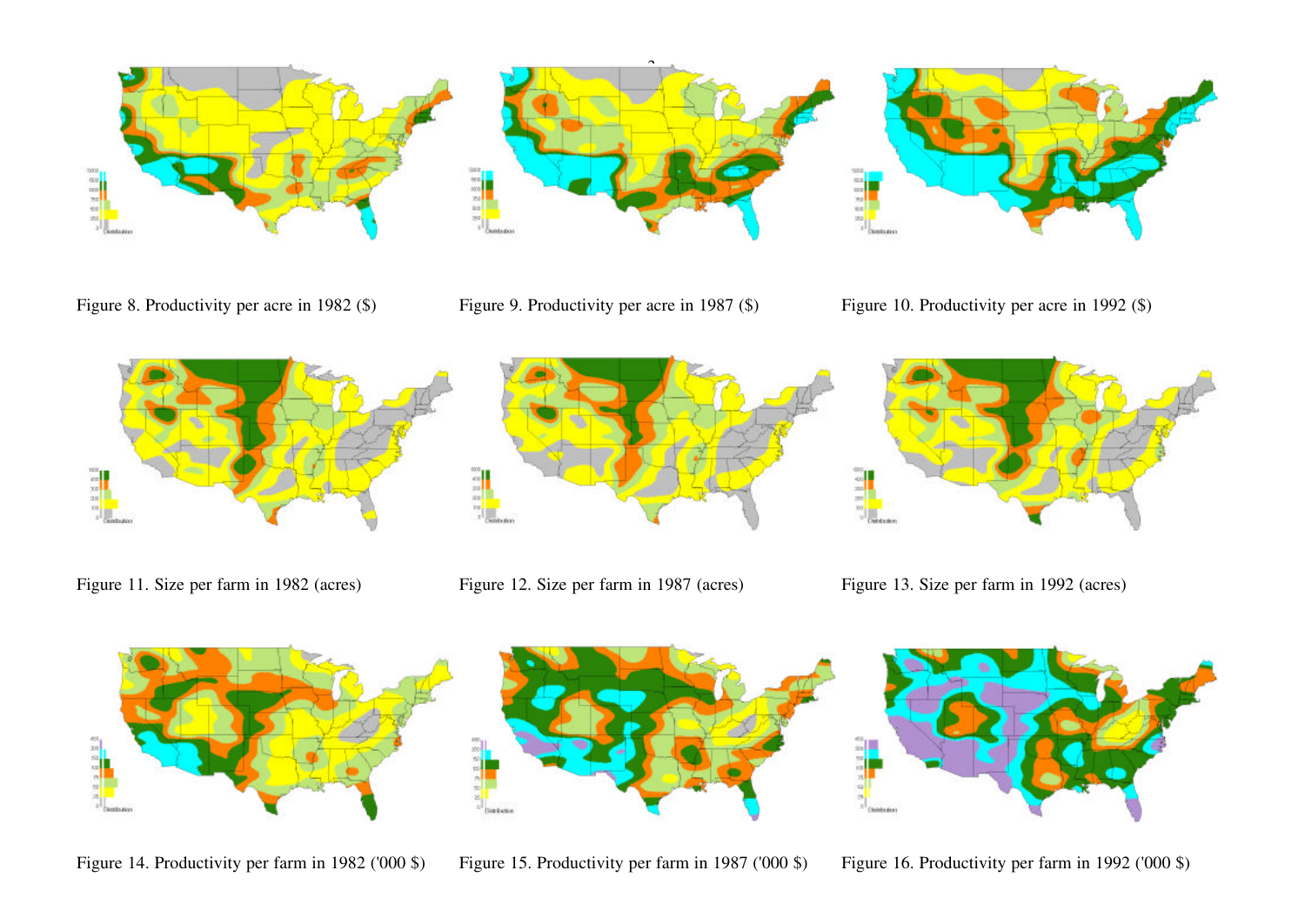









 $\hat{ }$ 



Figure 11. Size per farm in 1982 (acres) Figure 12. Size per farm in 1987 (acres) Figure 13. Size per farm in 1992 (acres)







Figure 14. Productivity per farm in 1982 ('000 \$) Figure 15. Productivity per farm in 1987 ('000 \$) Figure 16. Productivity per farm in 1992 ('000 \$)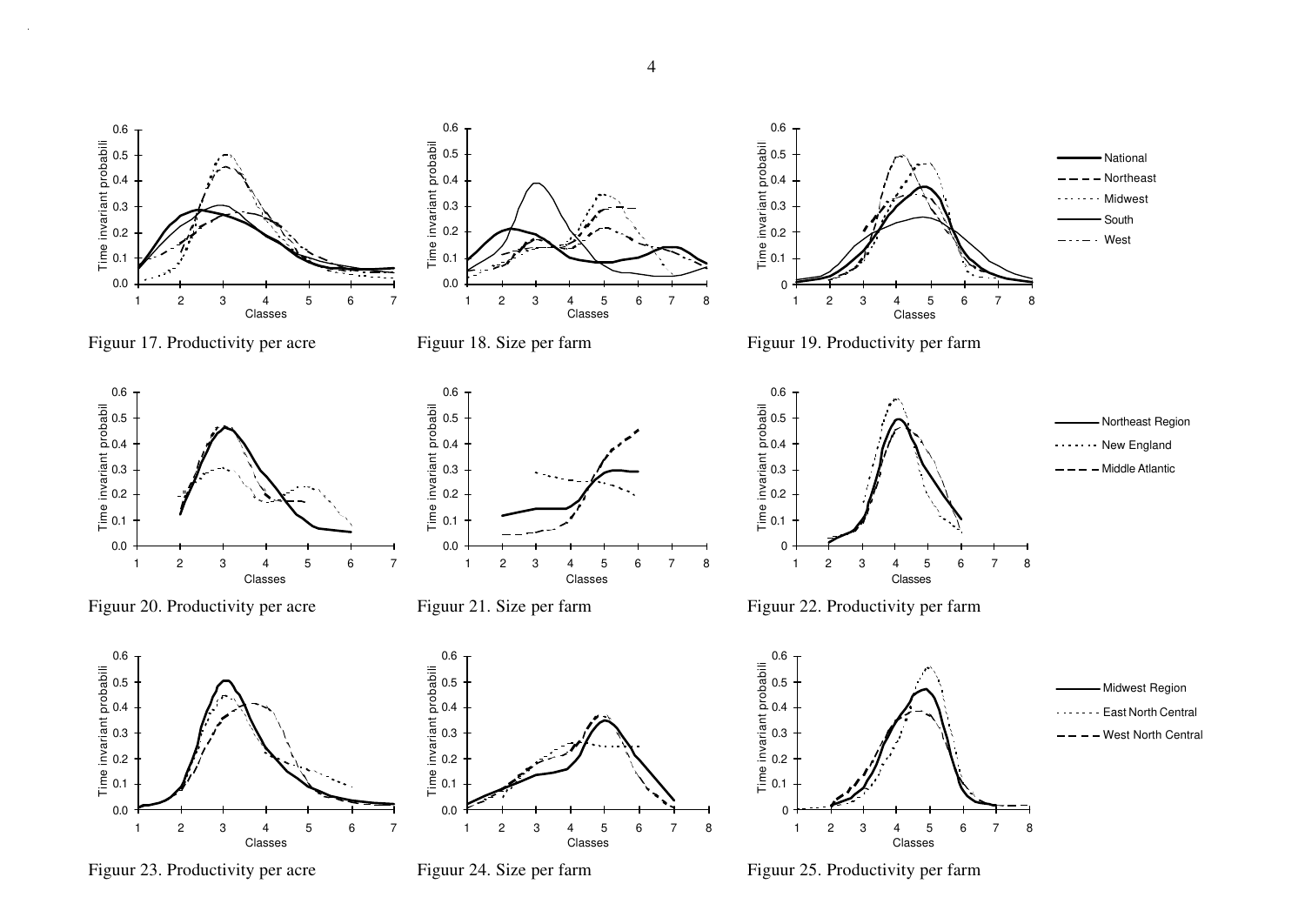

4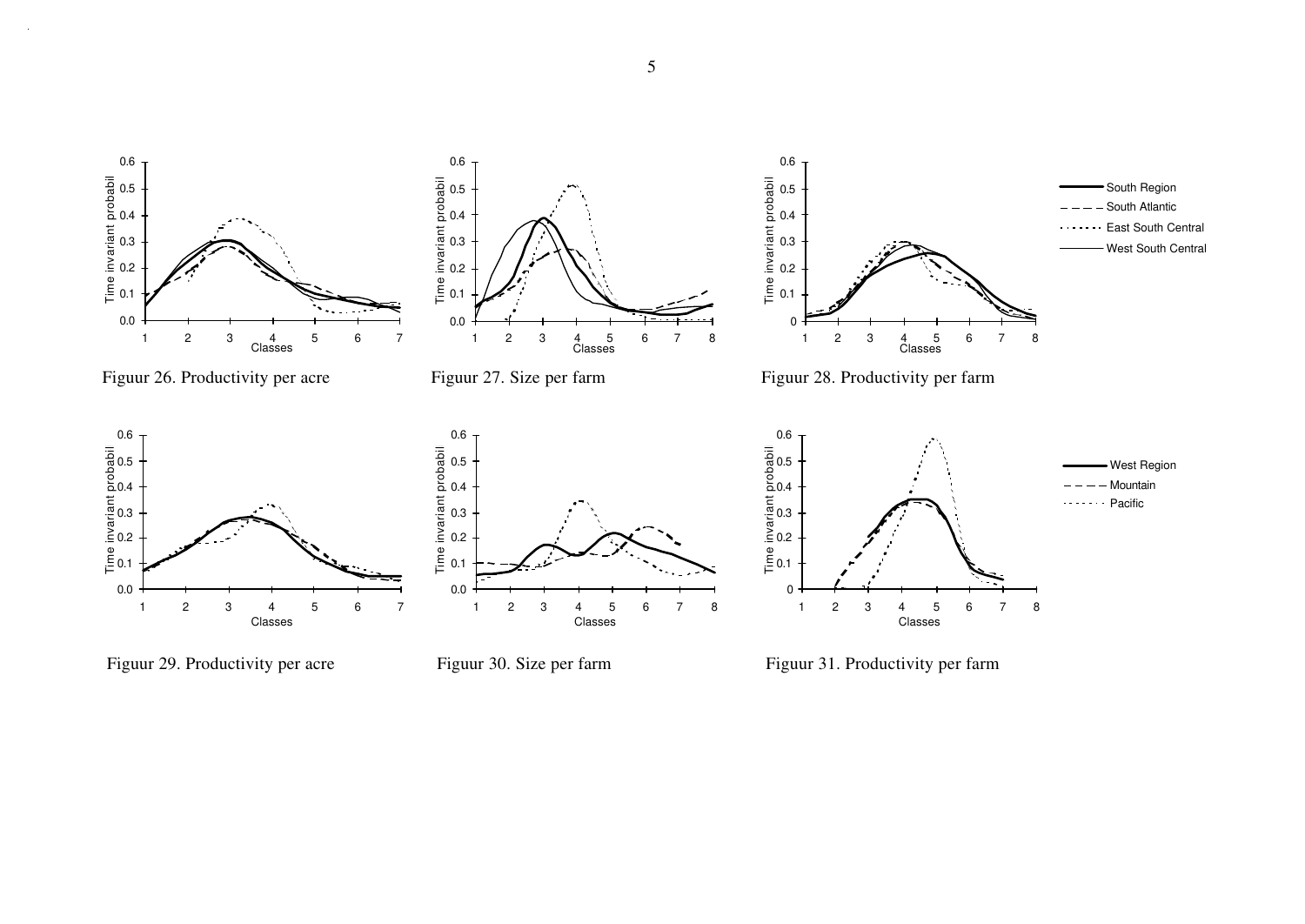

Figuur 29. Productivity per acre Figuur 30. Size per farm Figuur 31. Productivity per farm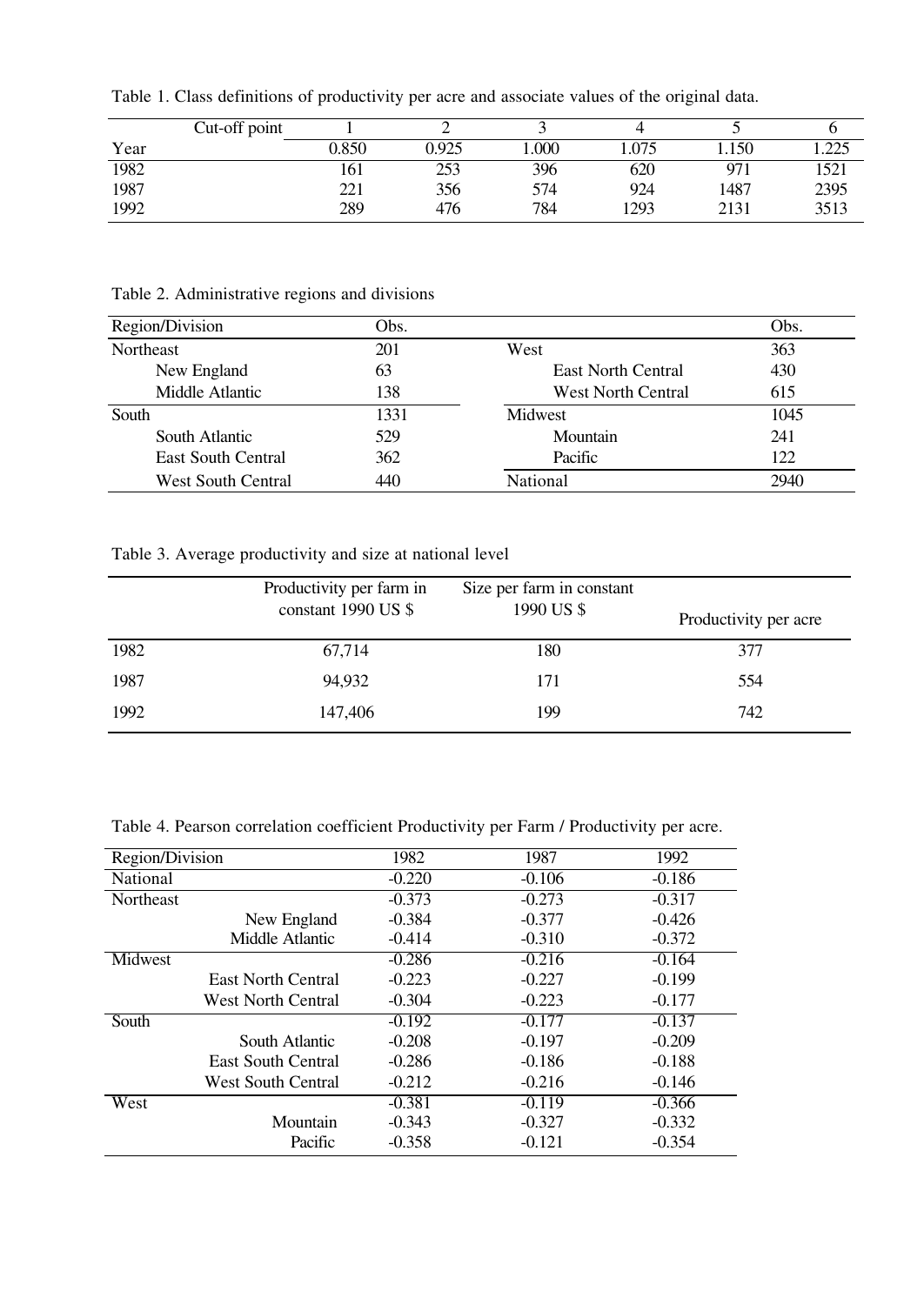Table 1. Class definitions of productivity per acre and associate values of the original data.

|      | Cut-off point |       |       |      |      |                 |               |
|------|---------------|-------|-------|------|------|-----------------|---------------|
| Year |               | 0.850 | 0.925 | .000 | .075 | .150            | 225<br>ن کا ک |
| 1982 |               | 101   | 299   | 396  | 620  | 97 <sub>1</sub> | 1521          |
| 1987 |               | 221   | 356   | 574  | 924  | 1487            | 2395          |
| 1992 |               | 289   | 476   | 784  | 1293 | 2131            | 3513          |

Table 2. Administrative regions and divisions

| Region/Division           | Obs. |                           | Obs. |
|---------------------------|------|---------------------------|------|
| Northeast                 | 201  | West                      | 363  |
| New England               | 63   | <b>East North Central</b> | 430  |
| Middle Atlantic           | 138  | <b>West North Central</b> | 615  |
| South                     | 1331 | Midwest                   | 1045 |
| South Atlantic            | 529  | Mountain                  | 241  |
| <b>East South Central</b> | 362  | Pacific                   | 122  |
| <b>West South Central</b> | 440  | National                  | 2940 |

Table 3. Average productivity and size at national level

|      | Productivity per farm in<br>constant 1990 US \$ | Size per farm in constant<br>1990 US \$ | Productivity per acre |
|------|-------------------------------------------------|-----------------------------------------|-----------------------|
| 1982 | 67,714                                          | 180                                     | 377                   |
| 1987 | 94,932                                          | 171                                     | 554                   |
| 1992 | 147,406                                         | 199                                     | 742                   |

Table 4. Pearson correlation coefficient Productivity per Farm / Productivity per acre.

| Region/Division |                           | 1982     | 1987     | 1992     |
|-----------------|---------------------------|----------|----------|----------|
| National        |                           | $-0.220$ | $-0.106$ | $-0.186$ |
| Northeast       |                           | $-0.373$ | $-0.273$ | $-0.317$ |
|                 | New England               | $-0.384$ | $-0.377$ | $-0.426$ |
|                 | Middle Atlantic           | $-0.414$ | $-0.310$ | $-0.372$ |
| Midwest         |                           | $-0.286$ | $-0.216$ | $-0.164$ |
|                 | <b>East North Central</b> | $-0.223$ | $-0.227$ | $-0.199$ |
|                 | <b>West North Central</b> | $-0.304$ | $-0.223$ | $-0.177$ |
| South           |                           | $-0.192$ | $-0.177$ | $-0.137$ |
|                 | South Atlantic            | $-0.208$ | $-0.197$ | $-0.209$ |
|                 | East South Central        | $-0.286$ | $-0.186$ | $-0.188$ |
|                 | <b>West South Central</b> | $-0.212$ | $-0.216$ | $-0.146$ |
| West            |                           | $-0.381$ | $-0.119$ | $-0.366$ |
|                 | Mountain                  | $-0.343$ | $-0.327$ | $-0.332$ |
|                 | Pacific                   | $-0.358$ | $-0.121$ | $-0.354$ |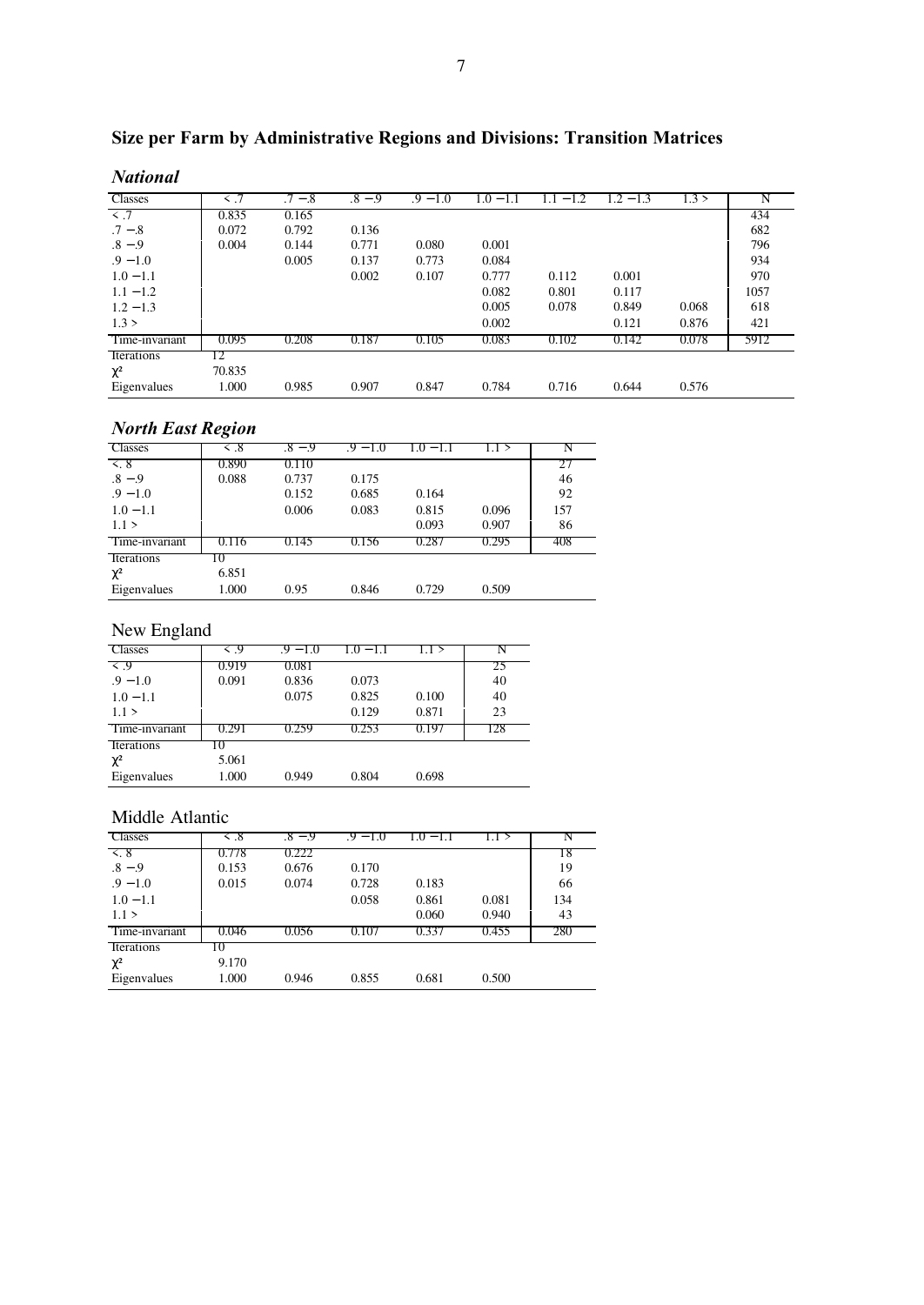| <b>National</b> |        |           |           |            |             |               |             |       |      |
|-----------------|--------|-----------|-----------|------------|-------------|---------------|-------------|-------|------|
| Classes         |        | $.7 - .8$ | $.8 - .9$ | $.9 - 1.0$ | $1.0 - 1.1$ | $-1.2$<br>1.1 | $1.2 - 1.3$ | 1.3 > | N    |
| $\prec$ .7      | 0.835  | 0.165     |           |            |             |               |             |       | 434  |
| $.7 - .8$       | 0.072  | 0.792     | 0.136     |            |             |               |             |       | 682  |
| $.8 - .9$       | 0.004  | 0.144     | 0.771     | 0.080      | 0.001       |               |             |       | 796  |
| $.9 - 1.0$      |        | 0.005     | 0.137     | 0.773      | 0.084       |               |             |       | 934  |
| $1.0 - 1.1$     |        |           | 0.002     | 0.107      | 0.777       | 0.112         | 0.001       |       | 970  |
| $1.1 - 1.2$     |        |           |           |            | 0.082       | 0.801         | 0.117       |       | 1057 |
| $1.2 - 1.3$     |        |           |           |            | 0.005       | 0.078         | 0.849       | 0.068 | 618  |
| 1.3 >           |        |           |           |            | 0.002       |               | 0.121       | 0.876 | 421  |
| Time-invariant  | 0.095  | 0.208     | 0.187     | 0.105      | 0.083       | 0.102         | 0.142       | 0.078 | 5912 |
| Iterations      | 2      |           |           |            |             |               |             |       |      |
| $\chi^2$        | 70.835 |           |           |            |             |               |             |       |      |
| Eigenvalues     | 1.000  | 0.985     | 0.907     | 0.847      | 0.784       | 0.716         | 0.644       | 0.576 |      |

# **Size per Farm by Administrative Regions and Divisions: Transition Matrices**

| <b>North East Region</b>        |           |           |            |                          |       |     |
|---------------------------------|-----------|-----------|------------|--------------------------|-------|-----|
| Classes                         | $\leq .8$ | $.8 - .9$ | $.9 - 1.0$ | LO.<br>$\qquad \qquad -$ |       |     |
| $\leq$ 8                        | 0.890     | 0.110     |            |                          |       |     |
| $.8 - .9$                       | 0.088     | 0.737     | 0.175      |                          |       | 46  |
| $.9 - 1.0$                      |           | 0.152     | 0.685      | 0.164                    |       | 92  |
| $1.0 - 1.1$                     |           | 0.006     | 0.083      | 0.815                    | 0.096 | 157 |
| 1.1 >                           |           |           |            | 0.093                    | 0.907 | 86  |
| Time-invariant                  | 0.116     | 0.145     | 0.156      | 0.287                    | 0.295 | 408 |
| <i><u><b>Iterations</b></u></i> | 10        |           |            |                          |       |     |
| $\chi^2$                        | 6.851     |           |            |                          |       |     |
| Eigenvalues                     | 1.000     | 0.95      | 0.846      | 0.729                    | 0.509 |     |

# New England

| <b>Classes</b>    | $\leq .9$ | .9 – 1.0 | $1.0 - 1.1$ |       |     |
|-------------------|-----------|----------|-------------|-------|-----|
| $\leq .9$         | 0.919     | 0.081    |             |       | 25  |
| $.9 - 1.0$        | 0.091     | 0.836    | 0.073       |       | 40  |
| $1.0 - 1.1$       |           | 0.075    | 0.825       | 0.100 | 40  |
| 1.1 >             |           |          | 0.129       | 0.871 | 23  |
| Time-invariant    | 0.291     | 0.259    | 0.253       | 0.197 | 128 |
| <b>Iterations</b> | IO.       |          |             |       |     |
| $\chi^2$          | 5.061     |          |             |       |     |
| Eigenvalues       | 1.000     | 0.949    | 0.804       | 0.698 |     |

### Middle Atlantic

| <b>Classes</b>    | $&$ .8 | $.8 - .9$ | $.9 - 1.0$ | $1.0 - 1.1$ | 1.1 > | N   |
|-------------------|--------|-----------|------------|-------------|-------|-----|
| $\leq 8$          | 0.778  | 0.222     |            |             |       | 18  |
| $.8 - .9$         | 0.153  | 0.676     | 0.170      |             |       | 19  |
| $.9 - 1.0$        | 0.015  | 0.074     | 0.728      | 0.183       |       | 66  |
| $1.0 - 1.1$       |        |           | 0.058      | 0.861       | 0.081 | 134 |
| 1.1 >             |        |           |            | 0.060       | 0.940 | 43  |
| Time-invariant    | 0.046  | 0.056     | 0.107      | 0.337       | 0.455 | 280 |
| <b>Iterations</b> | 10     |           |            |             |       |     |
| $\chi^2$          | 9.170  |           |            |             |       |     |
| Eigenvalues       | 1.000  | 0.946     | 0.855      | 0.681       | 0.500 |     |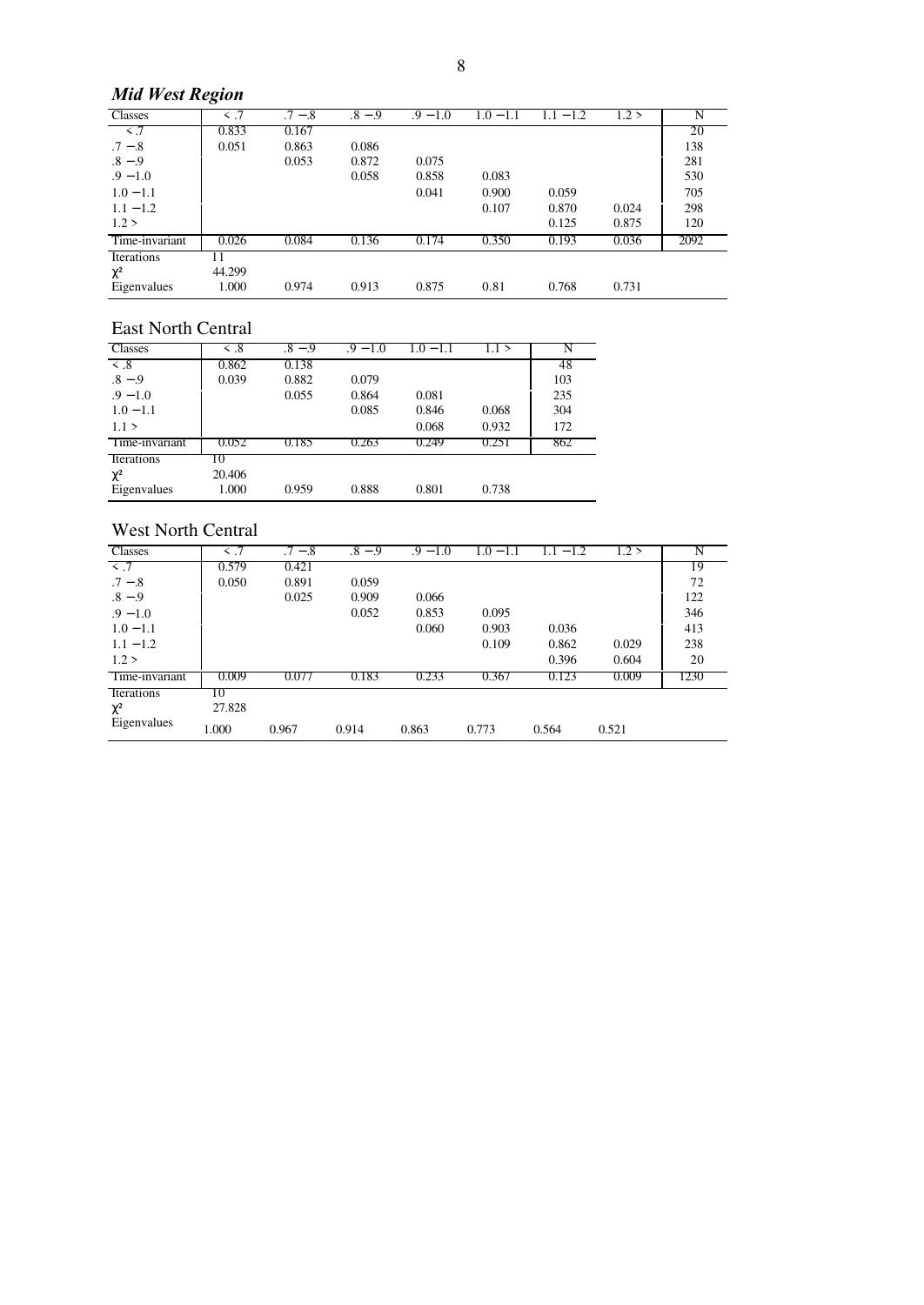# *Mid West Region*

| <b>Classes</b>    |        | $.7 - .8$ | $.8 - .9$ | $.9 - 1.0$ | $1.0 - 1.1$ | $1 - 1.2$ | 1.2 > |      |
|-------------------|--------|-----------|-----------|------------|-------------|-----------|-------|------|
| $\prec$ .7        | 0.833  | 0.167     |           |            |             |           |       | 20   |
| $.7 - .8$         | 0.051  | 0.863     | 0.086     |            |             |           |       | 138  |
| $.8 - .9$         |        | 0.053     | 0.872     | 0.075      |             |           |       | 281  |
| $.9 - 1.0$        |        |           | 0.058     | 0.858      | 0.083       |           |       | 530  |
| $1.0 - 1.1$       |        |           |           | 0.041      | 0.900       | 0.059     |       | 705  |
| $1.1 - 1.2$       |        |           |           |            | 0.107       | 0.870     | 0.024 | 298  |
| 1.2 >             |        |           |           |            |             | 0.125     | 0.875 | 120  |
| Time-invariant    | 0.026  | 0.084     | 0.136     | 0.174      | 0.350       | 0.193     | 0.036 | 2092 |
| <b>Iterations</b> |        |           |           |            |             |           |       |      |
| $\chi^2$          | 44.299 |           |           |            |             |           |       |      |
| Eigenvalues       | 1.000  | 0.974     | 0.913     | 0.875      | 0.81        | 0.768     | 0.731 |      |

### East North Central

| парт годин сепиш  |                   |           |            |             |       |     |
|-------------------|-------------------|-----------|------------|-------------|-------|-----|
| Classes           | $\overline{<}$ .8 | $.8 - .9$ | $.9 - 1.0$ | $1.0 - 1.1$ | 1.1 > |     |
| $\leq .8$         | 0.862             | 0.138     |            |             |       | 48  |
| $.8 - .9$         | 0.039             | 0.882     | 0.079      |             |       | 103 |
| $.9 - 1.0$        |                   | 0.055     | 0.864      | 0.081       |       | 235 |
| $1.0 - 1.1$       |                   |           | 0.085      | 0.846       | 0.068 | 304 |
| 1.1 >             |                   |           |            | 0.068       | 0.932 | 172 |
| Time-invariant    | 0.052             | 0.185     | 0.263      | 0.249       | 0.251 | 862 |
| <b>Iterations</b> | 10                |           |            |             |       |     |
| $\chi^2$          | 20.406            |           |            |             |       |     |
| Eigenvalues       | 1.000             | 0.959     | 0.888      | 0.801       | 0.738 |     |
|                   |                   |           |            |             |       |     |

### West North Central

| <b>Classes</b> | $\overline{5}$ .7 | $.7 - .8$ | $.8 - .9$ | $.9 - 1.0$ | $1.0 - 1.1$ | $1.1 - 1.2$ | 1.2 > | N    |
|----------------|-------------------|-----------|-----------|------------|-------------|-------------|-------|------|
| $\leq$ .7      | 0.579             | 0.421     |           |            |             |             |       | 19   |
| $.7 - .8$      | 0.050             | 0.891     | 0.059     |            |             |             |       | 72   |
| $.8 - .9$      |                   | 0.025     | 0.909     | 0.066      |             |             |       | 122  |
| $.9 - 1.0$     |                   |           | 0.052     | 0.853      | 0.095       |             |       | 346  |
| $1.0 - 1.1$    |                   |           |           | 0.060      | 0.903       | 0.036       |       | 413  |
| $1.1 - 1.2$    |                   |           |           |            | 0.109       | 0.862       | 0.029 | 238  |
| 1.2 >          |                   |           |           |            |             | 0.396       | 0.604 | 20   |
| Time-invariant | 0.009             | 0.077     | 0.183     | 0.233      | 0.367       | 0.123       | 0.009 | 1230 |
| Iterations     | Ю                 |           |           |            |             |             |       |      |
| $\chi^2$       | 27.828            |           |           |            |             |             |       |      |
| Eigenvalues    | 1.000             | 0.967     | 0.914     | 0.863      | 0.773       | 0.564       | 0.521 |      |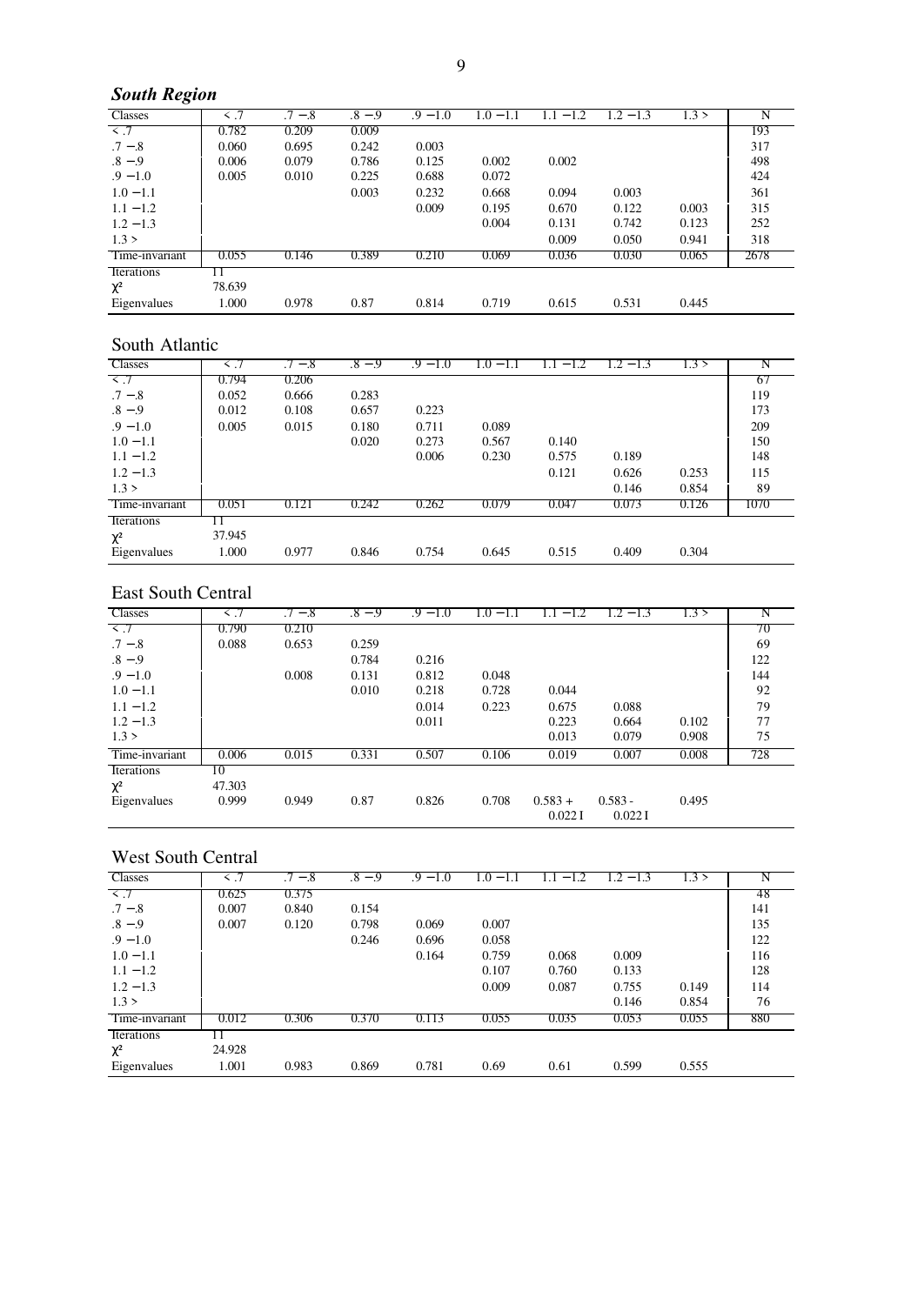# *South Region*

| ◡                 |        |       |           |            |               |       |             |       |      |
|-------------------|--------|-------|-----------|------------|---------------|-------|-------------|-------|------|
| <b>Classes</b>    |        | $-.8$ | .8<br>- 9 | $.9 - 1.0$ | 0.1<br>$-1.1$ | $-1$  | 2<br>$-1.3$ | .3 >  |      |
| $\leq$ .7         | 0.782  | 0.209 | 0.009     |            |               |       |             |       | 193  |
| $.7 - .8$         | 0.060  | 0.695 | 0.242     | 0.003      |               |       |             |       | 317  |
| $.8 - .9$         | 0.006  | 0.079 | 0.786     | 0.125      | 0.002         | 0.002 |             |       | 498  |
| $.9 - 1.0$        | 0.005  | 0.010 | 0.225     | 0.688      | 0.072         |       |             |       | 424  |
| $1.0 - 1.1$       |        |       | 0.003     | 0.232      | 0.668         | 0.094 | 0.003       |       | 361  |
| $1.1 - 1.2$       |        |       |           | 0.009      | 0.195         | 0.670 | 0.122       | 0.003 | 315  |
| $1.2 - 1.3$       |        |       |           |            | 0.004         | 0.131 | 0.742       | 0.123 | 252  |
| 1.3 >             |        |       |           |            |               | 0.009 | 0.050       | 0.941 | 318  |
| Time-invariant    | 0.055  | 0.146 | 0.389     | 0.210      | 0.069         | 0.036 | 0.030       | 0.065 | 2678 |
| <b>Iterations</b> |        |       |           |            |               |       |             |       |      |
| $\chi^2$          | 78.639 |       |           |            |               |       |             |       |      |
| Eigenvalues       | 1.000  | 0.978 | 0.87      | 0.814      | 0.719         | 0.615 | 0.531       | 0.445 |      |

### South Atlantic

| <b>Classes</b>    |        | $.7 - .8$ | $.8 - .9$ | $.9 - 1.0$ | $1.0 - 1.1$ | $-1.2$ | $1.2 - 1.3$ | 1.3 > |      |
|-------------------|--------|-----------|-----------|------------|-------------|--------|-------------|-------|------|
| $\prec$ .7        | 0.794  | 0.206     |           |            |             |        |             |       | 67   |
| $.7 - .8$         | 0.052  | 0.666     | 0.283     |            |             |        |             |       | 119  |
| $.8 - .9$         | 0.012  | 0.108     | 0.657     | 0.223      |             |        |             |       | 173  |
| $.9 - 1.0$        | 0.005  | 0.015     | 0.180     | 0.711      | 0.089       |        |             |       | 209  |
| $1.0 - 1.1$       |        |           | 0.020     | 0.273      | 0.567       | 0.140  |             |       | 150  |
| $1.1 - 1.2$       |        |           |           | 0.006      | 0.230       | 0.575  | 0.189       |       | 148  |
| $1.2 - 1.3$       |        |           |           |            |             | 0.121  | 0.626       | 0.253 | 115  |
| 1.3 >             |        |           |           |            |             |        | 0.146       | 0.854 | 89   |
| Time-invariant    | 0.051  | 0.121     | 0.242     | 0.262      | 0.079       | 0.047  | 0.073       | 0.126 | 1070 |
| <b>Iterations</b> |        |           |           |            |             |        |             |       |      |
| $\chi^2$          | 37.945 |           |           |            |             |        |             |       |      |
| Eigenvalues       | 1.000  | 0.977     | 0.846     | 0.754      | 0.645       | 0.515  | 0.409       | 0.304 |      |

### East South Central

| East South Central |        |           |           |            |             |                     |                     |       |     |  |
|--------------------|--------|-----------|-----------|------------|-------------|---------------------|---------------------|-------|-----|--|
| <b>Classes</b>     |        | $.7 - .8$ | $.8 - .9$ | $.9 - 1.0$ | $1.0 - 1.1$ | $-1.2$              | $1.2 - 1.3$         | .3 >  |     |  |
| $\sim$ $7$         | 0.790  | 0.210     |           |            |             |                     |                     |       | 70  |  |
| $.7 - .8$          | 0.088  | 0.653     | 0.259     |            |             |                     |                     |       | 69  |  |
| $.8 - .9$          |        |           | 0.784     | 0.216      |             |                     |                     |       | 122 |  |
| $.9 - 1.0$         |        | 0.008     | 0.131     | 0.812      | 0.048       |                     |                     |       | 144 |  |
| $1.0 - 1.1$        |        |           | 0.010     | 0.218      | 0.728       | 0.044               |                     |       | 92  |  |
| $1.1 - 1.2$        |        |           |           | 0.014      | 0.223       | 0.675               | 0.088               |       | 79  |  |
| $1.2 - 1.3$        |        |           |           | 0.011      |             | 0.223               | 0.664               | 0.102 | 77  |  |
| 1.3 >              |        |           |           |            |             | 0.013               | 0.079               | 0.908 | 75  |  |
| Time-invariant     | 0.006  | 0.015     | 0.331     | 0.507      | 0.106       | 0.019               | 0.007               | 0.008 | 728 |  |
| Iterations         | 10     |           |           |            |             |                     |                     |       |     |  |
| $\chi^2$           | 47.303 |           |           |            |             |                     |                     |       |     |  |
| Eigenvalues        | 0.999  | 0.949     | 0.87      | 0.826      | 0.708       | $0.583 +$<br>0.0221 | $0.583 -$<br>0.0221 | 0.495 |     |  |

### West South Central

| Classes        | $\leq$ .7 | $.7 - .8$ | $.8 - .9$ | $.9 - 1.0$ | $1.0 - 1.1$ | $-1.2$<br>L. | $1.2 - 1.3$ | 1.3 > | N   |
|----------------|-----------|-----------|-----------|------------|-------------|--------------|-------------|-------|-----|
| $\sim$ .7      | 0.625     | 0.375     |           |            |             |              |             |       | 48  |
| $.7 - .8$      | 0.007     | 0.840     | 0.154     |            |             |              |             |       | 141 |
| $.8 - .9$      | 0.007     | 0.120     | 0.798     | 0.069      | 0.007       |              |             |       | 135 |
| $.9 - 1.0$     |           |           | 0.246     | 0.696      | 0.058       |              |             |       | 122 |
| $1.0 - 1.1$    |           |           |           | 0.164      | 0.759       | 0.068        | 0.009       |       | 116 |
| $1.1 - 1.2$    |           |           |           |            | 0.107       | 0.760        | 0.133       |       | 128 |
| $1.2 - 1.3$    |           |           |           |            | 0.009       | 0.087        | 0.755       | 0.149 | 114 |
| 1.3 >          |           |           |           |            |             |              | 0.146       | 0.854 | 76  |
| Time-invariant | 0.012     | 0.306     | 0.370     | 0.113      | 0.055       | 0.035        | 0.053       | 0.055 | 880 |
| Iterations     |           |           |           |            |             |              |             |       |     |
| $\chi^2$       | 24.928    |           |           |            |             |              |             |       |     |
| Eigenvalues    | 1.001     | 0.983     | 0.869     | 0.781      | 0.69        | 0.61         | 0.599       | 0.555 |     |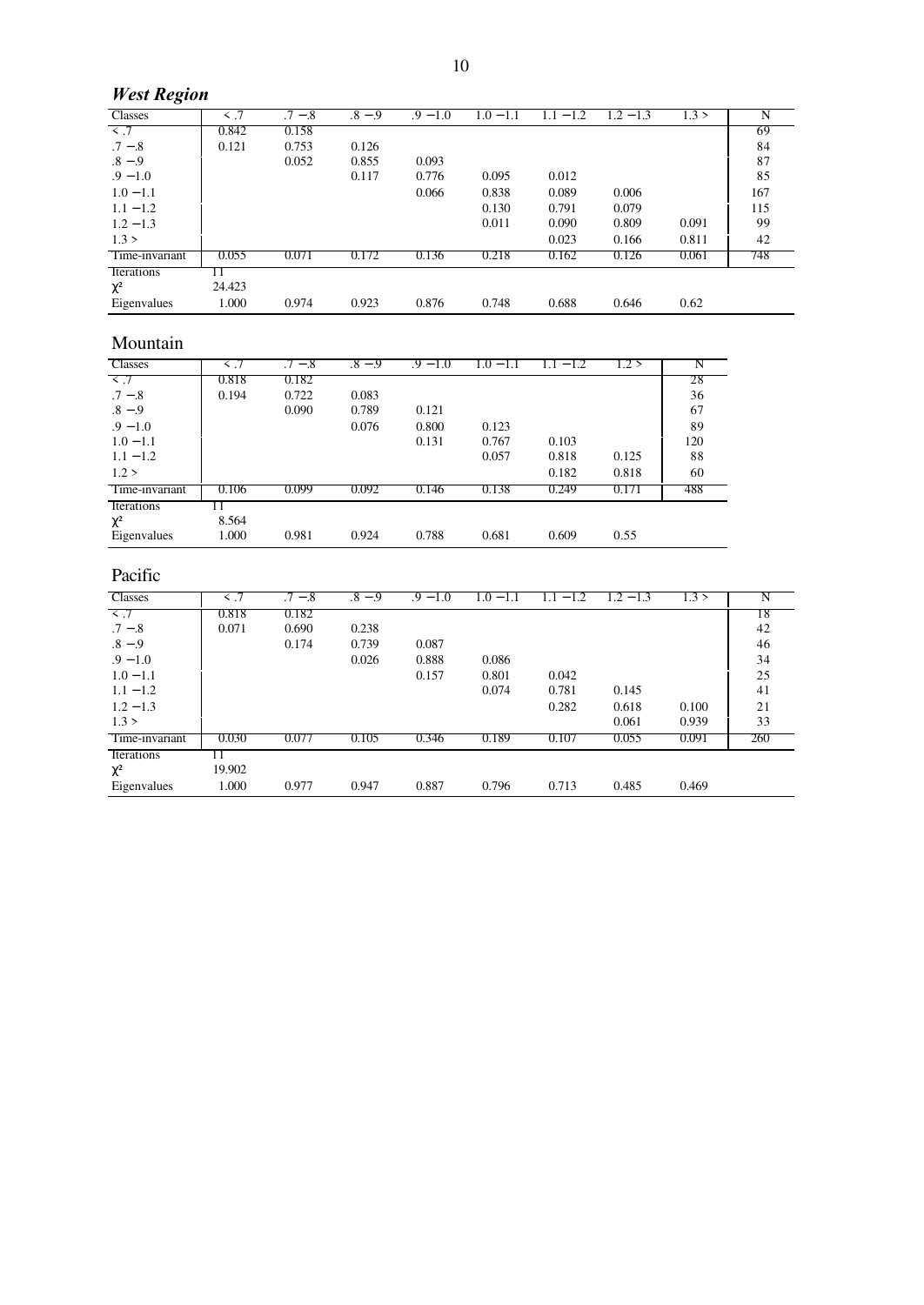# *West Region*

| <b>Classes</b>    |        | $.7 - .8$ | $.8 - .9$ | $.9 - 1.0$ | $\epsilon = 1.1$ | $\overline{\phantom{0}}$ | $\cdot$ 2<br>$-1.3$ | 1.3 > |     |
|-------------------|--------|-----------|-----------|------------|------------------|--------------------------|---------------------|-------|-----|
| $\leq$ .7         | 0.842  | 0.158     |           |            |                  |                          |                     |       | 69  |
| $.7 - .8$         | 0.121  | 0.753     | 0.126     |            |                  |                          |                     |       | 84  |
| $.8 - .9$         |        | 0.052     | 0.855     | 0.093      |                  |                          |                     |       | 87  |
| $.9 - 1.0$        |        |           | 0.117     | 0.776      | 0.095            | 0.012                    |                     |       | 85  |
| $1.0 - 1.1$       |        |           |           | 0.066      | 0.838            | 0.089                    | 0.006               |       | 167 |
| $1.1 - 1.2$       |        |           |           |            | 0.130            | 0.791                    | 0.079               |       | 115 |
| $1.2 - 1.3$       |        |           |           |            | 0.011            | 0.090                    | 0.809               | 0.091 | 99  |
| 1.3 >             |        |           |           |            |                  | 0.023                    | 0.166               | 0.811 | 42  |
| Time-invariant    | 0.055  | 0.071     | 0.172     | 0.136      | 0.218            | 0.162                    | 0.126               | 0.061 | 748 |
| <i>lterations</i> |        |           |           |            |                  |                          |                     |       |     |
| $\chi^2$          | 24.423 |           |           |            |                  |                          |                     |       |     |
| Eigenvalues       | 1.000  | 0.974     | 0.923     | 0.876      | 0.748            | 0.688                    | 0.646               | 0.62  |     |

# Mountain

| www.           |       |           |           |            |             |        |       |     |
|----------------|-------|-----------|-----------|------------|-------------|--------|-------|-----|
| <b>Classes</b> | ≤ ∴/  | $.7 - .8$ | $.8 - .9$ | $.9 = 1.0$ | $1.0 - 1.1$ | $-1.2$ | .2 >  |     |
| $\prec$ .7     | 0.818 | 0.182     |           |            |             |        |       | 28  |
| $.7 - .8$      | 0.194 | 0.722     | 0.083     |            |             |        |       | 36  |
| $.8 - .9$      |       | 0.090     | 0.789     | 0.121      |             |        |       | 67  |
| $.9 - 1.0$     |       |           | 0.076     | 0.800      | 0.123       |        |       | 89  |
| $1.0 - 1.1$    |       |           |           | 0.131      | 0.767       | 0.103  |       | 120 |
| $1.1 - 1.2$    |       |           |           |            | 0.057       | 0.818  | 0.125 | 88  |
| 1.2 >          |       |           |           |            |             | 0.182  | 0.818 | 60  |
| Time-invariant | 0.106 | 0.099     | 0.092     | 0.146      | 0.138       | 0.249  | 0.171 | 488 |
| Iterations     |       |           |           |            |             |        |       |     |
| $\chi^2$       | 8.564 |           |           |            |             |        |       |     |
| Eigenvalues    | 1.000 | 0.981     | 0.924     | 0.788      | 0.681       | 0.609  | 0.55  |     |

# Pacific

| <b>Classes</b> | $\leq$ .7 | $.7 - .8$ | $.8 - .9$ | $.9 - 1.0$ | $1.0 - 1.1$ | $-1.2$<br>l.l | $1.2 - 1.3$ | 1.3 > | N   |
|----------------|-----------|-----------|-----------|------------|-------------|---------------|-------------|-------|-----|
| $\sim$ .7      | 0.818     | 0.182     |           |            |             |               |             |       | 18  |
| $.7 - .8$      | 0.071     | 0.690     | 0.238     |            |             |               |             |       | 42  |
| $.8 - .9$      |           | 0.174     | 0.739     | 0.087      |             |               |             |       | 46  |
| $.9 - 1.0$     |           |           | 0.026     | 0.888      | 0.086       |               |             |       | 34  |
| $1.0 - 1.1$    |           |           |           | 0.157      | 0.801       | 0.042         |             |       | 25  |
| $1.1 - 1.2$    |           |           |           |            | 0.074       | 0.781         | 0.145       |       | 41  |
| $1.2 - 1.3$    |           |           |           |            |             | 0.282         | 0.618       | 0.100 | 21  |
| 1.3 >          |           |           |           |            |             |               | 0.061       | 0.939 | 33  |
| Time-invariant | 0.030     | 0.077     | 0.105     | 0.346      | 0.189       | 0.107         | 0.055       | 0.091 | 260 |
| Iterations     |           |           |           |            |             |               |             |       |     |
| $\chi^2$       | 19.902    |           |           |            |             |               |             |       |     |
| Eigenvalues    | 1.000     | 0.977     | 0.947     | 0.887      | 0.796       | 0.713         | 0.485       | 0.469 |     |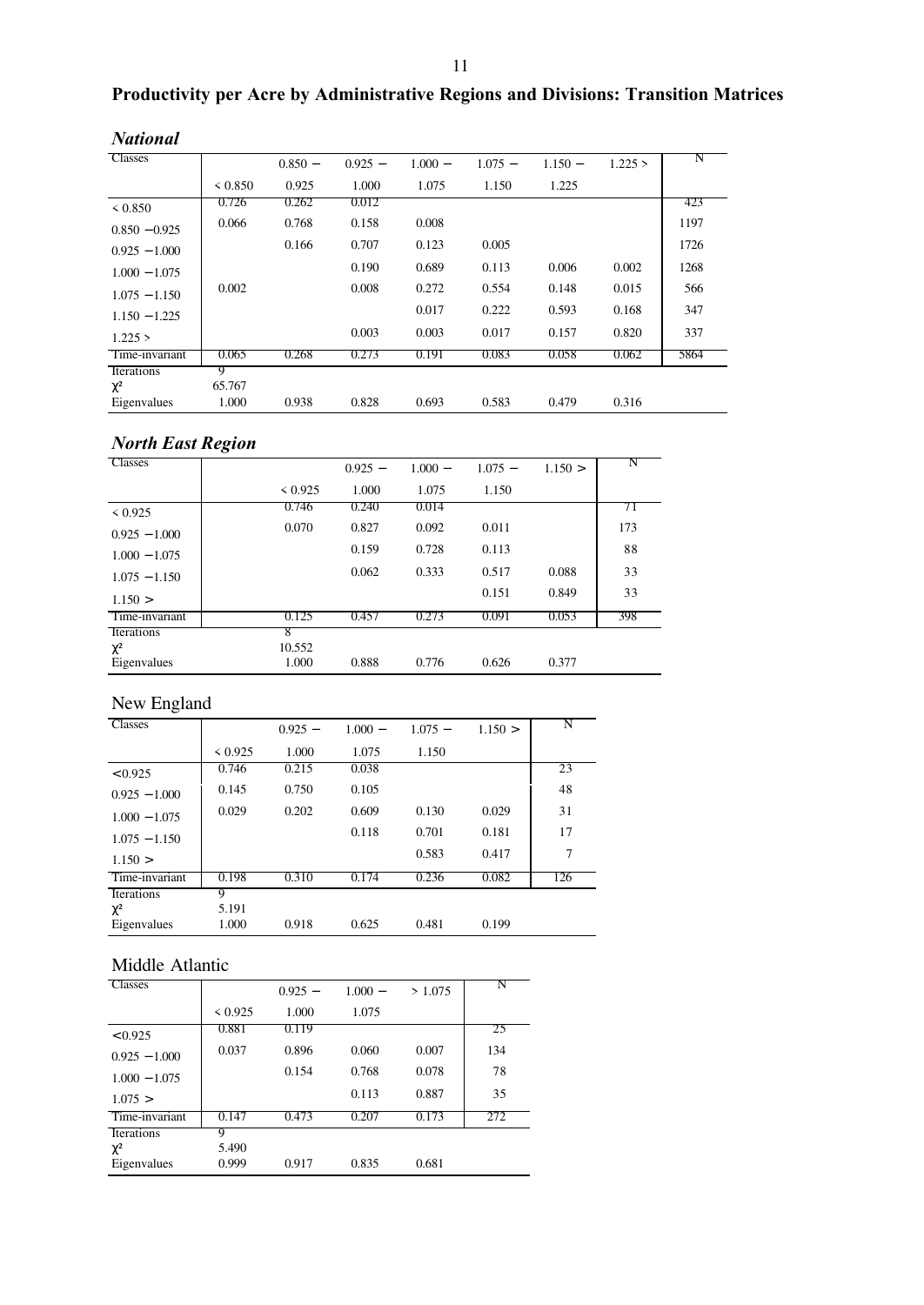# **Productivity per Acre by Administrative Regions and Divisions: Transition Matrices**

| <b>Classes</b>  |         |           |           |           |           |           |         | N    |
|-----------------|---------|-----------|-----------|-----------|-----------|-----------|---------|------|
|                 |         | $0.850 -$ | $0.925 -$ | $1.000 -$ | $1.075 -$ | $1.150 -$ | 1.225 > |      |
|                 | < 0.850 | 0.925     | 1.000     | 1.075     | 1.150     | 1.225     |         |      |
| < 0.850         | 0.726   | 0.262     | 0.012     |           |           |           |         | 423  |
| $0.850 - 0.925$ | 0.066   | 0.768     | 0.158     | 0.008     |           |           |         | 1197 |
| $0.925 - 1.000$ |         | 0.166     | 0.707     | 0.123     | 0.005     |           |         | 1726 |
| $1.000 - 1.075$ |         |           | 0.190     | 0.689     | 0.113     | 0.006     | 0.002   | 1268 |
| $1.075 - 1.150$ | 0.002   |           | 0.008     | 0.272     | 0.554     | 0.148     | 0.015   | 566  |
| $1.150 - 1.225$ |         |           |           | 0.017     | 0.222     | 0.593     | 0.168   | 347  |
| 1.225 >         |         |           | 0.003     | 0.003     | 0.017     | 0.157     | 0.820   | 337  |
| Time-invariant  | 0.065   | 0.268     | 0.273     | 0.191     | 0.083     | 0.058     | 0.062   | 5864 |
| Iterations      | 9       |           |           |           |           |           |         |      |
| $\chi^2$        | 65.767  |           |           |           |           |           |         |      |
| Eigenvalues     | 1.000   | 0.938     | 0.828     | 0.693     | 0.583     | 0.479     | 0.316   |      |

# *National*

# *North East Region*

| <b>Classes</b>                        |                      | $0.925 -$ | $1.000 -$ | $1.075 -$ | 1.150 > |     |
|---------------------------------------|----------------------|-----------|-----------|-----------|---------|-----|
|                                       | < 0.925              | 1.000     | 1.075     | 1.150     |         |     |
| < 0.925                               | 0.746                | 0.240     | 0.014     |           |         | 71  |
| $0.925 - 1.000$                       | 0.070                | 0.827     | 0.092     | 0.011     |         | 173 |
| $1.000 - 1.075$                       |                      | 0.159     | 0.728     | 0.113     |         | 88  |
| $1.075 - 1.150$                       |                      | 0.062     | 0.333     | 0.517     | 0.088   | 33  |
| 1.150 >                               |                      |           |           | 0.151     | 0.849   | 33  |
| Time-invariant                        | 0.125                | 0.457     | 0.273     | 0.091     | 0.053   | 398 |
| Iterations<br>$\chi^2$<br>Eigenvalues | 8<br>10.552<br>1.000 | 0.888     | 0.776     | 0.626     | 0.377   |     |

### New England

| <b>Classes</b>    |         | $0.925 -$ | $1.000 -$ | $1.075 -$ | 1.150 > |     |
|-------------------|---------|-----------|-----------|-----------|---------|-----|
|                   | < 0.925 | 1.000     | 1.075     | 1.150     |         |     |
| < 0.925           | 0.746   | 0.215     | 0.038     |           |         | 23  |
| $0.925 - 1.000$   | 0.145   | 0.750     | 0.105     |           |         | 48  |
| $1.000 - 1.075$   | 0.029   | 0.202     | 0.609     | 0.130     | 0.029   | 31  |
| $1.075 - 1.150$   |         |           | 0.118     | 0.701     | 0.181   | 17  |
| 1.150 >           |         |           |           | 0.583     | 0.417   | 7   |
| Time-invariant    | 0.198   | 0.310     | 0.174     | 0.236     | 0.082   | 126 |
| <b>Iterations</b> | 9       |           |           |           |         |     |
| $\chi^2$          | 5.191   |           |           |           |         |     |
| Eigenvalues       | 1.000   | 0.918     | 0.625     | 0.481     | 0.199   |     |

# Middle Atlantic

| <b>Classes</b>          |                | $0.925 -$ | $1.000 -$ | >1.075 |     |
|-------------------------|----------------|-----------|-----------|--------|-----|
|                         | < 0.925        | 1.000     | 1.075     |        |     |
| < 0.925                 | 0.881          | 0.119     |           |        | 25  |
| $0.925 - 1.000$         | 0.037          | 0.896     | 0.060     | 0.007  | 134 |
| $1.000 - 1.075$         |                | 0.154     | 0.768     | 0.078  | 78  |
| 1.075 >                 |                |           | 0.113     | 0.887  | 35  |
| Time-invariant          | 0.147          | 0.473     | 0.207     | 0.173  | 272 |
| Iterations              | 9              |           |           |        |     |
| $\chi^2$<br>Eigenvalues | 5.490<br>0.999 | 0.917     | 0.835     | 0.681  |     |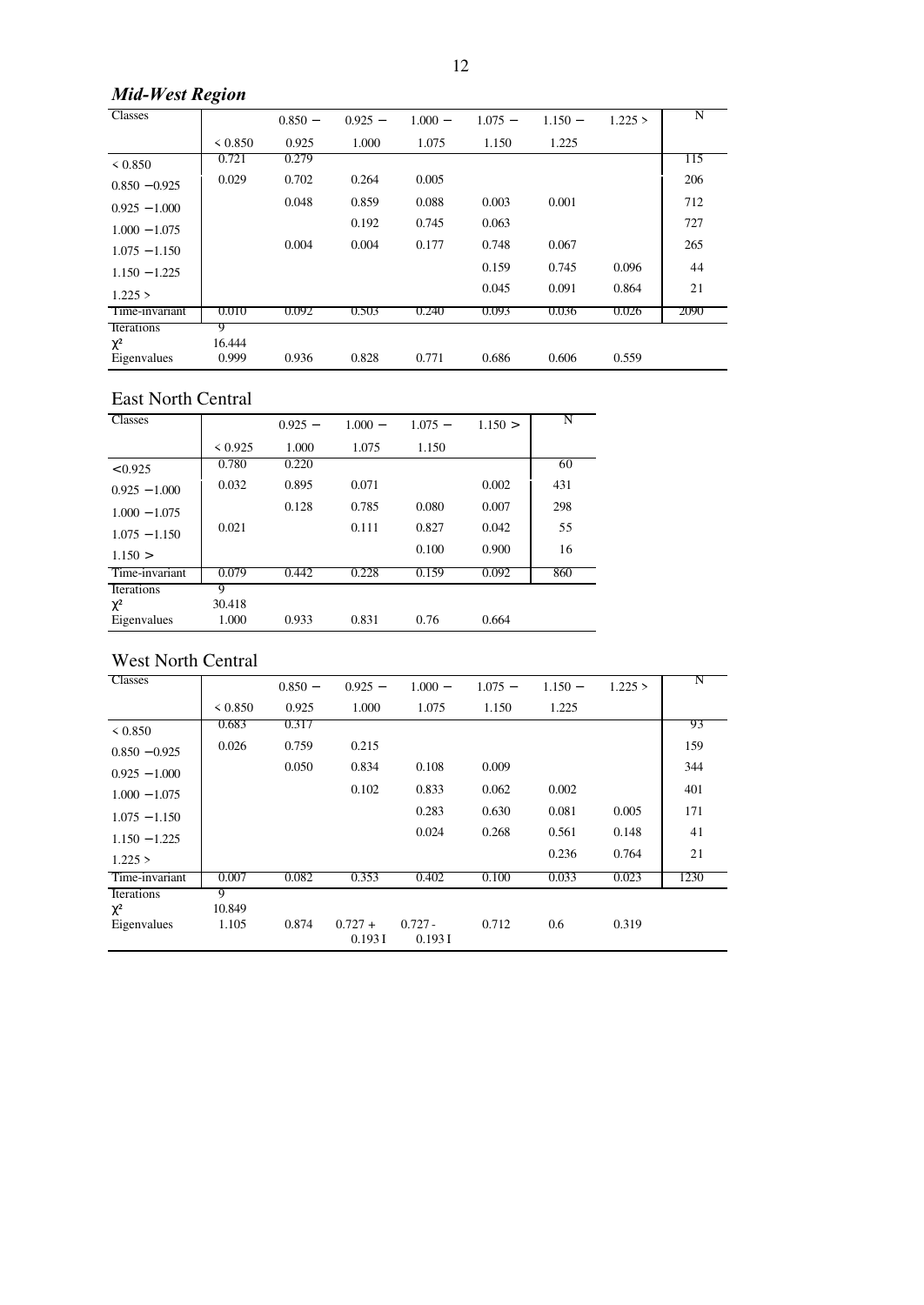# *Mid-West Region*

| <b>Classes</b>  |        | $0.850 -$ | $0.925 -$ | $1.000 -$ | $1.075 -$ | $1.150 -$ | 1.225 > | N    |
|-----------------|--------|-----------|-----------|-----------|-----------|-----------|---------|------|
|                 |        | 0.925     | 1.000     | 1.075     | 1.150     | 1.225     |         |      |
|                 | 0.721  | 0.279     |           |           |           |           |         | 115  |
| $0.850 - 0.925$ | 0.029  | 0.702     | 0.264     | 0.005     |           |           |         | 206  |
| $0.925 - 1.000$ |        | 0.048     | 0.859     | 0.088     | 0.003     | 0.001     |         | 712  |
| $1.000 - 1.075$ |        |           | 0.192     | 0.745     | 0.063     |           |         | 727  |
| $1.075 - 1.150$ |        | 0.004     | 0.004     | 0.177     | 0.748     | 0.067     |         | 265  |
| $1.150 - 1.225$ |        |           |           |           | 0.159     | 0.745     | 0.096   | 44   |
| 1.225 >         |        |           |           |           | 0.045     | 0.091     | 0.864   | 21   |
| Time-invariant  | 0.010  | 0.092     | 0.503     | 0.240     | 0.093     | 0.036     | 0.026   | 2090 |
| Iterations      | g      |           |           |           |           |           |         |      |
| $\chi^2$        | 16.444 |           |           |           |           |           |         |      |
| Eigenvalues     | 0.999  | 0.936     | 0.828     | 0.771     | 0.686     | 0.606     | 0.559   |      |

### East North Central

| <b>Classes</b>  |         | $0.925 -$ | $1.000 -$ | $1.075 -$ | 1.150 > | N   |
|-----------------|---------|-----------|-----------|-----------|---------|-----|
|                 | < 0.925 | 1.000     | 1.075     | 1.150     |         |     |
| < 0.925         | 0.780   | 0.220     |           |           |         | 60  |
| $0.925 - 1.000$ | 0.032   | 0.895     | 0.071     |           | 0.002   | 431 |
| $1.000 - 1.075$ |         | 0.128     | 0.785     | 0.080     | 0.007   | 298 |
| $1.075 - 1.150$ | 0.021   |           | 0.111     | 0.827     | 0.042   | 55  |
| 1.150 >         |         |           |           | 0.100     | 0.900   | 16  |
| Time-invariant  | 0.079   | 0.442     | 0.228     | 0.159     | 0.092   | 860 |
| Iterations      | 9       |           |           |           |         |     |
| $\chi^2$        | 30.418  |           |           |           |         |     |
| Eigenvalues     | 1.000   | 0.933     | 0.831     | 0.76      | 0.664   |     |

# West North Central

| <b>Classes</b>  |              | $0.850 -$ | $0.925 -$           | $1.000 -$           | $1.075 -$ | $1.150 -$ | 1.225 > | N    |
|-----------------|--------------|-----------|---------------------|---------------------|-----------|-----------|---------|------|
|                 | ${}_{0.850}$ | 0.925     | 1.000               | 1.075               | 1.150     | 1.225     |         |      |
| < 0.850         | 0.683        | 0.317     |                     |                     |           |           |         | 93   |
| $0.850 - 0.925$ | 0.026        | 0.759     | 0.215               |                     |           |           |         | 159  |
| $0.925 - 1.000$ |              | 0.050     | 0.834               | 0.108               | 0.009     |           |         | 344  |
| $1.000 - 1.075$ |              |           | 0.102               | 0.833               | 0.062     | 0.002     |         | 401  |
| $1.075 - 1.150$ |              |           |                     | 0.283               | 0.630     | 0.081     | 0.005   | 171  |
| $1.150 - 1.225$ |              |           |                     | 0.024               | 0.268     | 0.561     | 0.148   | 41   |
| 1.225 >         |              |           |                     |                     |           | 0.236     | 0.764   | 21   |
| Time-invariant  | 0.007        | 0.082     | 0.353               | 0.402               | 0.100     | 0.033     | 0.023   | 1230 |
| Iterations      | 9            |           |                     |                     |           |           |         |      |
| $\chi^2$        | 10.849       |           |                     |                     |           |           |         |      |
| Eigenvalues     | 1.105        | 0.874     | $0.727 +$<br>0.193I | $0.727 -$<br>0.193I | 0.712     | 0.6       | 0.319   |      |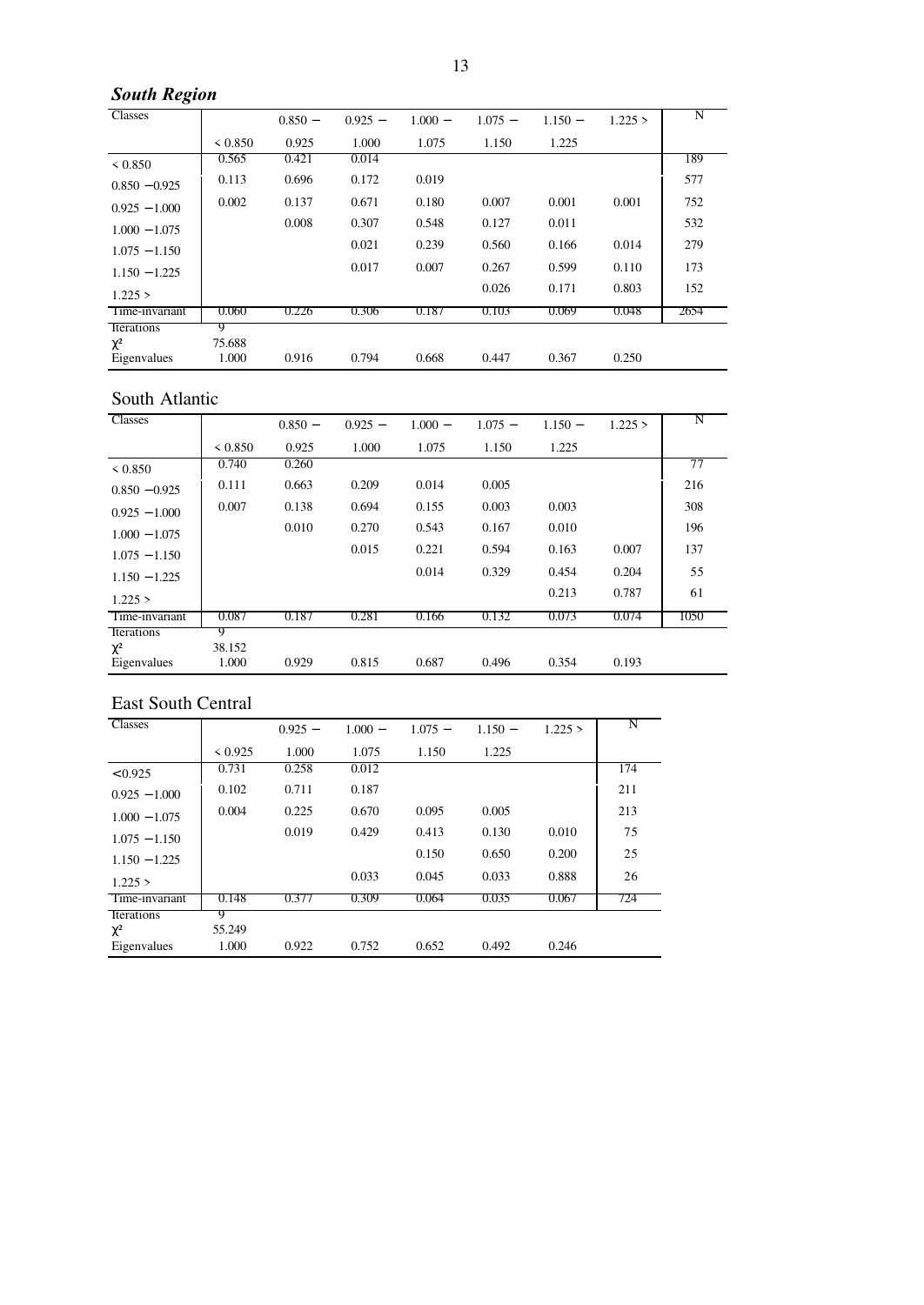# *South Region*

| <b>Classes</b>  |         | $0.850 -$ | $0.925 -$ | $1.000 -$ | $1.075 -$ | $1.150 -$ | 1.225 > | N    |
|-----------------|---------|-----------|-----------|-----------|-----------|-----------|---------|------|
|                 | < 0.850 | 0.925     | 1.000     | 1.075     | 1.150     | 1.225     |         |      |
| < 0.850         | 0.565   | 0.421     | 0.014     |           |           |           |         | 189  |
| $0.850 - 0.925$ | 0.113   | 0.696     | 0.172     | 0.019     |           |           |         | 577  |
| $0.925 - 1.000$ | 0.002   | 0.137     | 0.671     | 0.180     | 0.007     | 0.001     | 0.001   | 752  |
| $1.000 - 1.075$ |         | 0.008     | 0.307     | 0.548     | 0.127     | 0.011     |         | 532  |
| $1.075 - 1.150$ |         |           | 0.021     | 0.239     | 0.560     | 0.166     | 0.014   | 279  |
| $1.150 - 1.225$ |         |           | 0.017     | 0.007     | 0.267     | 0.599     | 0.110   | 173  |
| 1.225 >         |         |           |           |           | 0.026     | 0.171     | 0.803   | 152  |
| Time-invariant  | 0.060   | 0.226     | 0.306     | 0.187     | 0.103     | 0.069     | 0.048   | 2654 |
| Iterations      | 9       |           |           |           |           |           |         |      |
| $\chi^2$        | 75.688  |           |           |           |           |           |         |      |
| Eigenvalues     | 1.000   | 0.916     | 0.794     | 0.668     | 0.447     | 0.367     | 0.250   |      |

### South Atlantic

| Classes           |        |           |           |           |           |           |         | N    |
|-------------------|--------|-----------|-----------|-----------|-----------|-----------|---------|------|
|                   |        | $0.850 -$ | $0.925 -$ | $1.000 -$ | $1.075 -$ | $1.150 -$ | 1.225 > |      |
|                   |        | 0.925     | 1.000     | 1.075     | 1.150     | 1.225     |         |      |
| ${}_{\leq 0.850}$ | 0.740  | 0.260     |           |           |           |           |         | 77   |
| $0.850 - 0.925$   | 0.111  | 0.663     | 0.209     | 0.014     | 0.005     |           |         | 216  |
| $0.925 - 1.000$   | 0.007  | 0.138     | 0.694     | 0.155     | 0.003     | 0.003     |         | 308  |
| $1.000 - 1.075$   |        | 0.010     | 0.270     | 0.543     | 0.167     | 0.010     |         | 196  |
| $1.075 - 1.150$   |        |           | 0.015     | 0.221     | 0.594     | 0.163     | 0.007   | 137  |
| $1.150 - 1.225$   |        |           |           | 0.014     | 0.329     | 0.454     | 0.204   | 55   |
| 1.225 >           |        |           |           |           |           | 0.213     | 0.787   | 61   |
| Time-invariant    | 0.087  | 0.187     | 0.281     | 0.166     | 0.132     | 0.073     | 0.074   | 1050 |
| Iterations        | 9      |           |           |           |           |           |         |      |
| $\chi^2$          | 38.152 |           |           |           |           |           |         |      |
| Eigenvalues       | 1.000  | 0.929     | 0.815     | 0.687     | 0.496     | 0.354     | 0.193   |      |

### East South Central

| <b>Classes</b>  |         | $0.925 -$ | $1.000 -$ | $1.075 -$ | $1.150 -$ | 1.225 > | N   |
|-----------------|---------|-----------|-----------|-----------|-----------|---------|-----|
|                 | < 0.925 | 1.000     | 1.075     | 1.150     | 1.225     |         |     |
| < 0.925         | 0.731   | 0.258     | 0.012     |           |           |         | 174 |
| $0.925 - 1.000$ | 0.102   | 0.711     | 0.187     |           |           |         | 211 |
| $1.000 - 1.075$ | 0.004   | 0.225     | 0.670     | 0.095     | 0.005     |         | 213 |
| $1.075 - 1.150$ |         | 0.019     | 0.429     | 0.413     | 0.130     | 0.010   | 75  |
| $1.150 - 1.225$ |         |           |           | 0.150     | 0.650     | 0.200   | 25  |
| 1.225 >         |         |           | 0.033     | 0.045     | 0.033     | 0.888   | 26  |
| Time-invariant  | 0.148   | 0.377     | 0.309     | 0.064     | 0.035     | 0.067   | 724 |
| Iterations      | 9       |           |           |           |           |         |     |
| $\chi^2$        | 55.249  |           |           |           |           |         |     |
| Eigenvalues     | 1.000   | 0.922     | 0.752     | 0.652     | 0.492     | 0.246   |     |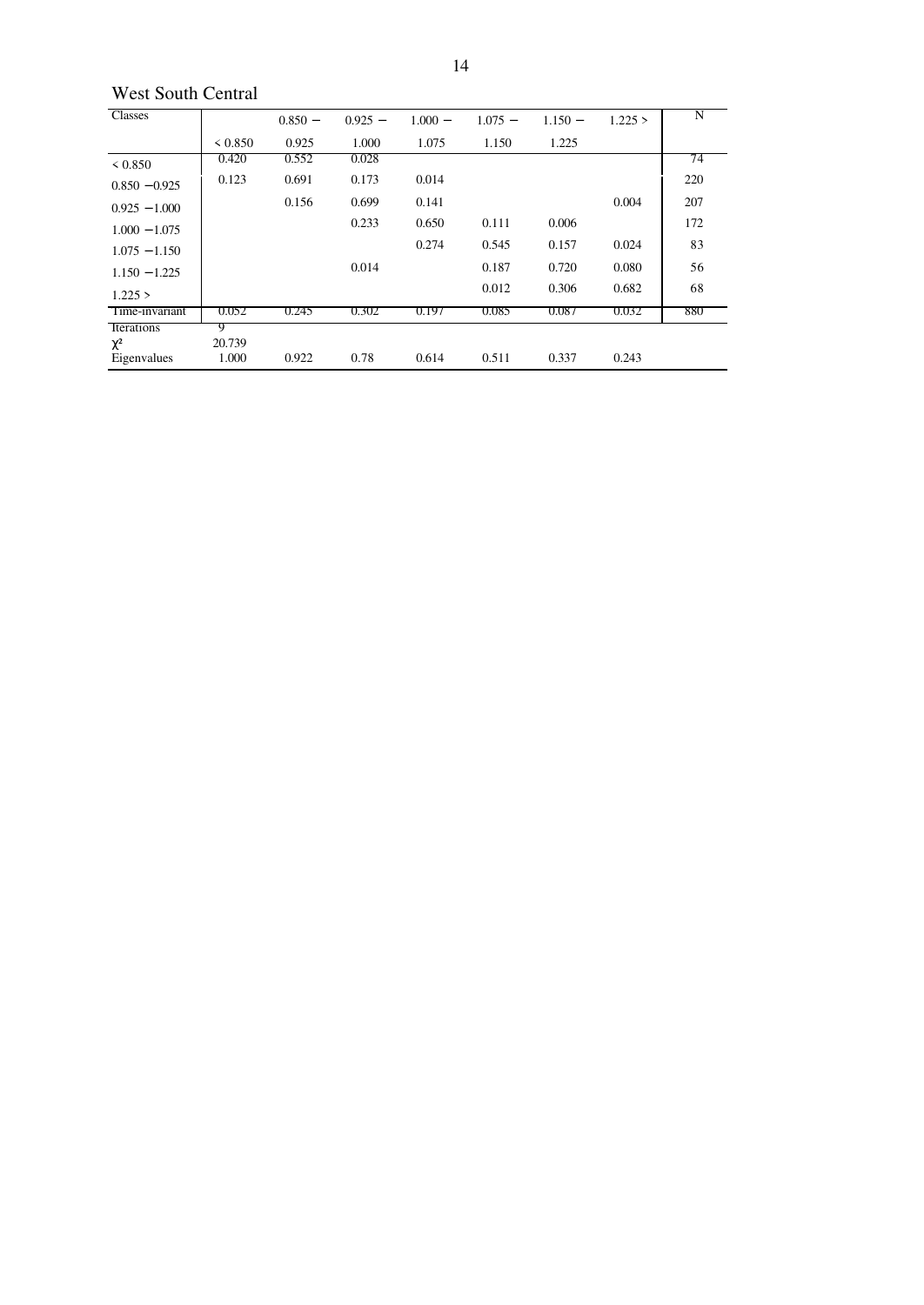### West South Central

| <b>Classes</b>  |        | $0.850 -$ | $0.925 -$ | $1.000 -$ | $1.075 -$ | $1.150 -$ | 1.225 > | N   |
|-----------------|--------|-----------|-----------|-----------|-----------|-----------|---------|-----|
|                 |        | 0.925     | 1.000     | 1.075     | 1.150     | 1.225     |         |     |
| ${}_{< 0.850}$  | 0.420  | 0.552     | 0.028     |           |           |           |         | 74  |
| $0.850 - 0.925$ | 0.123  | 0.691     | 0.173     | 0.014     |           |           |         | 220 |
| $0.925 - 1.000$ |        | 0.156     | 0.699     | 0.141     |           |           | 0.004   | 207 |
| $1.000 - 1.075$ |        |           | 0.233     | 0.650     | 0.111     | 0.006     |         | 172 |
| $1.075 - 1.150$ |        |           |           | 0.274     | 0.545     | 0.157     | 0.024   | 83  |
| $1.150 - 1.225$ |        |           | 0.014     |           | 0.187     | 0.720     | 0.080   | 56  |
| 1.225 >         |        |           |           |           | 0.012     | 0.306     | 0.682   | 68  |
| Time-invariant  | 0.052  | 0.245     | 0.302     | 0.197     | 0.085     | 0.087     | 0.032   | 880 |
| Iterations      | 9      |           |           |           |           |           |         |     |
| $\chi^2$        | 20.739 |           |           |           |           |           |         |     |
| Eigenvalues     | 1.000  | 0.922     | 0.78      | 0.614     | 0.511     | 0.337     | 0.243   |     |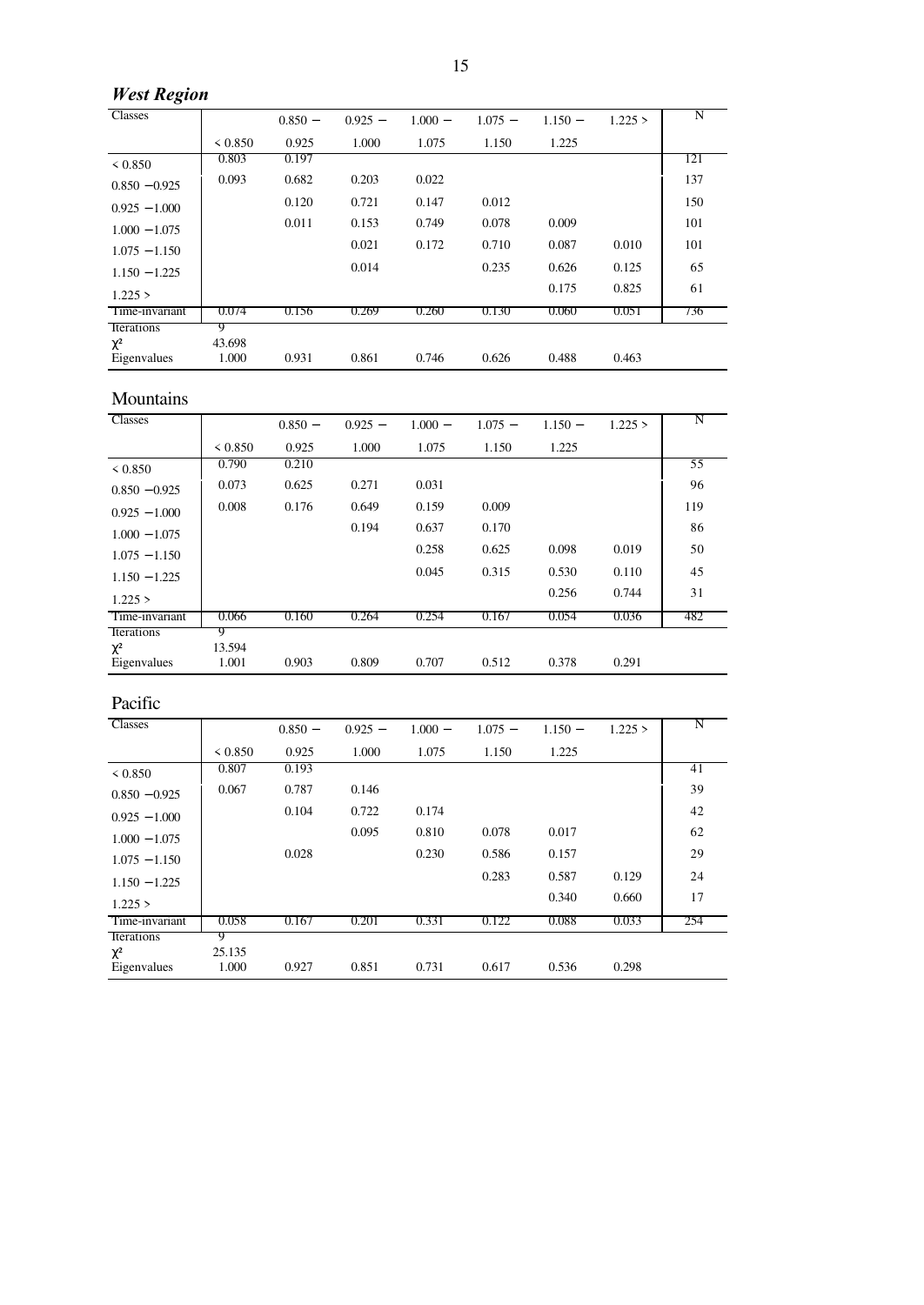# *West Region*

| Classes           |         | $0.850 -$ | $0.925 -$ | $1.000 -$ | $1.075 -$ | $1.150 -$ | 1.225 > | N   |
|-------------------|---------|-----------|-----------|-----------|-----------|-----------|---------|-----|
|                   | < 0.850 | 0.925     | 1.000     | 1.075     | 1.150     | 1.225     |         |     |
| ${}_{\leq 0.850}$ | 0.803   | 0.197     |           |           |           |           |         | 121 |
| $0.850 - 0.925$   | 0.093   | 0.682     | 0.203     | 0.022     |           |           |         | 137 |
| $0.925 - 1.000$   |         | 0.120     | 0.721     | 0.147     | 0.012     |           |         | 150 |
| $1.000 - 1.075$   |         | 0.011     | 0.153     | 0.749     | 0.078     | 0.009     |         | 101 |
| $1.075 - 1.150$   |         |           | 0.021     | 0.172     | 0.710     | 0.087     | 0.010   | 101 |
| $1.150 - 1.225$   |         |           | 0.014     |           | 0.235     | 0.626     | 0.125   | 65  |
| 1.225 >           |         |           |           |           |           | 0.175     | 0.825   | 61  |
| Time-invariant    | 0.074   | 0.156     | 0.269     | 0.260     | 0.130     | 0.060     | 0.051   | 736 |
| <b>Iterations</b> | g       |           |           |           |           |           |         |     |
| $\chi^2$          | 43.698  |           |           |           |           |           |         |     |
| Eigenvalues       | 1.000   | 0.931     | 0.861     | 0.746     | 0.626     | 0.488     | 0.463   |     |

### Mountains

| <b>Classes</b>    |         | $0.850 -$ | $0.925 -$ | $1.000 -$ | $1.075 -$ | $1.150 -$ | 1.225 > | N   |
|-------------------|---------|-----------|-----------|-----------|-----------|-----------|---------|-----|
|                   | < 0.850 | 0.925     | 1.000     | 1.075     | 1.150     | 1.225     |         |     |
| ${}_{\leq 0.850}$ | 0.790   | 0.210     |           |           |           |           |         | 55  |
| $0.850 - 0.925$   | 0.073   | 0.625     | 0.271     | 0.031     |           |           |         | 96  |
| $0.925 - 1.000$   | 0.008   | 0.176     | 0.649     | 0.159     | 0.009     |           |         | 119 |
| $1.000 - 1.075$   |         |           | 0.194     | 0.637     | 0.170     |           |         | 86  |
| $1.075 - 1.150$   |         |           |           | 0.258     | 0.625     | 0.098     | 0.019   | 50  |
| $1.150 - 1.225$   |         |           |           | 0.045     | 0.315     | 0.530     | 0.110   | 45  |
| 1.225 >           |         |           |           |           |           | 0.256     | 0.744   | 31  |
| Time-invariant    | 0.066   | 0.160     | 0.264     | 0.254     | 0.167     | 0.054     | 0.036   | 482 |
| Iterations        | 9       |           |           |           |           |           |         |     |
| $\chi^2$          | 13.594  |           |           |           |           |           |         |     |
| Eigenvalues       | 1.001   | 0.903     | 0.809     | 0.707     | 0.512     | 0.378     | 0.291   |     |

# Pacific

| <b>Classes</b>          |                 | $0.850 -$ | $0.925 -$ | $1.000 -$ | $1.075 -$ | $1.150 -$ | 1.225 > | N   |
|-------------------------|-----------------|-----------|-----------|-----------|-----------|-----------|---------|-----|
|                         |                 | 0.925     | 1.000     | 1.075     | 1.150     | 1.225     |         |     |
| ${}_{< 0.850}$          | 0.807           | 0.193     |           |           |           |           |         | 41  |
| $0.850 - 0.925$         | 0.067           | 0.787     | 0.146     |           |           |           |         | 39  |
| $0.925 - 1.000$         |                 | 0.104     | 0.722     | 0.174     |           |           |         | 42  |
| $1.000 - 1.075$         |                 |           | 0.095     | 0.810     | 0.078     | 0.017     |         | 62  |
| $1.075 - 1.150$         |                 | 0.028     |           | 0.230     | 0.586     | 0.157     |         | 29  |
| $1.150 - 1.225$         |                 |           |           |           | 0.283     | 0.587     | 0.129   | 24  |
| 1.225 >                 |                 |           |           |           |           | 0.340     | 0.660   | 17  |
| Time-invariant          | 0.058           | 0.167     | 0.201     | 0.331     | 0.122     | 0.088     | 0.033   | 254 |
| Iterations              | 9               |           |           |           |           |           |         |     |
| $\chi^2$<br>Eigenvalues | 25.135<br>1.000 | 0.927     | 0.851     | 0.731     | 0.617     | 0.536     | 0.298   |     |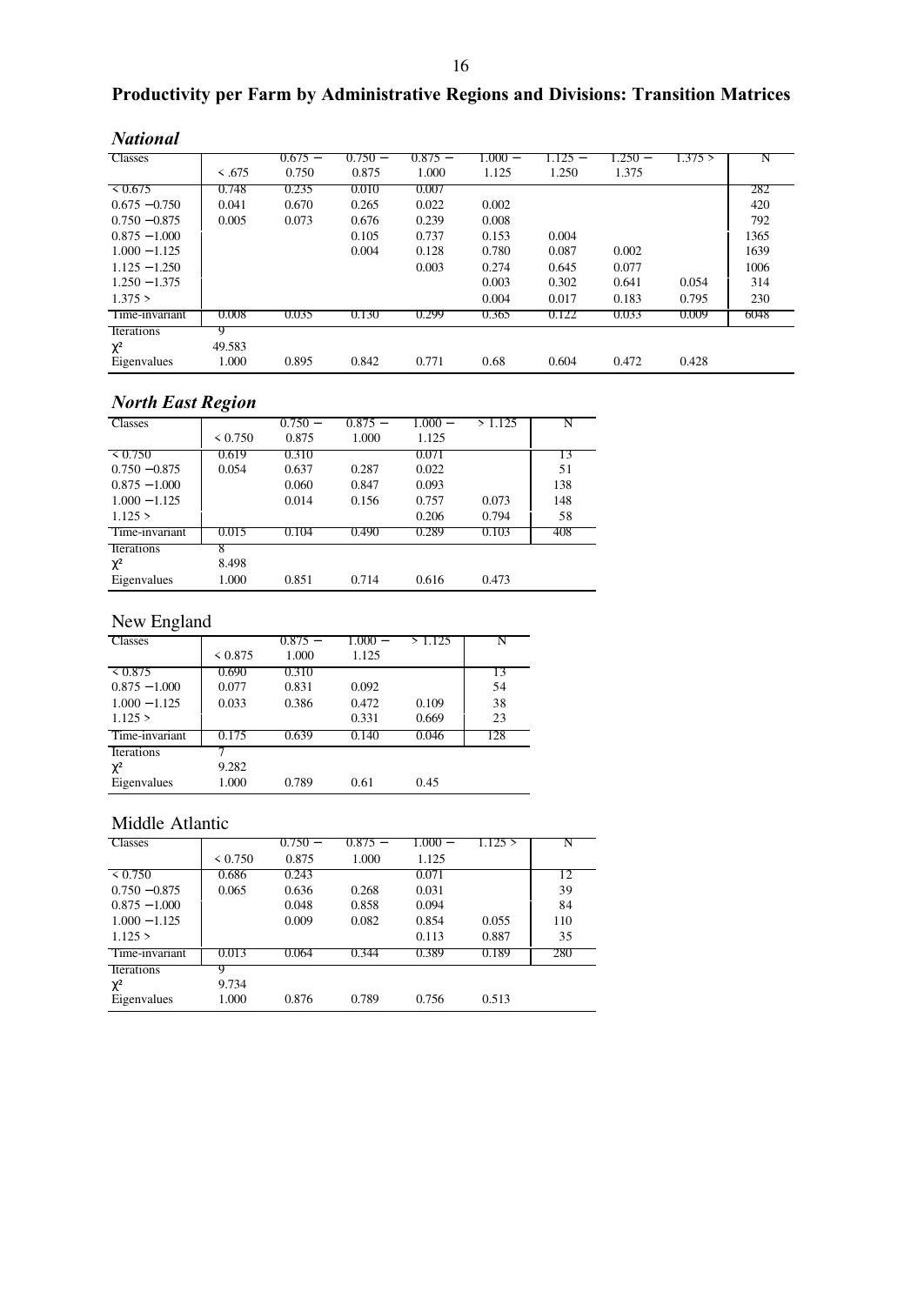# **Productivity per Farm by Administrative Regions and Divisions: Transition Matrices**

| <b>Classes</b>  |             | $0.675 -$ | $0.750 -$ | $0.875 -$ | $000-$ | $1.125 -$ | 1.250 – | 1.375 > | N    |
|-----------------|-------------|-----------|-----------|-----------|--------|-----------|---------|---------|------|
|                 | $\leq .675$ | 0.750     | 0.875     | 1.000     | 1.125  | 1.250     | 1.375   |         |      |
| 70.675          | 0.748       | 0.235     | 0.010     | 0.007     |        |           |         |         | 282  |
| $0.675 - 0.750$ | 0.041       | 0.670     | 0.265     | 0.022     | 0.002  |           |         |         | 420  |
| $0.750 - 0.875$ | 0.005       | 0.073     | 0.676     | 0.239     | 0.008  |           |         |         | 792  |
| $0.875 - 1.000$ |             |           | 0.105     | 0.737     | 0.153  | 0.004     |         |         | 1365 |
| $1.000 - 1.125$ |             |           | 0.004     | 0.128     | 0.780  | 0.087     | 0.002   |         | 1639 |
| $1.125 - 1.250$ |             |           |           | 0.003     | 0.274  | 0.645     | 0.077   |         | 1006 |
| $1.250 - 1.375$ |             |           |           |           | 0.003  | 0.302     | 0.641   | 0.054   | 314  |
| 1.375 >         |             |           |           |           | 0.004  | 0.017     | 0.183   | 0.795   | 230  |
| Time-invariant  | 0.008       | 0.035     | 0.130     | 0.299     | 0.365  | 0.122     | 0.033   | 0.009   | 6048 |
| Iterations      |             |           |           |           |        |           |         |         |      |
| $\chi^2$        | 49.583      |           |           |           |        |           |         |         |      |
| Eigenvalues     | 1.000       | 0.895     | 0.842     | 0.771     | 0.68   | 0.604     | 0.472   | 0.428   |      |

# *North East Region*

| $1101$ in Last Region |         |           |           |           |        |     |  |
|-----------------------|---------|-----------|-----------|-----------|--------|-----|--|
| <b>Classes</b>        |         | $0.750 -$ | $0.875 -$ | $1.000 -$ | >1.125 |     |  |
|                       | < 0.750 | 0.875     | 1.000     | 1.125     |        |     |  |
| $\leq 0.750$          | 0.619   | 0.310     |           | 0.071     |        | 13  |  |
| $0.750 - 0.875$       | 0.054   | 0.637     | 0.287     | 0.022     |        | 51  |  |
| $0.875 - 1.000$       |         | 0.060     | 0.847     | 0.093     |        | 138 |  |
| $1.000 - 1.125$       |         | 0.014     | 0.156     | 0.757     | 0.073  | 148 |  |
| 1.125 >               |         |           |           | 0.206     | 0.794  | 58  |  |
| Time-invariant        | 0.015   | 0.104     | (0.490)   | 0.289     | 0.103  | 408 |  |
| Iterations            |         |           |           |           |        |     |  |
| $\chi^2$              | 8.498   |           |           |           |        |     |  |
| Eigenvalues           | 1.000   | 0.851     | 0.714     | 0.616     | 0.473  |     |  |

# New England

| <b>Classes</b>  |         | $0.875 -$ | $1.000 -$ | 1.125 |     |
|-----------------|---------|-----------|-----------|-------|-----|
|                 | < 0.875 | 1.000     | 1.125     |       |     |
| 50.875          | 0.690   | 0.310     |           |       | 13  |
| $0.875 - 1.000$ | 0.077   | 0.831     | 0.092     |       | 54  |
| $1.000 - 1.125$ | 0.033   | 0.386     | 0.472     | 0.109 | 38  |
| 1.125 >         |         |           | 0.331     | 0.669 | 23  |
| Time-invariant  | 0.175   | 0.639     | 0.140     | 0.046 | 128 |
| Iterations      |         |           |           |       |     |
| $\chi^2$        | 9.282   |           |           |       |     |
| Eigenvalues     | 1.000   | 0.789     | 0.61      | 0.45  |     |

### Middle Atlantic

| <b>Classes</b>    |         | $0.750 -$ | $0.875 -$ | $1.000 -$ | 1.125 > | N   |
|-------------------|---------|-----------|-----------|-----------|---------|-----|
|                   | < 0.750 | 0.875     | 1.000     | 1.125     |         |     |
| $\leq 0.750$      | 0.686   | 0.243     |           | 0.071     |         | 12  |
| $0.750 - 0.875$   | 0.065   | 0.636     | 0.268     | 0.031     |         | 39  |
| $0.875 - 1.000$   |         | 0.048     | 0.858     | 0.094     |         | 84  |
| $1.000 - 1.125$   |         | 0.009     | 0.082     | 0.854     | 0.055   | 110 |
| 1.125 >           |         |           |           | 0.113     | 0.887   | 35  |
| Time-invariant    | 0.013   | 0.064     | 0.344     | 0.389     | 0.189   | 280 |
| <b>Iterations</b> |         |           |           |           |         |     |
| $\chi^2$          | 9.734   |           |           |           |         |     |
| Eigenvalues       | 1.000   | 0.876     | 0.789     | 0.756     | 0.513   |     |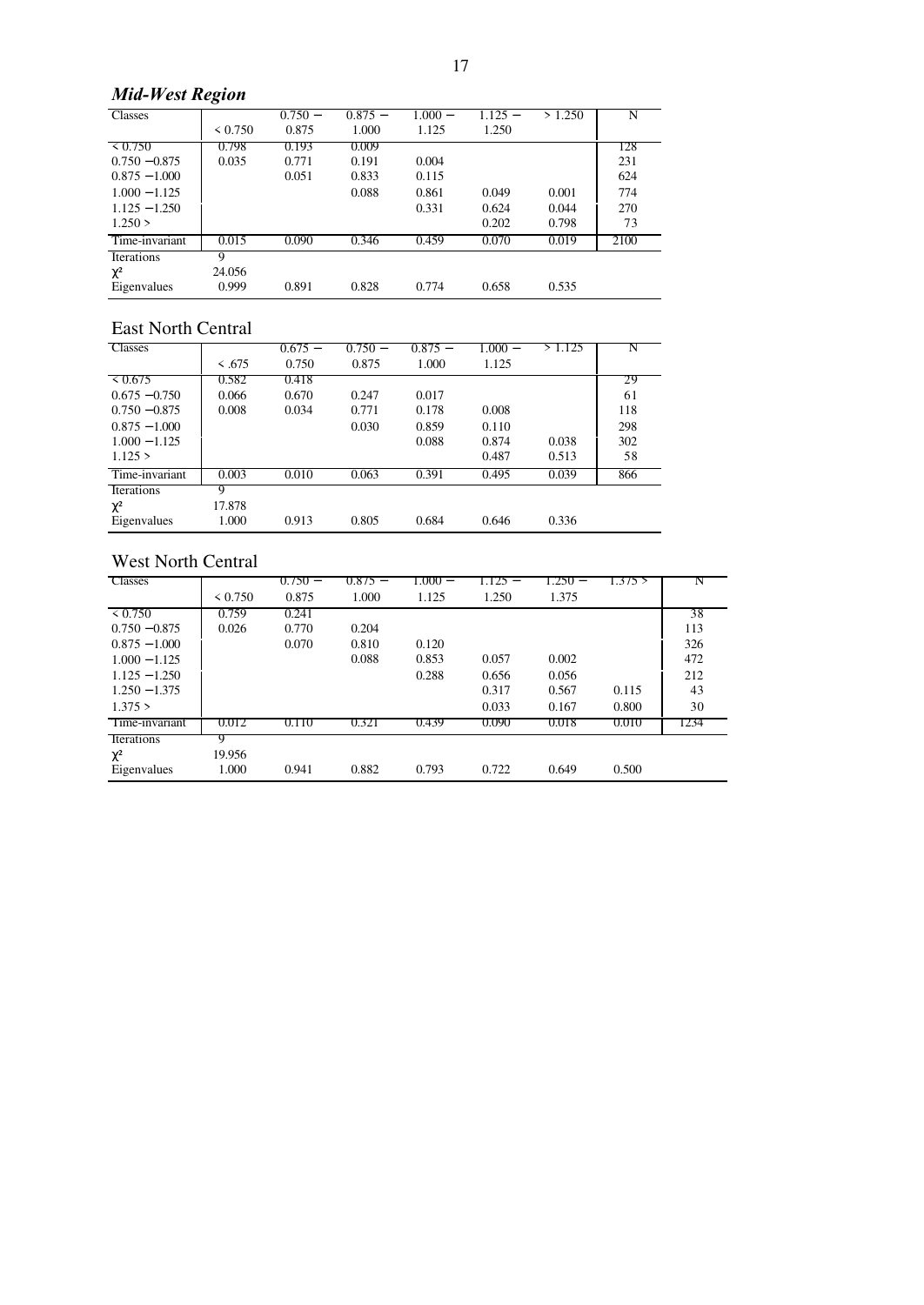# *Mid-West Region*

| Classes           |         | $0.750 -$ | $0.875 -$ | $1.000 -$ | 1.125 – | >1.250 | N    |
|-------------------|---------|-----------|-----------|-----------|---------|--------|------|
|                   | < 0.750 | 0.875     | 1.000     | 1.125     | 1.250   |        |      |
| 70.750            | 0.798   | 0.193     | 0.009     |           |         |        | 128  |
| $0.750 - 0.875$   | 0.035   | 0.771     | 0.191     | 0.004     |         |        | 231  |
| $0.875 - 1.000$   |         | 0.051     | 0.833     | 0.115     |         |        | 624  |
| $1.000 - 1.125$   |         |           | 0.088     | 0.861     | 0.049   | 0.001  | 774  |
| $1.125 - 1.250$   |         |           |           | 0.331     | 0.624   | 0.044  | 270  |
| 1.250 >           |         |           |           |           | 0.202   | 0.798  | 73   |
| Time-invariant    | 0.015   | 0.090     | 0.346     | 0.459     | 0.070   | 0.019  | 2100 |
| <b>Iterations</b> | Q       |           |           |           |         |        |      |
| $\chi^2$          | 24.056  |           |           |           |         |        |      |
| Eigenvalues       | 0.999   | 0.891     | 0.828     | 0.774     | 0.658   | 0.535  |      |

### East North Central

| вая годин сепиш |             |           |           |           |           |         |     |
|-----------------|-------------|-----------|-----------|-----------|-----------|---------|-----|
| <b>Classes</b>  |             | $0.675 -$ | $0.750 -$ | $0.875 -$ | $1.000 -$ | > 1.125 |     |
|                 | $\leq .675$ | 0.750     | 0.875     | 1.000     | 1.125     |         |     |
| 50.675          | 0.582       | 0.418     |           |           |           |         | 29  |
| $0.675 - 0.750$ | 0.066       | 0.670     | 0.247     | 0.017     |           |         | 61  |
| $0.750 - 0.875$ | 0.008       | 0.034     | 0.771     | 0.178     | 0.008     |         | 118 |
| $0.875 - 1.000$ |             |           | 0.030     | 0.859     | 0.110     |         | 298 |
| $1.000 - 1.125$ |             |           |           | 0.088     | 0.874     | 0.038   | 302 |
| 1.125 >         |             |           |           |           | 0.487     | 0.513   | 58  |
| Time-invariant  | 0.003       | 0.010     | 0.063     | 0.391     | 0.495     | 0.039   | 866 |
| Iterations      | 9           |           |           |           |           |         |     |
| $\chi^2$        | 17.878      |           |           |           |           |         |     |
| Eigenvalues     | 1.000       | 0.913     | 0.805     | 0.684     | 0.646     | 0.336   |     |

# West North Central

| $\cdots$ of $\cdots$ |         |           |           |           |         |           |         |      |
|----------------------|---------|-----------|-----------|-----------|---------|-----------|---------|------|
| <b>Classes</b>       |         | $0.750 -$ | $0.875 -$ | $0.000 -$ | 1.125 – | $1.250 -$ | 1.375 > | N    |
|                      | < 0.750 | 0.875     | 1.000     | 1.125     | 1.250   | 1.375     |         |      |
| $\leq 0.750$         | 0.759   | 0.241     |           |           |         |           |         | 38   |
| $0.750 - 0.875$      | 0.026   | 0.770     | 0.204     |           |         |           |         | 113  |
| $0.875 - 1.000$      |         | 0.070     | 0.810     | 0.120     |         |           |         | 326  |
| $1.000 - 1.125$      |         |           | 0.088     | 0.853     | 0.057   | 0.002     |         | 472  |
| $1.125 - 1.250$      |         |           |           | 0.288     | 0.656   | 0.056     |         | 212  |
| $1.250 - 1.375$      |         |           |           |           | 0.317   | 0.567     | 0.115   | 43   |
| 1.375 >              |         |           |           |           | 0.033   | 0.167     | 0.800   | 30   |
| Time-invariant       | 0.012   | 0.110     | 0.321     | 0.439     | 0.090   | 0.018     | 0.010   | 1234 |
| Iterations           | Q       |           |           |           |         |           |         |      |
| $\chi^2$             | 19.956  |           |           |           |         |           |         |      |
| Eigenvalues          | 1.000   | 0.941     | 0.882     | 0.793     | 0.722   | 0.649     | 0.500   |      |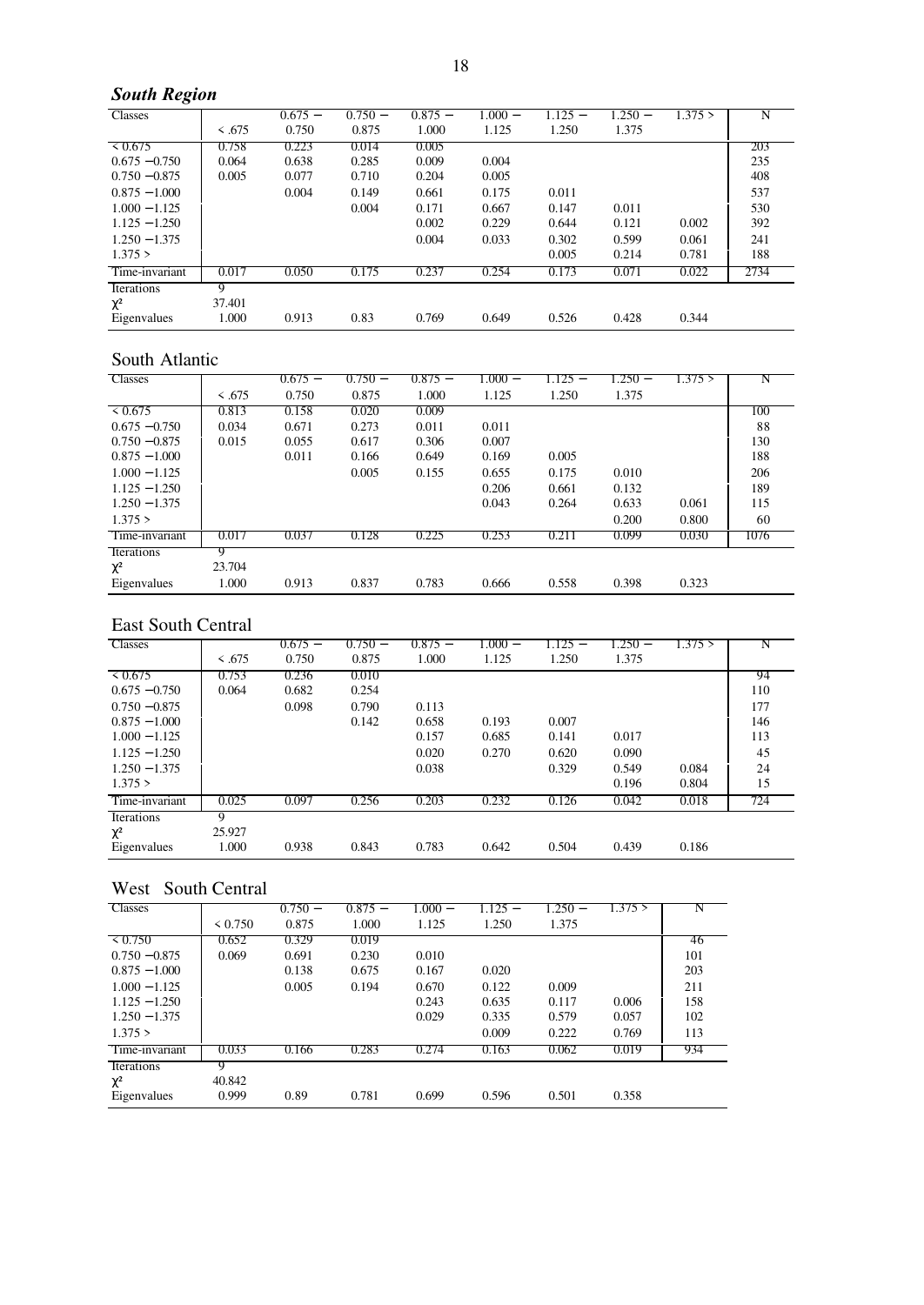# *South Region*

| <b>Classes</b>  |             | $0.675 -$ | $0.750 -$ | $0.875 -$ | $1.000-$ | 1.125 – | 1.250 – | 1.375 > | N    |
|-----------------|-------------|-----------|-----------|-----------|----------|---------|---------|---------|------|
|                 | $\leq .675$ | 0.750     | 0.875     | 1.000     | 1.125    | 1.250   | 1.375   |         |      |
| 50.675          | 0.758       | 0.223     | 0.014     | 0.005     |          |         |         |         | 203  |
| $0.675 - 0.750$ | 0.064       | 0.638     | 0.285     | 0.009     | 0.004    |         |         |         | 235  |
| $0.750 - 0.875$ | 0.005       | 0.077     | 0.710     | 0.204     | 0.005    |         |         |         | 408  |
| $0.875 - 1.000$ |             | 0.004     | 0.149     | 0.661     | 0.175    | 0.011   |         |         | 537  |
| $1.000 - 1.125$ |             |           | 0.004     | 0.171     | 0.667    | 0.147   | 0.011   |         | 530  |
| $1.125 - 1.250$ |             |           |           | 0.002     | 0.229    | 0.644   | 0.121   | 0.002   | 392  |
| $1.250 - 1.375$ |             |           |           | 0.004     | 0.033    | 0.302   | 0.599   | 0.061   | 241  |
| 1.375 >         |             |           |           |           |          | 0.005   | 0.214   | 0.781   | 188  |
| Time-invariant  | 0.017       | 0.050     | 0.175     | 0.237     | 0.254    | 0.173   | 0.071   | 0.022   | 2734 |
| Iterations      | 9           |           |           |           |          |         |         |         |      |
| $\chi^2$        | 37.401      |           |           |           |          |         |         |         |      |
| Eigenvalues     | 1.000       | 0.913     | 0.83      | 0.769     | 0.649    | 0.526   | 0.428   | 0.344   |      |

#### South Atlantic

| <b>Classes</b>  |             | $0.675 -$ | $0.750 -$ | $0.875 -$ | 1.000 – | $.125 -$ | 1.250 – | 1.375 > | Ν    |
|-----------------|-------------|-----------|-----------|-----------|---------|----------|---------|---------|------|
|                 | $\leq .675$ | 0.750     | 0.875     | 1.000     | 1.125   | 1.250    | 1.375   |         |      |
| $\leq 0.675$    | 0.813       | 0.158     | 0.020     | 0.009     |         |          |         |         | 100  |
| $0.675 - 0.750$ | 0.034       | 0.671     | 0.273     | 0.011     | 0.011   |          |         |         | 88   |
| $0.750 - 0.875$ | 0.015       | 0.055     | 0.617     | 0.306     | 0.007   |          |         |         | 130  |
| $0.875 - 1.000$ |             | 0.011     | 0.166     | 0.649     | 0.169   | 0.005    |         |         | 188  |
| $1.000 - 1.125$ |             |           | 0.005     | 0.155     | 0.655   | 0.175    | 0.010   |         | 206  |
| $1.125 - 1.250$ |             |           |           |           | 0.206   | 0.661    | 0.132   |         | 189  |
| $1.250 - 1.375$ |             |           |           |           | 0.043   | 0.264    | 0.633   | 0.061   | 115  |
| 1.375 >         |             |           |           |           |         |          | 0.200   | 0.800   | 60   |
| Time-invariant  | 0.017       | 0.037     | 0.128     | 0.225     | 0.253   | 0.211    | 0.099   | 0.030   | 1076 |
| Iterations      | 9           |           |           |           |         |          |         |         |      |
| $\chi^2$        | 23.704      |           |           |           |         |          |         |         |      |
| Eigenvalues     | 1.000       | 0.913     | 0.837     | 0.783     | 0.666   | 0.558    | 0.398   | 0.323   |      |

### East South Central

| <b>Classes</b>  | $\leq .675$ | $0.675 -$<br>0.750 | $0.750 -$<br>0.875 | $0.875 -$<br>1.000 | 1.000 –<br>1.125 | 1.125 –<br>1.250 | $1.250 -$<br>1.375 | 1.375 > |     |
|-----------------|-------------|--------------------|--------------------|--------------------|------------------|------------------|--------------------|---------|-----|
| 50.675          | 0.753       | 0.236              | 0.010              |                    |                  |                  |                    |         | 94  |
| $0.675 - 0.750$ | 0.064       | 0.682              | 0.254              |                    |                  |                  |                    |         | 110 |
| $0.750 - 0.875$ |             | 0.098              | 0.790              | 0.113              |                  |                  |                    |         | 177 |
| $0.875 - 1.000$ |             |                    | 0.142              | 0.658              | 0.193            | 0.007            |                    |         | 146 |
| $1.000 - 1.125$ |             |                    |                    | 0.157              | 0.685            | 0.141            | 0.017              |         | 113 |
| $1.125 - 1.250$ |             |                    |                    | 0.020              | 0.270            | 0.620            | 0.090              |         | 45  |
| $1.250 - 1.375$ |             |                    |                    | 0.038              |                  | 0.329            | 0.549              | 0.084   | 24  |
| 1.375 >         |             |                    |                    |                    |                  |                  | 0.196              | 0.804   | 15  |
| Time-invariant  | 0.025       | 0.097              | 0.256              | 0.203              | 0.232            | 0.126            | 0.042              | 0.018   | 724 |
| Iterations      | 9           |                    |                    |                    |                  |                  |                    |         |     |
| $\chi^2$        | 25.927      |                    |                    |                    |                  |                  |                    |         |     |
| Eigenvalues     | 1.000       | 0.938              | 0.843              | 0.783              | 0.642            | 0.504            | 0.439              | 0.186   |     |

# West South Central

| <b>Classes</b>  |              | $0.750 -$ | $0.875 -$ | $1.000 -$ | $1.125 -$ | $1.250 -$ | 1.375 > |     |
|-----------------|--------------|-----------|-----------|-----------|-----------|-----------|---------|-----|
|                 | $\leq 0.750$ | 0.875     | 1.000     | 1.125     | 1.250     | 1.375     |         |     |
| 50.750          | 0.652        | 0.329     | 0.019     |           |           |           |         | 46  |
| $0.750 - 0.875$ | 0.069        | 0.691     | 0.230     | 0.010     |           |           |         | 101 |
| $0.875 - 1.000$ |              | 0.138     | 0.675     | 0.167     | 0.020     |           |         | 203 |
| $1.000 - 1.125$ |              | 0.005     | 0.194     | 0.670     | 0.122     | 0.009     |         | 211 |
| $1.125 - 1.250$ |              |           |           | 0.243     | 0.635     | 0.117     | 0.006   | 158 |
| $1.250 - 1.375$ |              |           |           | 0.029     | 0.335     | 0.579     | 0.057   | 102 |
| 1.375 >         |              |           |           |           | 0.009     | 0.222     | 0.769   | 113 |
| Time-invariant  | 0.033        | 0.166     | 0.283     | 0.274     | 0.163     | 0.062     | 0.019   | 934 |
| Iterations      |              |           |           |           |           |           |         |     |
| $\chi^2$        | 40.842       |           |           |           |           |           |         |     |
| Eigenvalues     | 0.999        | 0.89      | 0.781     | 0.699     | 0.596     | 0.501     | 0.358   |     |